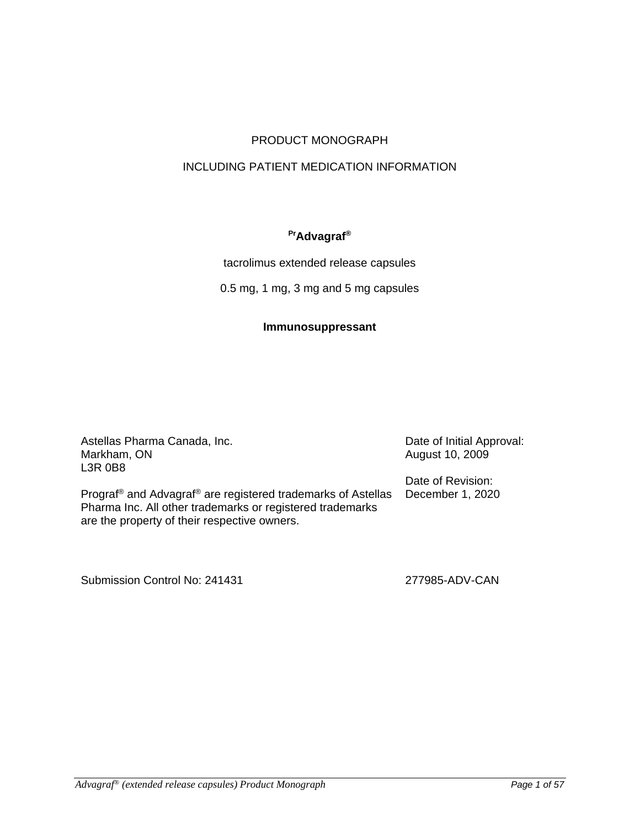# PRODUCT MONOGRAPH

# INCLUDING PATIENT MEDICATION INFORMATION

# **PrAdvagraf®**

tacrolimus extended release capsules

0.5 mg, 1 mg, 3 mg and 5 mg capsules

## **Immunosuppressant**

Astellas Pharma Canada, Inc. Markham, ON L3R 0B8

Date of Initial Approval: August 10, 2009

Date of Revision: December 1, 2020

Prograf® and Advagraf® are registered trademarks of Astellas Pharma Inc. All other trademarks or registered trademarks are the property of their respective owners.

Submission Control No: 241431 277985-ADV-CAN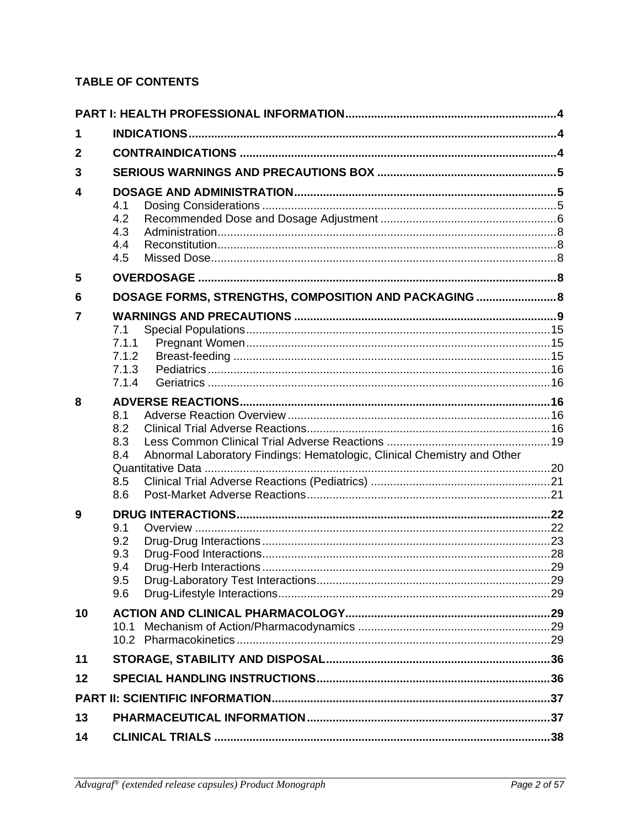# **TABLE OF CONTENTS**

| 1            |                                                                                                     |  |  |  |  |
|--------------|-----------------------------------------------------------------------------------------------------|--|--|--|--|
| $\mathbf{2}$ |                                                                                                     |  |  |  |  |
| 3            |                                                                                                     |  |  |  |  |
| 4            | 4.1<br>4.2<br>4.3<br>4.4<br>4.5                                                                     |  |  |  |  |
| 5            |                                                                                                     |  |  |  |  |
| 6            | DOSAGE FORMS, STRENGTHS, COMPOSITION AND PACKAGING  8                                               |  |  |  |  |
| 7            | 7.1<br>7.1.1<br>7.1.2<br>7.1.3<br>7.1.4                                                             |  |  |  |  |
| 8            | 8.1<br>8.2<br>8.3<br>Abnormal Laboratory Findings: Hematologic, Clinical Chemistry and Other<br>8.4 |  |  |  |  |
|              | 8.5<br>8.6                                                                                          |  |  |  |  |
| 9            | 9.1<br>9.2<br>9.3<br>9.4<br>9.5<br>9.6                                                              |  |  |  |  |
| 10           | 10.1                                                                                                |  |  |  |  |
| 11           |                                                                                                     |  |  |  |  |
| 12           |                                                                                                     |  |  |  |  |
|              |                                                                                                     |  |  |  |  |
| 13           |                                                                                                     |  |  |  |  |
| 14           |                                                                                                     |  |  |  |  |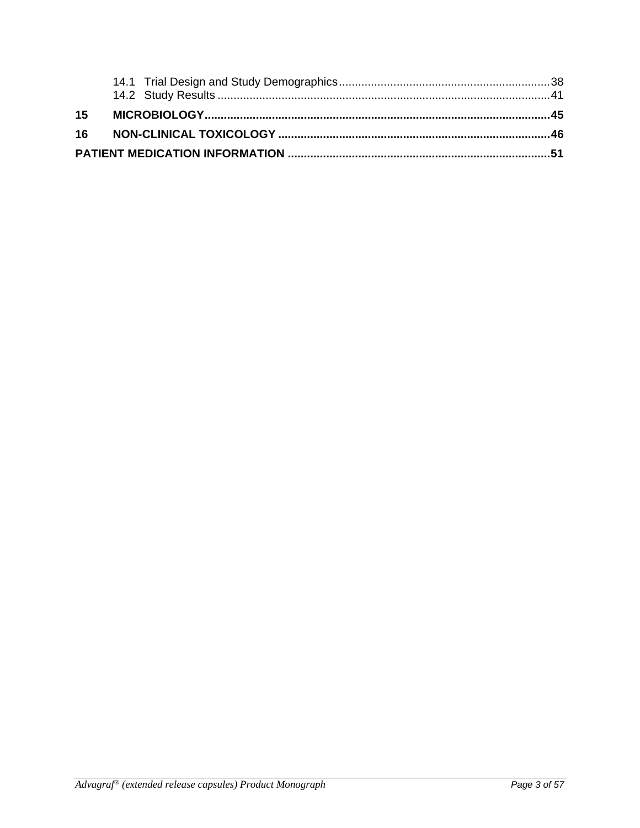| 15 |  |  |  |  |
|----|--|--|--|--|
|    |  |  |  |  |
|    |  |  |  |  |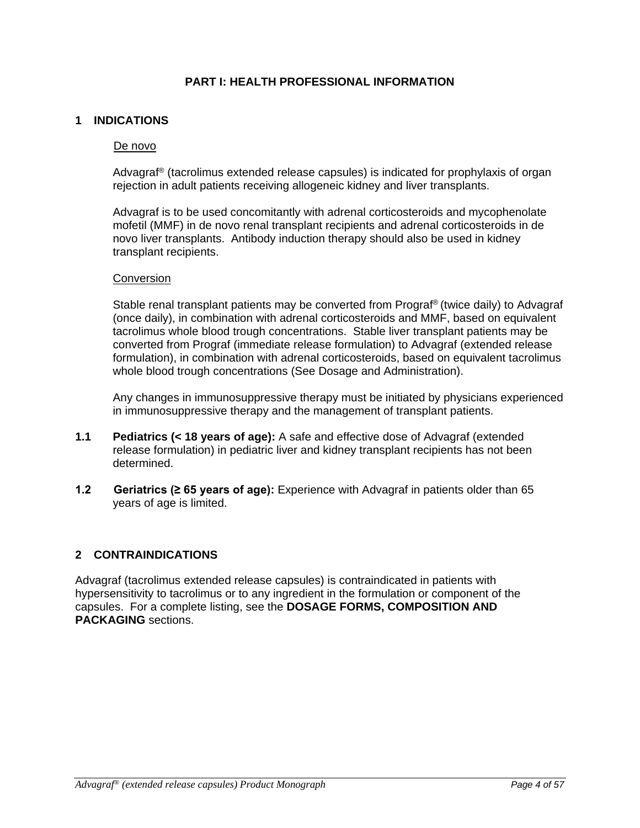## **PART I: HEALTH PROFESSIONAL INFORMATION**

## **1 INDICATIONS**

#### De novo

Advagraf® (tacrolimus extended release capsules) is indicated for prophylaxis of organ rejection in adult patients receiving allogeneic kidney and liver transplants.

Advagraf is to be used concomitantly with adrenal corticosteroids and mycophenolate mofetil (MMF) in de novo renal transplant recipients and adrenal corticosteroids in de novo liver transplants. Antibody induction therapy should also be used in kidney transplant recipients.

#### Conversion

Stable renal transplant patients may be converted from Prograf® (twice daily) to Advagraf (once daily), in combination with adrenal corticosteroids and MMF, based on equivalent tacrolimus whole blood trough concentrations. Stable liver transplant patients may be converted from Prograf (immediate release formulation) to Advagraf (extended release formulation), in combination with adrenal corticosteroids, based on equivalent tacrolimus whole blood trough concentrations (See Dosage and Administration).

Any changes in immunosuppressive therapy must be initiated by physicians experienced in immunosuppressive therapy and the management of transplant patients.

- **1.1 Pediatrics (< 18 years of age):** A safe and effective dose of Advagraf (extended release formulation) in pediatric liver and kidney transplant recipients has not been determined.
- **1.2 Geriatrics (≥ 65 years of age):** Experience with Advagraf in patients older than 65 years of age is limited.

## **2 CONTRAINDICATIONS**

Advagraf (tacrolimus extended release capsules) is contraindicated in patients with hypersensitivity to tacrolimus or to any ingredient in the formulation or component of the capsules. For a complete listing, see the **DOSAGE FORMS, COMPOSITION AND PACKAGING** sections.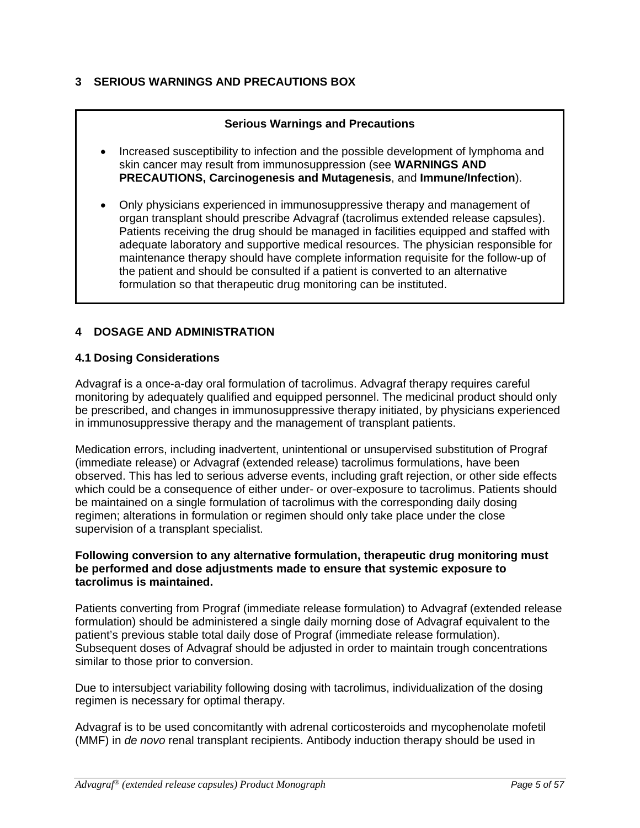# **3 SERIOUS WARNINGS AND PRECAUTIONS BOX**

# **Serious Warnings and Precautions**

- Increased susceptibility to infection and the possible development of lymphoma and skin cancer may result from immunosuppression (see **WARNINGS AND PRECAUTIONS, Carcinogenesis and Mutagenesis**, and **Immune/Infection**).
- Only physicians experienced in immunosuppressive therapy and management of organ transplant should prescribe Advagraf (tacrolimus extended release capsules). Patients receiving the drug should be managed in facilities equipped and staffed with adequate laboratory and supportive medical resources. The physician responsible for maintenance therapy should have complete information requisite for the follow-up of the patient and should be consulted if a patient is converted to an alternative formulation so that therapeutic drug monitoring can be instituted.

# **4 DOSAGE AND ADMINISTRATION**

## **4.1 Dosing Considerations**

Advagraf is a once-a-day oral formulation of tacrolimus. Advagraf therapy requires careful monitoring by adequately qualified and equipped personnel. The medicinal product should only be prescribed, and changes in immunosuppressive therapy initiated, by physicians experienced in immunosuppressive therapy and the management of transplant patients.

Medication errors, including inadvertent, unintentional or unsupervised substitution of Prograf (immediate release) or Advagraf (extended release) tacrolimus formulations, have been observed. This has led to serious adverse events, including graft rejection, or other side effects which could be a consequence of either under- or over-exposure to tacrolimus. Patients should be maintained on a single formulation of tacrolimus with the corresponding daily dosing regimen; alterations in formulation or regimen should only take place under the close supervision of a transplant specialist.

#### **Following conversion to any alternative formulation, therapeutic drug monitoring must be performed and dose adjustments made to ensure that systemic exposure to tacrolimus is maintained.**

Patients converting from Prograf (immediate release formulation) to Advagraf (extended release formulation) should be administered a single daily morning dose of Advagraf equivalent to the patient's previous stable total daily dose of Prograf (immediate release formulation). Subsequent doses of Advagraf should be adjusted in order to maintain trough concentrations similar to those prior to conversion.

Due to intersubject variability following dosing with tacrolimus, individualization of the dosing regimen is necessary for optimal therapy.

Advagraf is to be used concomitantly with adrenal corticosteroids and mycophenolate mofetil (MMF) in *de novo* renal transplant recipients. Antibody induction therapy should be used in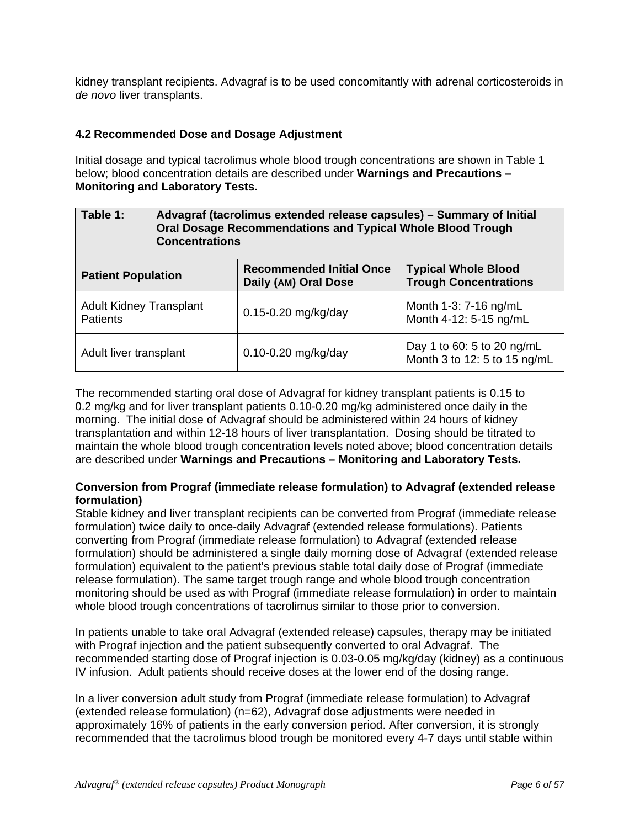kidney transplant recipients. Advagraf is to be used concomitantly with adrenal corticosteroids in *de novo* liver transplants.

# **4.2 Recommended Dose and Dosage Adjustment**

Initial dosage and typical tacrolimus whole blood trough concentrations are shown in Table 1 below; blood concentration details are described under **Warnings and Precautions – Monitoring and Laboratory Tests.**

| Table 1:<br><b>Concentrations</b>                 | Advagraf (tacrolimus extended release capsules) - Summary of Initial<br><b>Oral Dosage Recommendations and Typical Whole Blood Trough</b> |                                                            |  |
|---------------------------------------------------|-------------------------------------------------------------------------------------------------------------------------------------------|------------------------------------------------------------|--|
| <b>Patient Population</b>                         | <b>Recommended Initial Once</b><br>Daily (AM) Oral Dose                                                                                   | <b>Typical Whole Blood</b><br><b>Trough Concentrations</b> |  |
| <b>Adult Kidney Transplant</b><br><b>Patients</b> | 0.15-0.20 mg/kg/day                                                                                                                       | Month 1-3: 7-16 ng/mL<br>Month 4-12: 5-15 ng/mL            |  |
| Adult liver transplant                            | 0.10-0.20 mg/kg/day                                                                                                                       | Day 1 to 60: 5 to 20 ng/mL<br>Month 3 to 12: 5 to 15 ng/mL |  |

The recommended starting oral dose of Advagraf for kidney transplant patients is 0.15 to 0.2 mg/kg and for liver transplant patients 0.10-0.20 mg/kg administered once daily in the morning. The initial dose of Advagraf should be administered within 24 hours of kidney transplantation and within 12-18 hours of liver transplantation. Dosing should be titrated to maintain the whole blood trough concentration levels noted above; blood concentration details are described under **Warnings and Precautions – Monitoring and Laboratory Tests.**

## **Conversion from Prograf (immediate release formulation) to Advagraf (extended release formulation)**

Stable kidney and liver transplant recipients can be converted from Prograf (immediate release formulation) twice daily to once-daily Advagraf (extended release formulations). Patients converting from Prograf (immediate release formulation) to Advagraf (extended release formulation) should be administered a single daily morning dose of Advagraf (extended release formulation) equivalent to the patient's previous stable total daily dose of Prograf (immediate release formulation). The same target trough range and whole blood trough concentration monitoring should be used as with Prograf (immediate release formulation) in order to maintain whole blood trough concentrations of tacrolimus similar to those prior to conversion.

In patients unable to take oral Advagraf (extended release) capsules, therapy may be initiated with Prograf injection and the patient subsequently converted to oral Advagraf. The recommended starting dose of Prograf injection is 0.03-0.05 mg/kg/day (kidney) as a continuous IV infusion. Adult patients should receive doses at the lower end of the dosing range.

In a liver conversion adult study from Prograf (immediate release formulation) to Advagraf (extended release formulation) (n=62), Advagraf dose adjustments were needed in approximately 16% of patients in the early conversion period. After conversion, it is strongly recommended that the tacrolimus blood trough be monitored every 4-7 days until stable within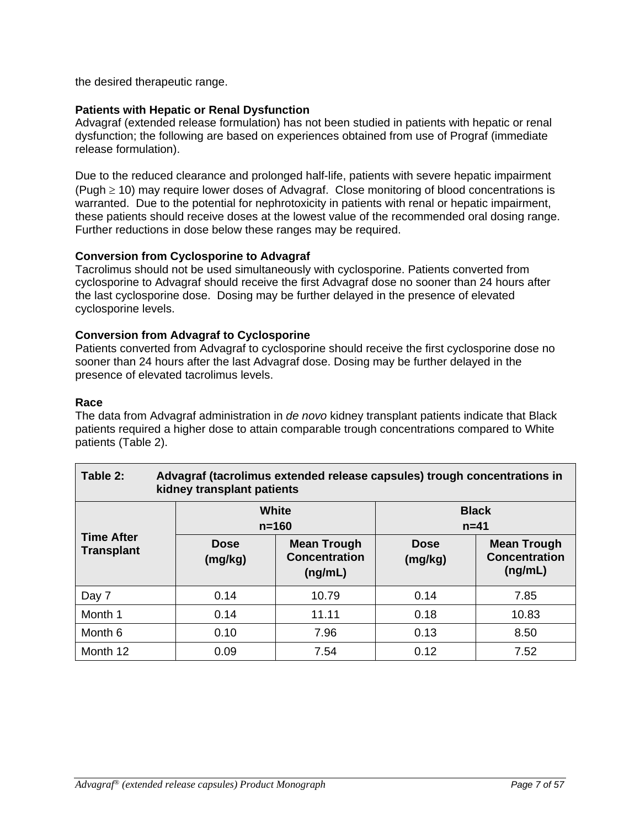the desired therapeutic range.

# **Patients with Hepatic or Renal Dysfunction**

Advagraf (extended release formulation) has not been studied in patients with hepatic or renal dysfunction; the following are based on experiences obtained from use of Prograf (immediate release formulation).

Due to the reduced clearance and prolonged half-life, patients with severe hepatic impairment (Pugh ≥ 10) may require lower doses of Advagraf. Close monitoring of blood concentrations is warranted. Due to the potential for nephrotoxicity in patients with renal or hepatic impairment, these patients should receive doses at the lowest value of the recommended oral dosing range. Further reductions in dose below these ranges may be required.

# **Conversion from Cyclosporine to Advagraf**

Tacrolimus should not be used simultaneously with cyclosporine. Patients converted from cyclosporine to Advagraf should receive the first Advagraf dose no sooner than 24 hours after the last cyclosporine dose. Dosing may be further delayed in the presence of elevated cyclosporine levels.

## **Conversion from Advagraf to Cyclosporine**

Patients converted from Advagraf to cyclosporine should receive the first cyclosporine dose no sooner than 24 hours after the last Advagraf dose. Dosing may be further delayed in the presence of elevated tacrolimus levels.

## **Race**

The data from Advagraf administration in *de novo* kidney transplant patients indicate that Black patients required a higher dose to attain comparable trough concentrations compared to White patients (Table 2).

| Table 2:<br>Advagraf (tacrolimus extended release capsules) trough concentrations in<br>kidney transplant patients |                        |                                                       |                        |                                                       |  |
|--------------------------------------------------------------------------------------------------------------------|------------------------|-------------------------------------------------------|------------------------|-------------------------------------------------------|--|
|                                                                                                                    |                        | <b>White</b><br>$n = 160$                             | $n=41$                 | <b>Black</b>                                          |  |
| <b>Time After</b><br><b>Transplant</b>                                                                             | <b>Dose</b><br>(mg/kg) | <b>Mean Trough</b><br><b>Concentration</b><br>(ng/mL) | <b>Dose</b><br>(mg/kg) | <b>Mean Trough</b><br><b>Concentration</b><br>(ng/mL) |  |
| Day 7                                                                                                              | 0.14                   | 10.79                                                 | 0.14                   | 7.85                                                  |  |
| Month 1                                                                                                            | 0.14                   | 11.11                                                 | 0.18                   | 10.83                                                 |  |
| Month 6                                                                                                            | 0.10                   | 7.96                                                  | 0.13                   | 8.50                                                  |  |
| Month 12                                                                                                           | 0.09                   | 7.54                                                  | 0.12                   | 7.52                                                  |  |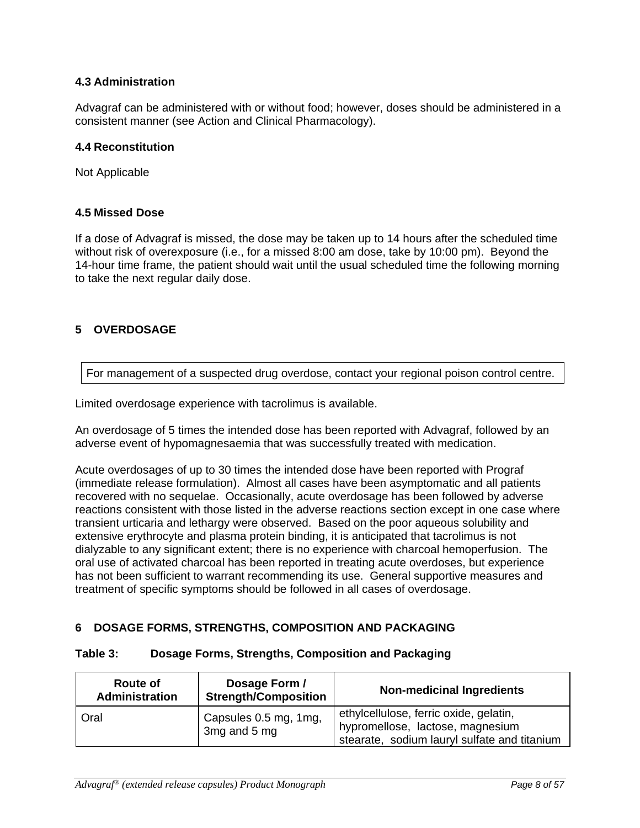# **4.3 Administration**

Advagraf can be administered with or without food; however, doses should be administered in a consistent manner (see Action and Clinical Pharmacology).

#### **4.4 Reconstitution**

Not Applicable

#### **4.5 Missed Dose**

If a dose of Advagraf is missed, the dose may be taken up to 14 hours after the scheduled time without risk of overexposure (i.e., for a missed 8:00 am dose, take by 10:00 pm). Beyond the 14-hour time frame, the patient should wait until the usual scheduled time the following morning to take the next regular daily dose.

# **5 OVERDOSAGE**

For management of a suspected drug overdose, contact your regional poison control centre.

Limited overdosage experience with tacrolimus is available.

An overdosage of 5 times the intended dose has been reported with Advagraf, followed by an adverse event of hypomagnesaemia that was successfully treated with medication.

Acute overdosages of up to 30 times the intended dose have been reported with Prograf (immediate release formulation). Almost all cases have been asymptomatic and all patients recovered with no sequelae. Occasionally, acute overdosage has been followed by adverse reactions consistent with those listed in the adverse reactions section except in one case where transient urticaria and lethargy were observed. Based on the poor aqueous solubility and extensive erythrocyte and plasma protein binding, it is anticipated that tacrolimus is not dialyzable to any significant extent; there is no experience with charcoal hemoperfusion. The oral use of activated charcoal has been reported in treating acute overdoses, but experience has not been sufficient to warrant recommending its use. General supportive measures and treatment of specific symptoms should be followed in all cases of overdosage.

## **6 DOSAGE FORMS, STRENGTHS, COMPOSITION AND PACKAGING**

#### **Table 3: Dosage Forms, Strengths, Composition and Packaging**

| <b>Route of</b><br><b>Administration</b> | Dosage Form /<br><b>Strength/Composition</b> | <b>Non-medicinal Ingredients</b>                                                                                           |
|------------------------------------------|----------------------------------------------|----------------------------------------------------------------------------------------------------------------------------|
| Oral                                     | Capsules 0.5 mg, 1mg,<br>3mg and 5 mg        | ethylcellulose, ferric oxide, gelatin,<br>hypromellose, lactose, magnesium<br>stearate, sodium lauryl sulfate and titanium |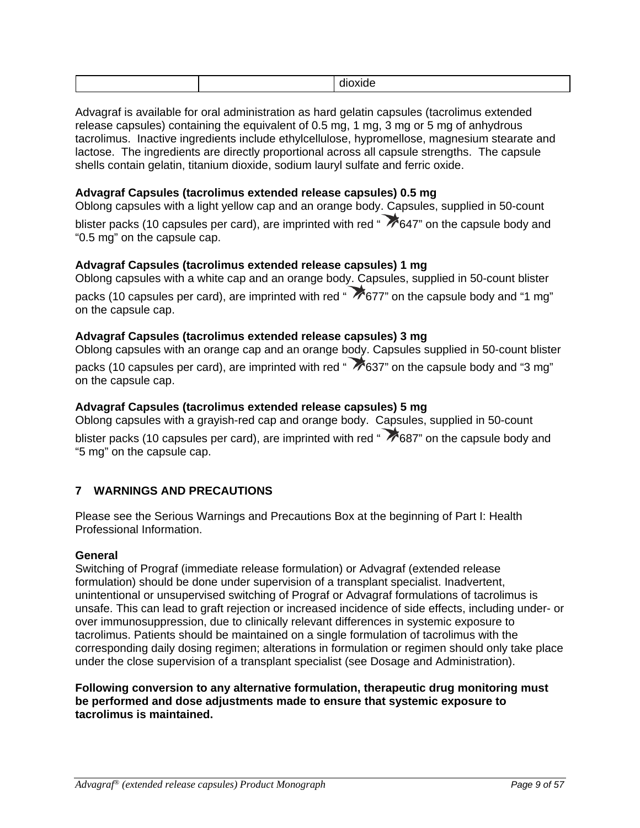|--|

Advagraf is available for oral administration as hard gelatin capsules (tacrolimus extended release capsules) containing the equivalent of 0.5 mg, 1 mg, 3 mg or 5 mg of anhydrous tacrolimus. Inactive ingredients include ethylcellulose, hypromellose, magnesium stearate and lactose. The ingredients are directly proportional across all capsule strengths. The capsule shells contain gelatin, titanium dioxide, sodium lauryl sulfate and ferric oxide.

## **Advagraf Capsules (tacrolimus extended release capsules) 0.5 mg**

Oblong capsules with a light yellow cap and an orange body. Capsules, supplied in 50-count blister packs (10 capsules per card), are imprinted with red " $\bigtriangledown$  647" on the capsule body and "0.5 mg" on the capsule cap.

#### **Advagraf Capsules (tacrolimus extended release capsules) 1 mg**

Oblong capsules with a white cap and an orange body. Capsules, supplied in 50-count blister packs (10 capsules per card), are imprinted with red "  $\rightarrow$  677" on the capsule body and "1 mg" on the capsule cap.

#### **Advagraf Capsules (tacrolimus extended release capsules) 3 mg**

Oblong capsules with an orange cap and an orange body. Capsules supplied in 50-count blister packs (10 capsules per card), are imprinted with red " $\sim 637$ " on the capsule body and "3 mg" on the capsule cap.

#### **Advagraf Capsules (tacrolimus extended release capsules) 5 mg**

Oblong capsules with a grayish-red cap and orange body. Capsules, supplied in 50-count blister packs (10 capsules per card), are imprinted with red " 7687" on the capsule body and "5 mg" on the capsule cap.

## **7 WARNINGS AND PRECAUTIONS**

Please see the Serious Warnings and Precautions Box at the beginning of Part I: Health Professional Information.

#### **General**

Switching of Prograf (immediate release formulation) or Advagraf (extended release formulation) should be done under supervision of a transplant specialist. Inadvertent, unintentional or unsupervised switching of Prograf or Advagraf formulations of tacrolimus is unsafe. This can lead to graft rejection or increased incidence of side effects, including under- or over immunosuppression, due to clinically relevant differences in systemic exposure to tacrolimus. Patients should be maintained on a single formulation of tacrolimus with the corresponding daily dosing regimen; alterations in formulation or regimen should only take place under the close supervision of a transplant specialist (see Dosage and Administration).

**Following conversion to any alternative formulation, therapeutic drug monitoring must be performed and dose adjustments made to ensure that systemic exposure to tacrolimus is maintained.**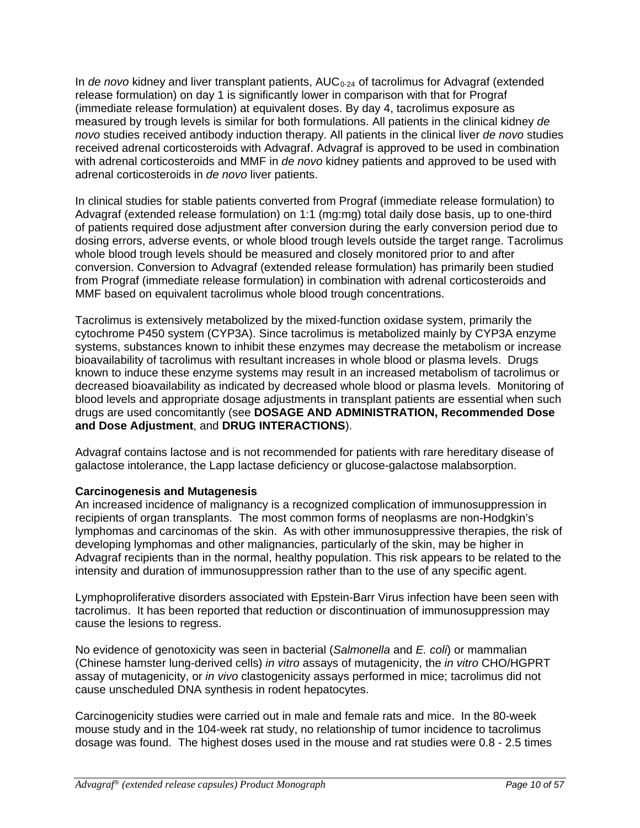In *de novo* kidney and liver transplant patients, AUC<sub>0-24</sub> of tacrolimus for Advagraf (extended release formulation) on day 1 is significantly lower in comparison with that for Prograf (immediate release formulation) at equivalent doses. By day 4, tacrolimus exposure as measured by trough levels is similar for both formulations. All patients in the clinical kidney *de novo* studies received antibody induction therapy. All patients in the clinical liver *de novo* studies received adrenal corticosteroids with Advagraf. Advagraf is approved to be used in combination with adrenal corticosteroids and MMF in *de novo* kidney patients and approved to be used with adrenal corticosteroids in *de novo* liver patients.

In clinical studies for stable patients converted from Prograf (immediate release formulation) to Advagraf (extended release formulation) on 1:1 (mg:mg) total daily dose basis, up to one-third of patients required dose adjustment after conversion during the early conversion period due to dosing errors, adverse events, or whole blood trough levels outside the target range. Tacrolimus whole blood trough levels should be measured and closely monitored prior to and after conversion. Conversion to Advagraf (extended release formulation) has primarily been studied from Prograf (immediate release formulation) in combination with adrenal corticosteroids and MMF based on equivalent tacrolimus whole blood trough concentrations.

Tacrolimus is extensively metabolized by the mixed-function oxidase system, primarily the cytochrome P450 system (CYP3A). Since tacrolimus is metabolized mainly by CYP3A enzyme systems, substances known to inhibit these enzymes may decrease the metabolism or increase bioavailability of tacrolimus with resultant increases in whole blood or plasma levels. Drugs known to induce these enzyme systems may result in an increased metabolism of tacrolimus or decreased bioavailability as indicated by decreased whole blood or plasma levels. Monitoring of blood levels and appropriate dosage adjustments in transplant patients are essential when such drugs are used concomitantly (see **DOSAGE AND ADMINISTRATION, Recommended Dose and Dose Adjustment**, and **DRUG INTERACTIONS**).

Advagraf contains lactose and is not recommended for patients with rare hereditary disease of galactose intolerance, the Lapp lactase deficiency or glucose-galactose malabsorption.

# **Carcinogenesis and Mutagenesis**

An increased incidence of malignancy is a recognized complication of immunosuppression in recipients of organ transplants. The most common forms of neoplasms are non-Hodgkin's lymphomas and carcinomas of the skin. As with other immunosuppressive therapies, the risk of developing lymphomas and other malignancies, particularly of the skin, may be higher in Advagraf recipients than in the normal, healthy population. This risk appears to be related to the intensity and duration of immunosuppression rather than to the use of any specific agent.

Lymphoproliferative disorders associated with Epstein-Barr Virus infection have been seen with tacrolimus. It has been reported that reduction or discontinuation of immunosuppression may cause the lesions to regress.

No evidence of genotoxicity was seen in bacterial (*Salmonella* and *E. coli*) or mammalian (Chinese hamster lung-derived cells) *in vitro* assays of mutagenicity, the *in vitro* CHO/HGPRT assay of mutagenicity, or *in vivo* clastogenicity assays performed in mice; tacrolimus did not cause unscheduled DNA synthesis in rodent hepatocytes.

Carcinogenicity studies were carried out in male and female rats and mice. In the 80-week mouse study and in the 104-week rat study, no relationship of tumor incidence to tacrolimus dosage was found. The highest doses used in the mouse and rat studies were 0.8 - 2.5 times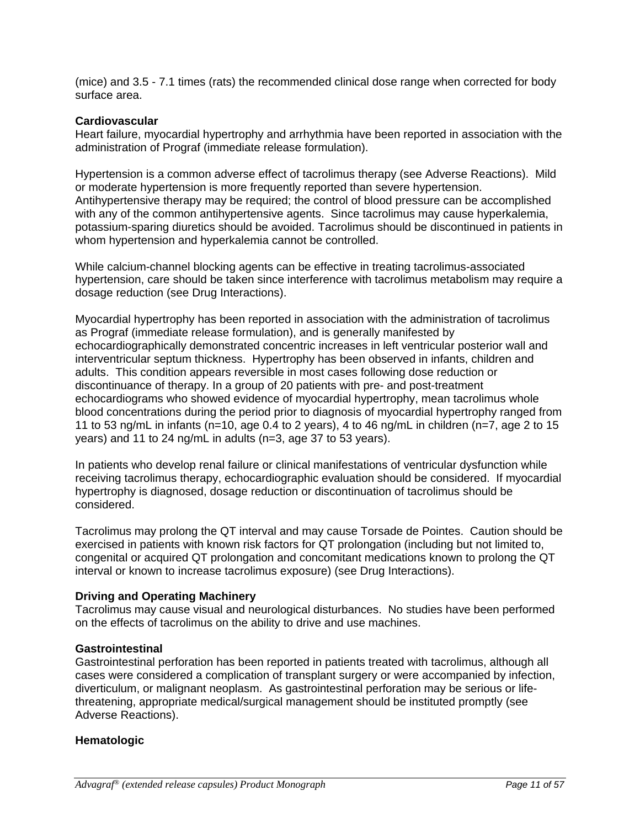(mice) and 3.5 - 7.1 times (rats) the recommended clinical dose range when corrected for body surface area.

#### **Cardiovascular**

Heart failure, myocardial hypertrophy and arrhythmia have been reported in association with the administration of Prograf (immediate release formulation).

Hypertension is a common adverse effect of tacrolimus therapy (see Adverse Reactions). Mild or moderate hypertension is more frequently reported than severe hypertension. Antihypertensive therapy may be required; the control of blood pressure can be accomplished with any of the common antihypertensive agents. Since tacrolimus may cause hyperkalemia, potassium-sparing diuretics should be avoided. Tacrolimus should be discontinued in patients in whom hypertension and hyperkalemia cannot be controlled.

While calcium-channel blocking agents can be effective in treating tacrolimus-associated hypertension, care should be taken since interference with tacrolimus metabolism may require a dosage reduction (see Drug Interactions).

Myocardial hypertrophy has been reported in association with the administration of tacrolimus as Prograf (immediate release formulation), and is generally manifested by echocardiographically demonstrated concentric increases in left ventricular posterior wall and interventricular septum thickness. Hypertrophy has been observed in infants, children and adults. This condition appears reversible in most cases following dose reduction or discontinuance of therapy. In a group of 20 patients with pre- and post-treatment echocardiograms who showed evidence of myocardial hypertrophy, mean tacrolimus whole blood concentrations during the period prior to diagnosis of myocardial hypertrophy ranged from 11 to 53 ng/mL in infants (n=10, age 0.4 to 2 years), 4 to 46 ng/mL in children (n=7, age 2 to 15 years) and 11 to 24 ng/mL in adults (n=3, age 37 to 53 years).

In patients who develop renal failure or clinical manifestations of ventricular dysfunction while receiving tacrolimus therapy, echocardiographic evaluation should be considered. If myocardial hypertrophy is diagnosed, dosage reduction or discontinuation of tacrolimus should be considered.

Tacrolimus may prolong the QT interval and may cause Torsade de Pointes. Caution should be exercised in patients with known risk factors for QT prolongation (including but not limited to, congenital or acquired QT prolongation and concomitant medications known to prolong the QT interval or known to increase tacrolimus exposure) (see Drug Interactions).

## **Driving and Operating Machinery**

Tacrolimus may cause visual and neurological disturbances. No studies have been performed on the effects of tacrolimus on the ability to drive and use machines.

#### **Gastrointestinal**

Gastrointestinal perforation has been reported in patients treated with tacrolimus, although all cases were considered a complication of transplant surgery or were accompanied by infection, diverticulum, or malignant neoplasm. As gastrointestinal perforation may be serious or lifethreatening, appropriate medical/surgical management should be instituted promptly (see Adverse Reactions).

## **Hematologic**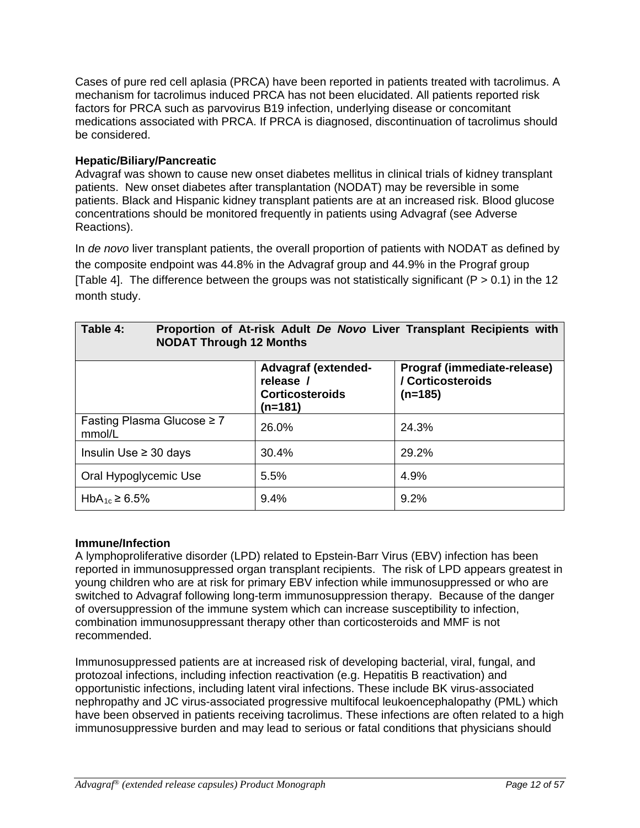Cases of pure red cell aplasia (PRCA) have been reported in patients treated with tacrolimus. A mechanism for tacrolimus induced PRCA has not been elucidated. All patients reported risk factors for PRCA such as parvovirus B19 infection, underlying disease or concomitant medications associated with PRCA. If PRCA is diagnosed, discontinuation of tacrolimus should be considered.

## **Hepatic/Biliary/Pancreatic**

Advagraf was shown to cause new onset diabetes mellitus in clinical trials of kidney transplant patients. New onset diabetes after transplantation (NODAT) may be reversible in some patients. Black and Hispanic kidney transplant patients are at an increased risk. Blood glucose concentrations should be monitored frequently in patients using Advagraf (see Adverse Reactions).

In *de novo* liver transplant patients, the overall proportion of patients with NODAT as defined by the composite endpoint was 44.8% in the Advagraf group and 44.9% in the Prograf group [Table 4]. The difference between the groups was not statistically significant ( $P > 0.1$ ) in the 12 month study.

| Table 4:<br>Proportion of At-risk Adult De Novo Liver Transplant Recipients with<br><b>NODAT Through 12 Months</b> |                                                                              |                                                               |  |  |
|--------------------------------------------------------------------------------------------------------------------|------------------------------------------------------------------------------|---------------------------------------------------------------|--|--|
|                                                                                                                    | <b>Advagraf (extended-</b><br>release /<br><b>Corticosteroids</b><br>(n=181) | Prograf (immediate-release)<br>/ Corticosteroids<br>$(n=185)$ |  |  |
| Fasting Plasma Glucose $\geq 7$<br>mmol/L                                                                          | 26.0%                                                                        | 24.3%                                                         |  |  |
| Insulin Use $\geq$ 30 days                                                                                         | 30.4%                                                                        | 29.2%                                                         |  |  |
| Oral Hypoglycemic Use                                                                                              | 5.5%                                                                         | 4.9%                                                          |  |  |
| HbA <sub>1c</sub> ≥ 6.5%                                                                                           | 9.4%                                                                         | 9.2%                                                          |  |  |

## **Immune/Infection**

A lymphoproliferative disorder (LPD) related to Epstein-Barr Virus (EBV) infection has been reported in immunosuppressed organ transplant recipients. The risk of LPD appears greatest in young children who are at risk for primary EBV infection while immunosuppressed or who are switched to Advagraf following long-term immunosuppression therapy. Because of the danger of oversuppression of the immune system which can increase susceptibility to infection, combination immunosuppressant therapy other than corticosteroids and MMF is not recommended.

Immunosuppressed patients are at increased risk of developing bacterial, viral, fungal, and protozoal infections, including infection reactivation (e.g. Hepatitis B reactivation) and opportunistic infections, including latent viral infections. These include BK virus-associated nephropathy and JC virus-associated progressive multifocal leukoencephalopathy (PML) which have been observed in patients receiving tacrolimus. These infections are often related to a high immunosuppressive burden and may lead to serious or fatal conditions that physicians should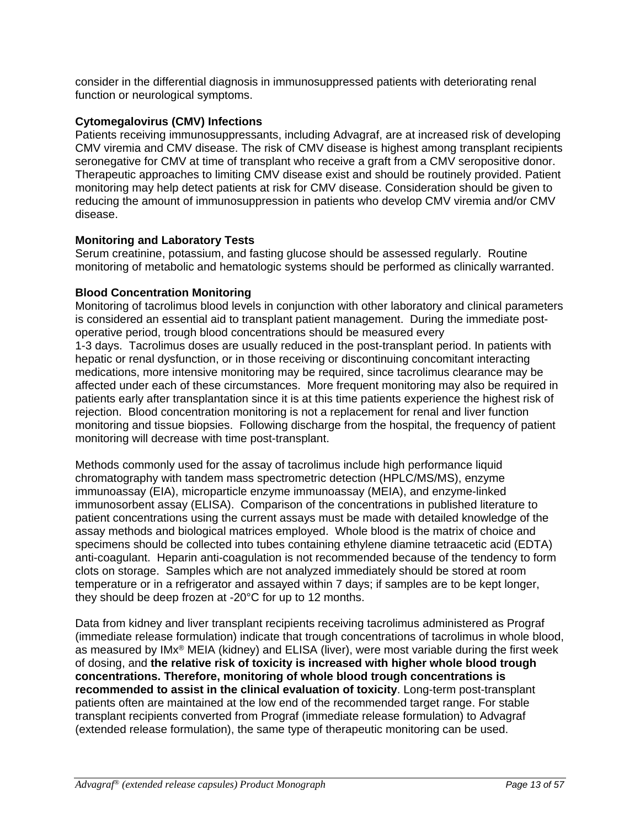consider in the differential diagnosis in immunosuppressed patients with deteriorating renal function or neurological symptoms.

# **Cytomegalovirus (CMV) Infections**

Patients receiving immunosuppressants, including Advagraf, are at increased risk of developing CMV viremia and CMV disease. The risk of CMV disease is highest among transplant recipients seronegative for CMV at time of transplant who receive a graft from a CMV seropositive donor. Therapeutic approaches to limiting CMV disease exist and should be routinely provided. Patient monitoring may help detect patients at risk for CMV disease. Consideration should be given to reducing the amount of immunosuppression in patients who develop CMV viremia and/or CMV disease.

# **Monitoring and Laboratory Tests**

Serum creatinine, potassium, and fasting glucose should be assessed regularly. Routine monitoring of metabolic and hematologic systems should be performed as clinically warranted.

## **Blood Concentration Monitoring**

Monitoring of tacrolimus blood levels in conjunction with other laboratory and clinical parameters is considered an essential aid to transplant patient management. During the immediate postoperative period, trough blood concentrations should be measured every 1-3 days. Tacrolimus doses are usually reduced in the post-transplant period. In patients with hepatic or renal dysfunction, or in those receiving or discontinuing concomitant interacting medications, more intensive monitoring may be required, since tacrolimus clearance may be affected under each of these circumstances. More frequent monitoring may also be required in patients early after transplantation since it is at this time patients experience the highest risk of rejection. Blood concentration monitoring is not a replacement for renal and liver function monitoring and tissue biopsies. Following discharge from the hospital, the frequency of patient monitoring will decrease with time post-transplant.

Methods commonly used for the assay of tacrolimus include high performance liquid chromatography with tandem mass spectrometric detection (HPLC/MS/MS), enzyme immunoassay (EIA), microparticle enzyme immunoassay (MEIA), and enzyme-linked immunosorbent assay (ELISA). Comparison of the concentrations in published literature to patient concentrations using the current assays must be made with detailed knowledge of the assay methods and biological matrices employed. Whole blood is the matrix of choice and specimens should be collected into tubes containing ethylene diamine tetraacetic acid (EDTA) anti-coagulant. Heparin anti-coagulation is not recommended because of the tendency to form clots on storage. Samples which are not analyzed immediately should be stored at room temperature or in a refrigerator and assayed within 7 days; if samples are to be kept longer, they should be deep frozen at -20°C for up to 12 months.

Data from kidney and liver transplant recipients receiving tacrolimus administered as Prograf (immediate release formulation) indicate that trough concentrations of tacrolimus in whole blood, as measured by IMx® MEIA (kidney) and ELISA (liver), were most variable during the first week of dosing, and **the relative risk of toxicity is increased with higher whole blood trough concentrations. Therefore, monitoring of whole blood trough concentrations is recommended to assist in the clinical evaluation of toxicity**. Long-term post-transplant patients often are maintained at the low end of the recommended target range. For stable transplant recipients converted from Prograf (immediate release formulation) to Advagraf (extended release formulation), the same type of therapeutic monitoring can be used.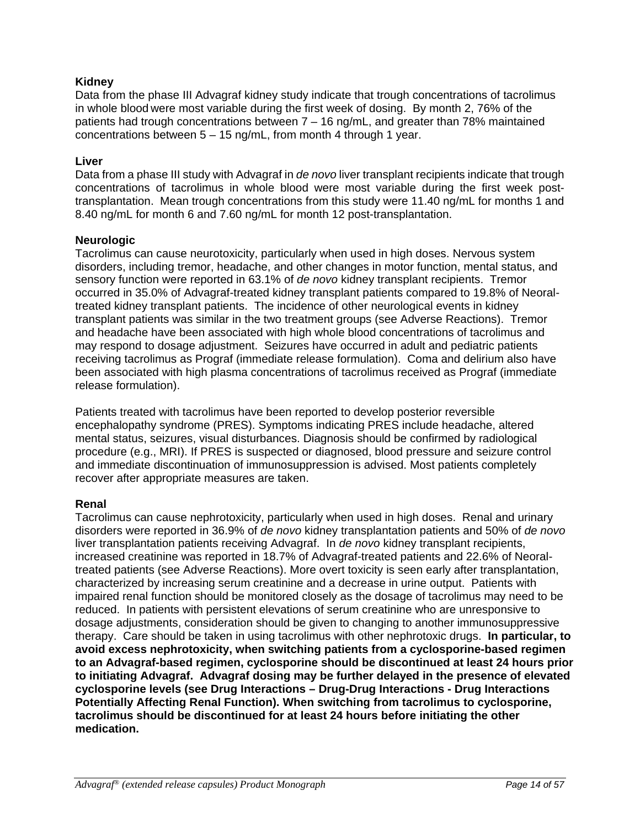# **Kidney**

Data from the phase III Advagraf kidney study indicate that trough concentrations of tacrolimus in whole blood were most variable during the first week of dosing. By month 2, 76% of the patients had trough concentrations between 7 – 16 ng/mL, and greater than 78% maintained concentrations between 5 – 15 ng/mL, from month 4 through 1 year.

#### **Liver**

Data from a phase III study with Advagraf in *de novo* liver transplant recipients indicate that trough concentrations of tacrolimus in whole blood were most variable during the first week posttransplantation. Mean trough concentrations from this study were 11.40 ng/mL for months 1 and 8.40 ng/mL for month 6 and 7.60 ng/mL for month 12 post-transplantation.

#### **Neurologic**

Tacrolimus can cause neurotoxicity, particularly when used in high doses. Nervous system disorders, including tremor, headache, and other changes in motor function, mental status, and sensory function were reported in 63.1% of *de novo* kidney transplant recipients. Tremor occurred in 35.0% of Advagraf-treated kidney transplant patients compared to 19.8% of Neoraltreated kidney transplant patients. The incidence of other neurological events in kidney transplant patients was similar in the two treatment groups (see Adverse Reactions). Tremor and headache have been associated with high whole blood concentrations of tacrolimus and may respond to dosage adjustment. Seizures have occurred in adult and pediatric patients receiving tacrolimus as Prograf (immediate release formulation). Coma and delirium also have been associated with high plasma concentrations of tacrolimus received as Prograf (immediate release formulation).

Patients treated with tacrolimus have been reported to develop posterior reversible encephalopathy syndrome (PRES). Symptoms indicating PRES include headache, altered mental status, seizures, visual disturbances. Diagnosis should be confirmed by radiological procedure (e.g., MRI). If PRES is suspected or diagnosed, blood pressure and seizure control and immediate discontinuation of immunosuppression is advised. Most patients completely recover after appropriate measures are taken.

#### **Renal**

Tacrolimus can cause nephrotoxicity, particularly when used in high doses. Renal and urinary disorders were reported in 36.9% of *de novo* kidney transplantation patients and 50% of *de novo* liver transplantation patients receiving Advagraf. In *de novo* kidney transplant recipients, increased creatinine was reported in 18.7% of Advagraf-treated patients and 22.6% of Neoraltreated patients (see Adverse Reactions). More overt toxicity is seen early after transplantation, characterized by increasing serum creatinine and a decrease in urine output. Patients with impaired renal function should be monitored closely as the dosage of tacrolimus may need to be reduced. In patients with persistent elevations of serum creatinine who are unresponsive to dosage adjustments, consideration should be given to changing to another immunosuppressive therapy. Care should be taken in using tacrolimus with other nephrotoxic drugs. **In particular, to avoid excess nephrotoxicity, when switching patients from a cyclosporine-based regimen to an Advagraf-based regimen, cyclosporine should be discontinued at least 24 hours prior to initiating Advagraf. Advagraf dosing may be further delayed in the presence of elevated cyclosporine levels (see Drug Interactions – Drug-Drug Interactions - Drug Interactions Potentially Affecting Renal Function). When switching from tacrolimus to cyclosporine, tacrolimus should be discontinued for at least 24 hours before initiating the other medication.**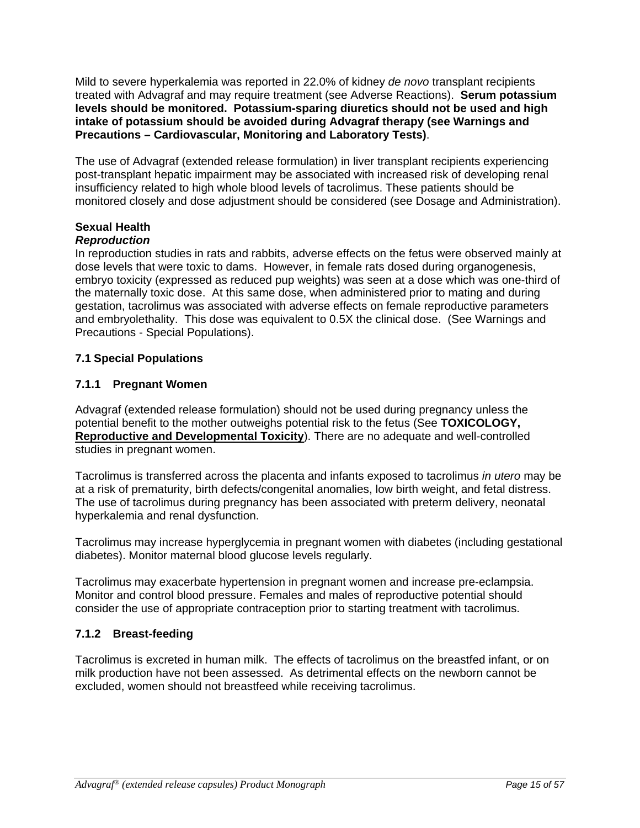Mild to severe hyperkalemia was reported in 22.0% of kidney *de novo* transplant recipients treated with Advagraf and may require treatment (see Adverse Reactions). **Serum potassium levels should be monitored. Potassium-sparing diuretics should not be used and high intake of potassium should be avoided during Advagraf therapy (see Warnings and Precautions – Cardiovascular, Monitoring and Laboratory Tests)**.

The use of Advagraf (extended release formulation) in liver transplant recipients experiencing post-transplant hepatic impairment may be associated with increased risk of developing renal insufficiency related to high whole blood levels of tacrolimus. These patients should be monitored closely and dose adjustment should be considered (see Dosage and Administration).

# **Sexual Health**

# *Reproduction*

In reproduction studies in rats and rabbits, adverse effects on the fetus were observed mainly at dose levels that were toxic to dams. However, in female rats dosed during organogenesis, embryo toxicity (expressed as reduced pup weights) was seen at a dose which was one-third of the maternally toxic dose. At this same dose, when administered prior to mating and during gestation, tacrolimus was associated with adverse effects on female reproductive parameters and embryolethality. This dose was equivalent to 0.5X the clinical dose. (See Warnings and Precautions - Special Populations).

# **7.1 Special Populations**

# **7.1.1 Pregnant Women**

Advagraf (extended release formulation) should not be used during pregnancy unless the potential benefit to the mother outweighs potential risk to the fetus (See **TOXICOLOGY, Reproductive and Developmental Toxicity**). There are no adequate and well-controlled studies in pregnant women.

Tacrolimus is transferred across the placenta and infants exposed to tacrolimus *in utero* may be at a risk of prematurity, birth defects/congenital anomalies, low birth weight, and fetal distress. The use of tacrolimus during pregnancy has been associated with preterm delivery, neonatal hyperkalemia and renal dysfunction.

Tacrolimus may increase hyperglycemia in pregnant women with diabetes (including gestational diabetes). Monitor maternal blood glucose levels regularly.

Tacrolimus may exacerbate hypertension in pregnant women and increase pre-eclampsia. Monitor and control blood pressure. Females and males of reproductive potential should consider the use of appropriate contraception prior to starting treatment with tacrolimus.

# **7.1.2 Breast-feeding**

Tacrolimus is excreted in human milk. The effects of tacrolimus on the breastfed infant, or on milk production have not been assessed. As detrimental effects on the newborn cannot be excluded, women should not breastfeed while receiving tacrolimus.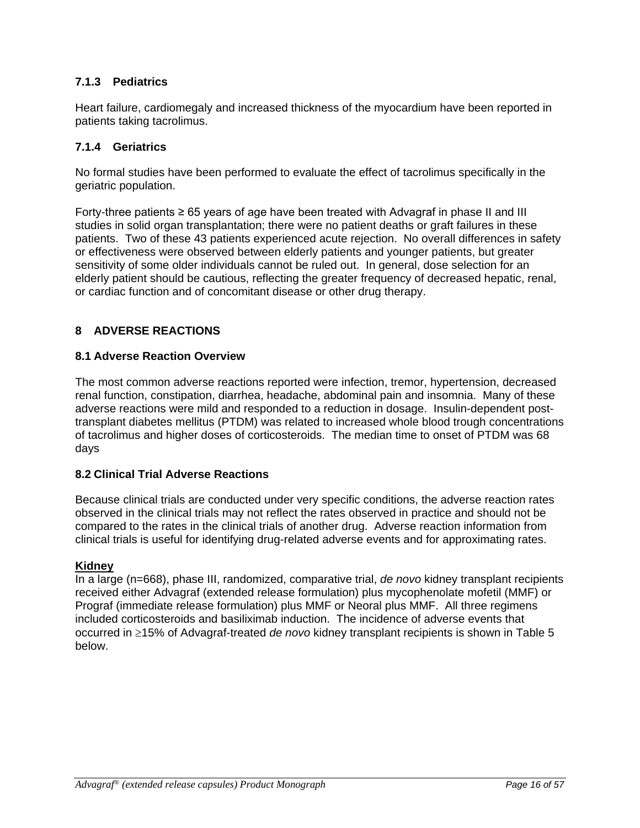# **7.1.3 Pediatrics**

Heart failure, cardiomegaly and increased thickness of the myocardium have been reported in patients taking tacrolimus.

# **7.1.4 Geriatrics**

No formal studies have been performed to evaluate the effect of tacrolimus specifically in the geriatric population.

Forty-three patients ≥ 65 years of age have been treated with Advagraf in phase II and III studies in solid organ transplantation; there were no patient deaths or graft failures in these patients. Two of these 43 patients experienced acute rejection. No overall differences in safety or effectiveness were observed between elderly patients and younger patients, but greater sensitivity of some older individuals cannot be ruled out. In general, dose selection for an elderly patient should be cautious, reflecting the greater frequency of decreased hepatic, renal, or cardiac function and of concomitant disease or other drug therapy.

# **8 ADVERSE REACTIONS**

## **8.1 Adverse Reaction Overview**

The most common adverse reactions reported were infection, tremor, hypertension, decreased renal function, constipation, diarrhea, headache, abdominal pain and insomnia. Many of these adverse reactions were mild and responded to a reduction in dosage. Insulin-dependent posttransplant diabetes mellitus (PTDM) was related to increased whole blood trough concentrations of tacrolimus and higher doses of corticosteroids. The median time to onset of PTDM was 68 days

## **8.2 Clinical Trial Adverse Reactions**

Because clinical trials are conducted under very specific conditions, the adverse reaction rates observed in the clinical trials may not reflect the rates observed in practice and should not be compared to the rates in the clinical trials of another drug. Adverse reaction information from clinical trials is useful for identifying drug-related adverse events and for approximating rates.

## **Kidney**

In a large (n=668), phase III, randomized, comparative trial, *de novo* kidney transplant recipients received either Advagraf (extended release formulation) plus mycophenolate mofetil (MMF) or Prograf (immediate release formulation) plus MMF or Neoral plus MMF. All three regimens included corticosteroids and basiliximab induction. The incidence of adverse events that occurred in ≥15% of Advagraf-treated *de novo* kidney transplant recipients is shown in Table 5 below.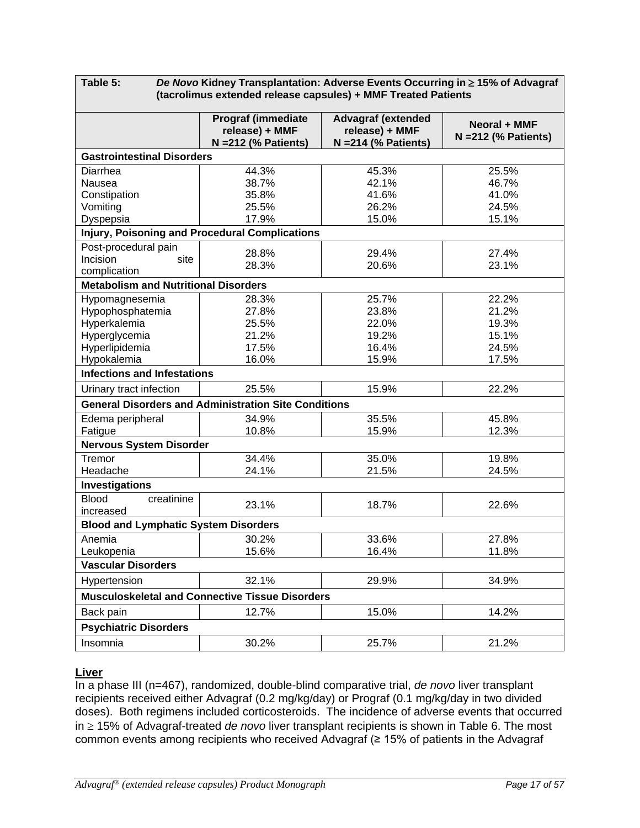**Table 5:** *De Novo* **Kidney Transplantation: Adverse Events Occurring in** ≥ **15% of Advagraf (tacrolimus extended release capsules) + MMF Treated Patients**

|                                             | <b>Prograf (immediate</b><br>release) + MMF<br>$N = 212$ (% Patients) | <b>Advagraf (extended</b><br>release) + MMF<br>$N = 214$ (% Patients) | Neoral + MMF<br>$N = 212$ (% Patients) |
|---------------------------------------------|-----------------------------------------------------------------------|-----------------------------------------------------------------------|----------------------------------------|
| <b>Gastrointestinal Disorders</b>           |                                                                       |                                                                       |                                        |
| Diarrhea                                    | 44.3%                                                                 | 45.3%                                                                 | 25.5%                                  |
| Nausea                                      | 38.7%                                                                 | 42.1%                                                                 | 46.7%                                  |
| Constipation                                | 35.8%                                                                 | 41.6%                                                                 | 41.0%                                  |
| Vomiting                                    | 25.5%                                                                 | 26.2%                                                                 | 24.5%                                  |
| Dyspepsia                                   | 17.9%                                                                 | 15.0%                                                                 | 15.1%                                  |
|                                             | <b>Injury, Poisoning and Procedural Complications</b>                 |                                                                       |                                        |
| Post-procedural pain                        | 28.8%                                                                 | 29.4%                                                                 | 27.4%                                  |
| Incision<br>site                            | 28.3%                                                                 | 20.6%                                                                 | 23.1%                                  |
| complication                                |                                                                       |                                                                       |                                        |
| <b>Metabolism and Nutritional Disorders</b> |                                                                       |                                                                       |                                        |
| Hypomagnesemia                              | 28.3%                                                                 | 25.7%                                                                 | 22.2%                                  |
| Hypophosphatemia                            | 27.8%                                                                 | 23.8%                                                                 | 21.2%                                  |
| Hyperkalemia                                | 25.5%                                                                 | 22.0%                                                                 | 19.3%                                  |
| Hyperglycemia                               | 21.2%                                                                 | 19.2%                                                                 | 15.1%                                  |
| Hyperlipidemia<br>Hypokalemia               | 17.5%<br>16.0%                                                        | 16.4%<br>15.9%                                                        | 24.5%<br>17.5%                         |
| <b>Infections and Infestations</b>          |                                                                       |                                                                       |                                        |
|                                             |                                                                       |                                                                       |                                        |
| Urinary tract infection                     | 25.5%                                                                 | 15.9%                                                                 | 22.2%                                  |
|                                             | <b>General Disorders and Administration Site Conditions</b>           |                                                                       |                                        |
| Edema peripheral                            | 34.9%                                                                 | 35.5%                                                                 | 45.8%                                  |
| Fatigue                                     | 10.8%                                                                 | 15.9%                                                                 | 12.3%                                  |
| <b>Nervous System Disorder</b>              |                                                                       |                                                                       |                                        |
| Tremor                                      | 34.4%                                                                 | 35.0%                                                                 | 19.8%                                  |
| Headache                                    | 24.1%                                                                 | 21.5%                                                                 | 24.5%                                  |
| <b>Investigations</b>                       |                                                                       |                                                                       |                                        |
| <b>Blood</b><br>creatinine                  | 23.1%                                                                 | 18.7%                                                                 | 22.6%                                  |
| increased                                   |                                                                       |                                                                       |                                        |
| <b>Blood and Lymphatic System Disorders</b> |                                                                       |                                                                       |                                        |
| Anemia                                      | 30.2%                                                                 | 33.6%                                                                 | 27.8%                                  |
| Leukopenia                                  | 15.6%                                                                 | 16.4%                                                                 | 11.8%                                  |
| <b>Vascular Disorders</b>                   |                                                                       |                                                                       |                                        |
| Hypertension                                | 32.1%                                                                 | 29.9%                                                                 | 34.9%                                  |
|                                             | <b>Musculoskeletal and Connective Tissue Disorders</b>                |                                                                       |                                        |
| Back pain                                   | 12.7%                                                                 | 15.0%                                                                 | 14.2%                                  |
| <b>Psychiatric Disorders</b>                |                                                                       |                                                                       |                                        |
| Insomnia                                    | 30.2%                                                                 | 25.7%                                                                 | 21.2%                                  |

# **Liver**

In a phase III (n=467), randomized, double-blind comparative trial, *de novo* liver transplant recipients received either Advagraf (0.2 mg/kg/day) or Prograf (0.1 mg/kg/day in two divided doses). Both regimens included corticosteroids. The incidence of adverse events that occurred in ≥ 15% of Advagraf-treated *de novo* liver transplant recipients is shown in Table 6. The most common events among recipients who received Advagraf (≥ 15% of patients in the Advagraf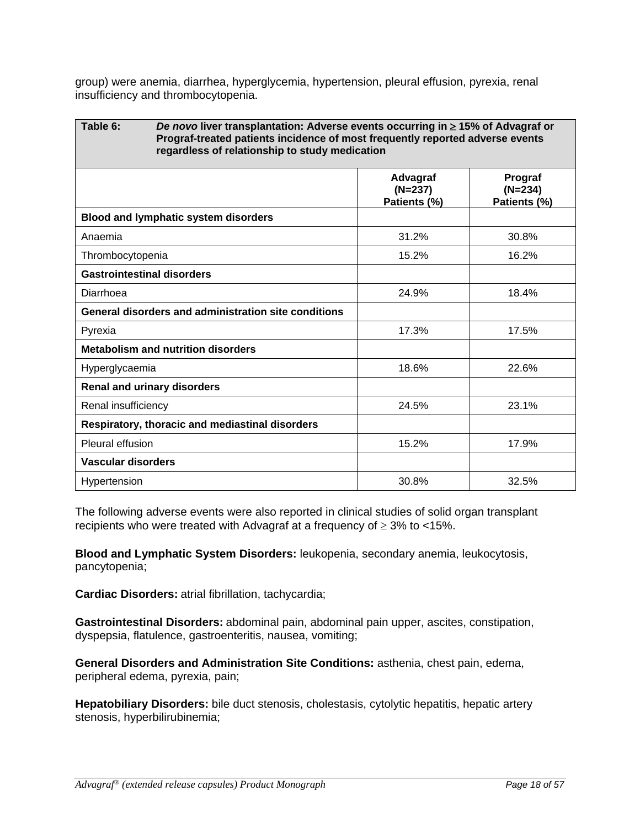group) were anemia, diarrhea, hyperglycemia, hypertension, pleural effusion, pyrexia, renal insufficiency and thrombocytopenia.

| Table 6:                                        | De novo liver transplantation: Adverse events occurring in $\geq$ 15% of Advagraf or<br>Prograf-treated patients incidence of most frequently reported adverse events<br>regardless of relationship to study medication |                                       |                                      |
|-------------------------------------------------|-------------------------------------------------------------------------------------------------------------------------------------------------------------------------------------------------------------------------|---------------------------------------|--------------------------------------|
|                                                 |                                                                                                                                                                                                                         | Advagraf<br>$(N=237)$<br>Patients (%) | Prograf<br>$(N=234)$<br>Patients (%) |
| <b>Blood and lymphatic system disorders</b>     |                                                                                                                                                                                                                         |                                       |                                      |
| Anaemia                                         |                                                                                                                                                                                                                         | 31.2%                                 | 30.8%                                |
| Thrombocytopenia                                |                                                                                                                                                                                                                         | 15.2%                                 | 16.2%                                |
| <b>Gastrointestinal disorders</b>               |                                                                                                                                                                                                                         |                                       |                                      |
| Diarrhoea                                       |                                                                                                                                                                                                                         | 24.9%                                 | 18.4%                                |
|                                                 | General disorders and administration site conditions                                                                                                                                                                    |                                       |                                      |
| Pyrexia                                         |                                                                                                                                                                                                                         | 17.3%                                 | 17.5%                                |
| <b>Metabolism and nutrition disorders</b>       |                                                                                                                                                                                                                         |                                       |                                      |
| Hyperglycaemia                                  |                                                                                                                                                                                                                         | 18.6%                                 | 22.6%                                |
| <b>Renal and urinary disorders</b>              |                                                                                                                                                                                                                         |                                       |                                      |
| Renal insufficiency                             |                                                                                                                                                                                                                         | 24.5%                                 | 23.1%                                |
| Respiratory, thoracic and mediastinal disorders |                                                                                                                                                                                                                         |                                       |                                      |
| Pleural effusion                                |                                                                                                                                                                                                                         | 15.2%                                 | 17.9%                                |
| <b>Vascular disorders</b>                       |                                                                                                                                                                                                                         |                                       |                                      |
| Hypertension                                    |                                                                                                                                                                                                                         | 30.8%                                 | 32.5%                                |

The following adverse events were also reported in clinical studies of solid organ transplant recipients who were treated with Advagraf at a frequency of  $\geq$  3% to <15%.

**Blood and Lymphatic System Disorders:** leukopenia, secondary anemia, leukocytosis, pancytopenia;

**Cardiac Disorders:** atrial fibrillation, tachycardia;

**Gastrointestinal Disorders:** abdominal pain, abdominal pain upper, ascites, constipation, dyspepsia, flatulence, gastroenteritis, nausea, vomiting;

**General Disorders and Administration Site Conditions:** asthenia, chest pain, edema, peripheral edema, pyrexia, pain;

**Hepatobiliary Disorders:** bile duct stenosis, cholestasis, cytolytic hepatitis, hepatic artery stenosis, hyperbilirubinemia;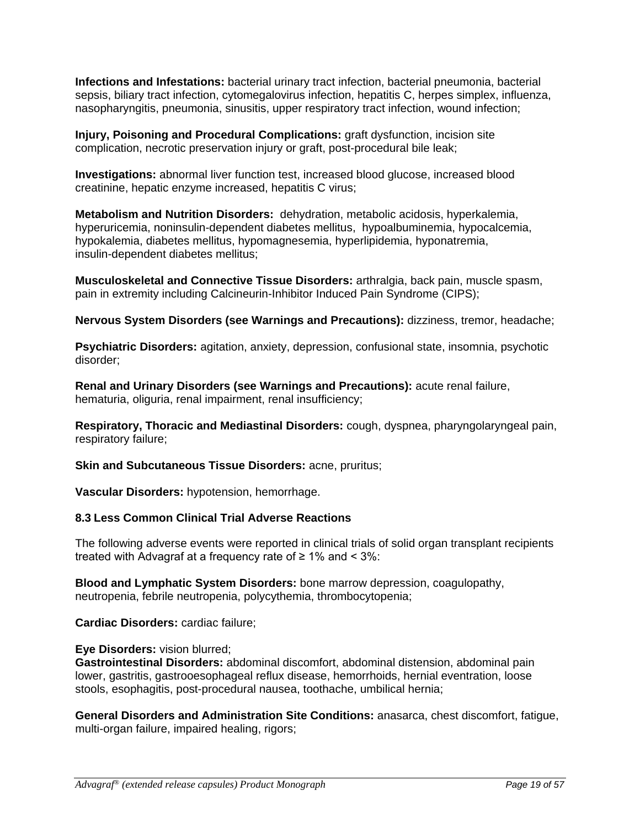**Infections and Infestations:** bacterial urinary tract infection, bacterial pneumonia, bacterial sepsis, biliary tract infection, cytomegalovirus infection, hepatitis C, herpes simplex, influenza, nasopharyngitis, pneumonia, sinusitis, upper respiratory tract infection, wound infection;

**Injury, Poisoning and Procedural Complications:** graft dysfunction, incision site complication, necrotic preservation injury or graft, post-procedural bile leak;

**Investigations:** abnormal liver function test, increased blood glucose, increased blood creatinine, hepatic enzyme increased, hepatitis C virus;

**Metabolism and Nutrition Disorders:** dehydration, metabolic acidosis, hyperkalemia, hyperuricemia, noninsulin-dependent diabetes mellitus, hypoalbuminemia, hypocalcemia, hypokalemia, diabetes mellitus, hypomagnesemia, hyperlipidemia, hyponatremia, insulin-dependent diabetes mellitus;

**Musculoskeletal and Connective Tissue Disorders:** arthralgia, back pain, muscle spasm, pain in extremity including Calcineurin-Inhibitor Induced Pain Syndrome (CIPS);

**Nervous System Disorders (see Warnings and Precautions):** dizziness, tremor, headache;

**Psychiatric Disorders:** agitation, anxiety, depression, confusional state, insomnia, psychotic disorder;

**Renal and Urinary Disorders (see Warnings and Precautions):** acute renal failure, hematuria, oliguria, renal impairment, renal insufficiency;

**Respiratory, Thoracic and Mediastinal Disorders:** cough, dyspnea, pharyngolaryngeal pain, respiratory failure;

**Skin and Subcutaneous Tissue Disorders:** acne, pruritus;

**Vascular Disorders:** hypotension, hemorrhage.

## **8.3 Less Common Clinical Trial Adverse Reactions**

The following adverse events were reported in clinical trials of solid organ transplant recipients treated with Advagraf at a frequency rate of  $\geq 1\%$  and  $\leq 3\%$ :

**Blood and Lymphatic System Disorders:** bone marrow depression, coagulopathy, neutropenia, febrile neutropenia, polycythemia, thrombocytopenia;

**Cardiac Disorders:** cardiac failure;

**Eye Disorders:** vision blurred;

**Gastrointestinal Disorders:** abdominal discomfort, abdominal distension, abdominal pain lower, gastritis, gastrooesophageal reflux disease, hemorrhoids, hernial eventration, loose stools, esophagitis, post-procedural nausea, toothache, umbilical hernia;

**General Disorders and Administration Site Conditions:** anasarca, chest discomfort, fatigue, multi-organ failure, impaired healing, rigors;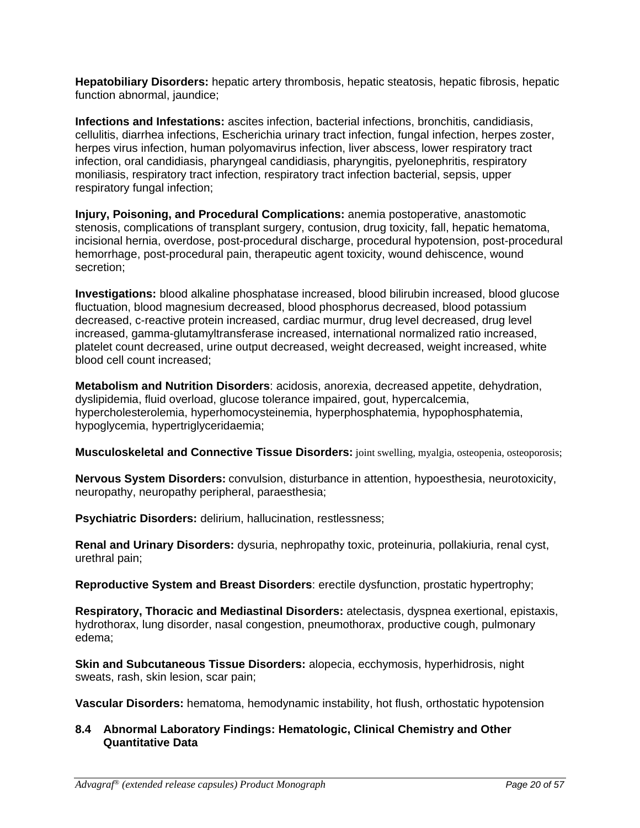**Hepatobiliary Disorders:** hepatic artery thrombosis, hepatic steatosis, hepatic fibrosis, hepatic function abnormal, jaundice;

**Infections and Infestations:** ascites infection, bacterial infections, bronchitis, candidiasis, cellulitis, diarrhea infections, Escherichia urinary tract infection, fungal infection, herpes zoster, herpes virus infection, human polyomavirus infection, liver abscess, lower respiratory tract infection, oral candidiasis, pharyngeal candidiasis, pharyngitis, pyelonephritis, respiratory moniliasis, respiratory tract infection, respiratory tract infection bacterial, sepsis, upper respiratory fungal infection;

**Injury, Poisoning, and Procedural Complications:** anemia postoperative, anastomotic stenosis, complications of transplant surgery, contusion, drug toxicity, fall, hepatic hematoma, incisional hernia, overdose, post-procedural discharge, procedural hypotension, post-procedural hemorrhage, post-procedural pain, therapeutic agent toxicity, wound dehiscence, wound secretion;

**Investigations:** blood alkaline phosphatase increased, blood bilirubin increased, blood glucose fluctuation, blood magnesium decreased, blood phosphorus decreased, blood potassium decreased, c-reactive protein increased, cardiac murmur, drug level decreased, drug level increased, gamma-glutamyltransferase increased, international normalized ratio increased, platelet count decreased, urine output decreased, weight decreased, weight increased, white blood cell count increased;

**Metabolism and Nutrition Disorders**: acidosis, anorexia, decreased appetite, dehydration, dyslipidemia, fluid overload, glucose tolerance impaired, gout, hypercalcemia, hypercholesterolemia, hyperhomocysteinemia, hyperphosphatemia, hypophosphatemia, hypoglycemia, hypertriglyceridaemia;

**Musculoskeletal and Connective Tissue Disorders:** joint swelling, myalgia, osteopenia, osteoporosis;

**Nervous System Disorders:** convulsion, disturbance in attention, hypoesthesia, neurotoxicity, neuropathy, neuropathy peripheral, paraesthesia;

**Psychiatric Disorders:** delirium, hallucination, restlessness;

**Renal and Urinary Disorders:** dysuria, nephropathy toxic, proteinuria, pollakiuria, renal cyst, urethral pain;

**Reproductive System and Breast Disorders**: erectile dysfunction, prostatic hypertrophy;

**Respiratory, Thoracic and Mediastinal Disorders:** atelectasis, dyspnea exertional, epistaxis, hydrothorax, lung disorder, nasal congestion, pneumothorax, productive cough, pulmonary edema;

**Skin and Subcutaneous Tissue Disorders:** alopecia, ecchymosis, hyperhidrosis, night sweats, rash, skin lesion, scar pain;

**Vascular Disorders:** hematoma, hemodynamic instability, hot flush, orthostatic hypotension

# **8.4 Abnormal Laboratory Findings: Hematologic, Clinical Chemistry and Other Quantitative Data**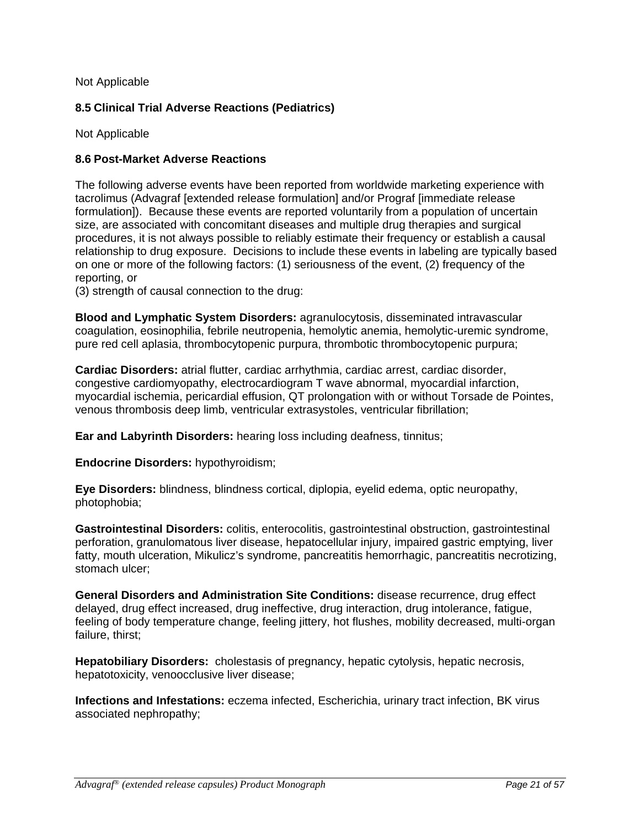## Not Applicable

# **8.5 Clinical Trial Adverse Reactions (Pediatrics)**

Not Applicable

# **8.6 Post-Market Adverse Reactions**

The following adverse events have been reported from worldwide marketing experience with tacrolimus (Advagraf [extended release formulation] and/or Prograf [immediate release formulation]). Because these events are reported voluntarily from a population of uncertain size, are associated with concomitant diseases and multiple drug therapies and surgical procedures, it is not always possible to reliably estimate their frequency or establish a causal relationship to drug exposure. Decisions to include these events in labeling are typically based on one or more of the following factors: (1) seriousness of the event, (2) frequency of the reporting, or

(3) strength of causal connection to the drug:

**Blood and Lymphatic System Disorders:** agranulocytosis, disseminated intravascular coagulation, eosinophilia, febrile neutropenia, hemolytic anemia, hemolytic-uremic syndrome, pure red cell aplasia, thrombocytopenic purpura, thrombotic thrombocytopenic purpura;

**Cardiac Disorders:** atrial flutter, cardiac arrhythmia, cardiac arrest, cardiac disorder, congestive cardiomyopathy, electrocardiogram T wave abnormal, myocardial infarction, myocardial ischemia, pericardial effusion, QT prolongation with or without Torsade de Pointes, venous thrombosis deep limb, ventricular extrasystoles, ventricular fibrillation;

**Ear and Labyrinth Disorders:** hearing loss including deafness, tinnitus;

**Endocrine Disorders:** hypothyroidism;

**Eye Disorders:** blindness, blindness cortical, diplopia, eyelid edema, optic neuropathy, photophobia;

**Gastrointestinal Disorders:** colitis, enterocolitis, gastrointestinal obstruction, gastrointestinal perforation, granulomatous liver disease, hepatocellular injury, impaired gastric emptying, liver fatty, mouth ulceration, Mikulicz's syndrome, pancreatitis hemorrhagic, pancreatitis necrotizing, stomach ulcer;

**General Disorders and Administration Site Conditions:** disease recurrence, drug effect delayed, drug effect increased, drug ineffective, drug interaction, drug intolerance, fatigue, feeling of body temperature change, feeling jittery, hot flushes, mobility decreased, multi-organ failure, thirst;

**Hepatobiliary Disorders:** cholestasis of pregnancy, hepatic cytolysis, hepatic necrosis, hepatotoxicity, venoocclusive liver disease;

**Infections and Infestations:** eczema infected, Escherichia, urinary tract infection, BK virus associated nephropathy;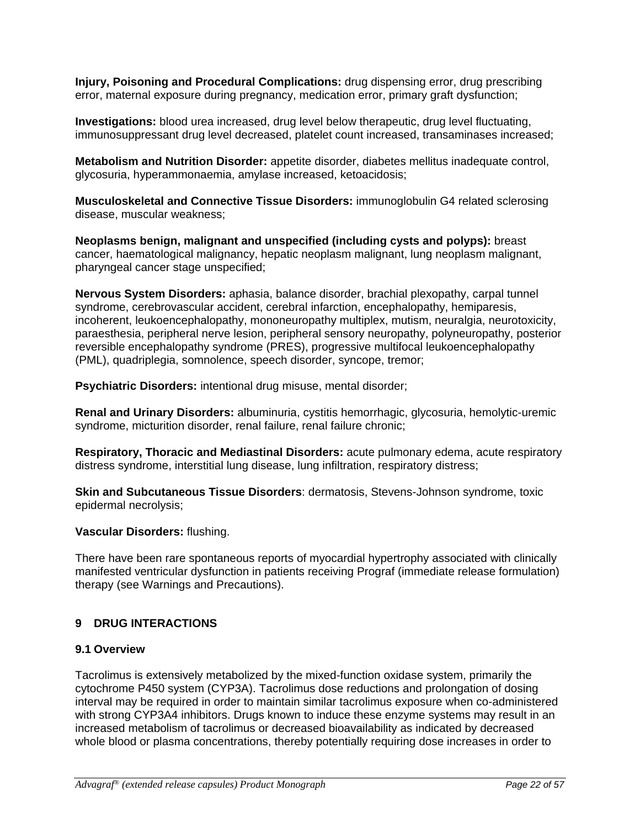**Injury, Poisoning and Procedural Complications:** drug dispensing error, drug prescribing error, maternal exposure during pregnancy, medication error, primary graft dysfunction;

**Investigations:** blood urea increased, drug level below therapeutic, drug level fluctuating, immunosuppressant drug level decreased, platelet count increased, transaminases increased;

**Metabolism and Nutrition Disorder:** appetite disorder, diabetes mellitus inadequate control, glycosuria, hyperammonaemia, amylase increased, ketoacidosis;

**Musculoskeletal and Connective Tissue Disorders:** immunoglobulin G4 related sclerosing disease, muscular weakness;

**Neoplasms benign, malignant and unspecified (including cysts and polyps):** breast cancer, haematological malignancy, hepatic neoplasm malignant, lung neoplasm malignant, pharyngeal cancer stage unspecified;

**Nervous System Disorders:** aphasia, balance disorder, brachial plexopathy, carpal tunnel syndrome, cerebrovascular accident, cerebral infarction, encephalopathy, hemiparesis, incoherent, leukoencephalopathy, mononeuropathy multiplex, mutism, neuralgia, neurotoxicity, paraesthesia, peripheral nerve lesion, peripheral sensory neuropathy, polyneuropathy, posterior reversible encephalopathy syndrome (PRES), progressive multifocal leukoencephalopathy (PML), quadriplegia, somnolence, speech disorder, syncope, tremor;

**Psychiatric Disorders:** intentional drug misuse, mental disorder;

**Renal and Urinary Disorders:** albuminuria, cystitis hemorrhagic, glycosuria, hemolytic-uremic syndrome, micturition disorder, renal failure, renal failure chronic;

**Respiratory, Thoracic and Mediastinal Disorders:** acute pulmonary edema, acute respiratory distress syndrome, interstitial lung disease, lung infiltration, respiratory distress;

**Skin and Subcutaneous Tissue Disorders**: dermatosis, Stevens-Johnson syndrome, toxic epidermal necrolysis;

## **Vascular Disorders:** flushing.

There have been rare spontaneous reports of myocardial hypertrophy associated with clinically manifested ventricular dysfunction in patients receiving Prograf (immediate release formulation) therapy (see Warnings and Precautions).

## **9 DRUG INTERACTIONS**

## **9.1 Overview**

Tacrolimus is extensively metabolized by the mixed-function oxidase system, primarily the cytochrome P450 system (CYP3A). Tacrolimus dose reductions and prolongation of dosing interval may be required in order to maintain similar tacrolimus exposure when co-administered with strong CYP3A4 inhibitors. Drugs known to induce these enzyme systems may result in an increased metabolism of tacrolimus or decreased bioavailability as indicated by decreased whole blood or plasma concentrations, thereby potentially requiring dose increases in order to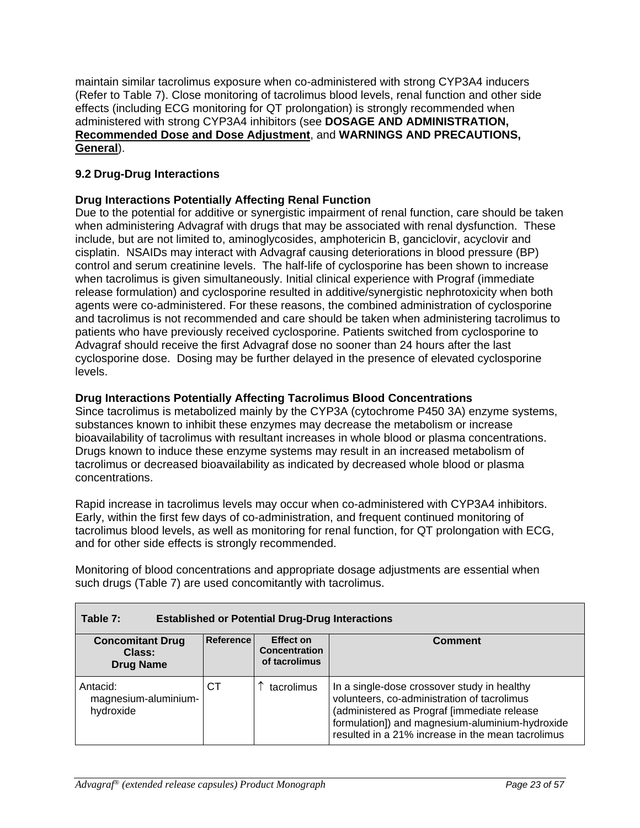maintain similar tacrolimus exposure when co-administered with strong CYP3A4 inducers (Refer to Table 7). Close monitoring of tacrolimus blood levels, renal function and other side effects (including ECG monitoring for QT prolongation) is strongly recommended when administered with strong CYP3A4 inhibitors (see **DOSAGE AND ADMINISTRATION, Recommended Dose and Dose Adjustment**, and **WARNINGS AND PRECAUTIONS, General**).

# **9.2 Drug-Drug Interactions**

# **Drug Interactions Potentially Affecting Renal Function**

Due to the potential for additive or synergistic impairment of renal function, care should be taken when administering Advagraf with drugs that may be associated with renal dysfunction. These include, but are not limited to, aminoglycosides, amphotericin B, ganciclovir, acyclovir and cisplatin. NSAIDs may interact with Advagraf causing deteriorations in blood pressure (BP) control and serum creatinine levels. The half-life of cyclosporine has been shown to increase when tacrolimus is given simultaneously. Initial clinical experience with Prograf (immediate release formulation) and cyclosporine resulted in additive/synergistic nephrotoxicity when both agents were co-administered. For these reasons, the combined administration of cyclosporine and tacrolimus is not recommended and care should be taken when administering tacrolimus to patients who have previously received cyclosporine. Patients switched from cyclosporine to Advagraf should receive the first Advagraf dose no sooner than 24 hours after the last cyclosporine dose. Dosing may be further delayed in the presence of elevated cyclosporine levels.

## **Drug Interactions Potentially Affecting Tacrolimus Blood Concentrations**

Since tacrolimus is metabolized mainly by the CYP3A (cytochrome P450 3A) enzyme systems, substances known to inhibit these enzymes may decrease the metabolism or increase bioavailability of tacrolimus with resultant increases in whole blood or plasma concentrations. Drugs known to induce these enzyme systems may result in an increased metabolism of tacrolimus or decreased bioavailability as indicated by decreased whole blood or plasma concentrations.

Rapid increase in tacrolimus levels may occur when co-administered with CYP3A4 inhibitors. Early, within the first few days of co-administration, and frequent continued monitoring of tacrolimus blood levels, as well as monitoring for renal function, for QT prolongation with ECG, and for other side effects is strongly recommended.

Monitoring of blood concentrations and appropriate dosage adjustments are essential when such drugs (Table 7) are used concomitantly with tacrolimus.

| Table 7:<br><b>Established or Potential Drug-Drug Interactions</b> |           |                                                           |                                                                                                                                                                                                                                                   |  |  |
|--------------------------------------------------------------------|-----------|-----------------------------------------------------------|---------------------------------------------------------------------------------------------------------------------------------------------------------------------------------------------------------------------------------------------------|--|--|
| <b>Concomitant Drug</b><br>Class:<br><b>Drug Name</b>              | Reference | <b>Effect on</b><br><b>Concentration</b><br>of tacrolimus | Comment                                                                                                                                                                                                                                           |  |  |
| Antacid:<br>magnesium-aluminium-<br>hydroxide                      | CТ        | tacrolimus                                                | In a single-dose crossover study in healthy<br>volunteers, co-administration of tacrolimus<br>(administered as Prograf [immediate release<br>formulation]) and magnesium-aluminium-hydroxide<br>resulted in a 21% increase in the mean tacrolimus |  |  |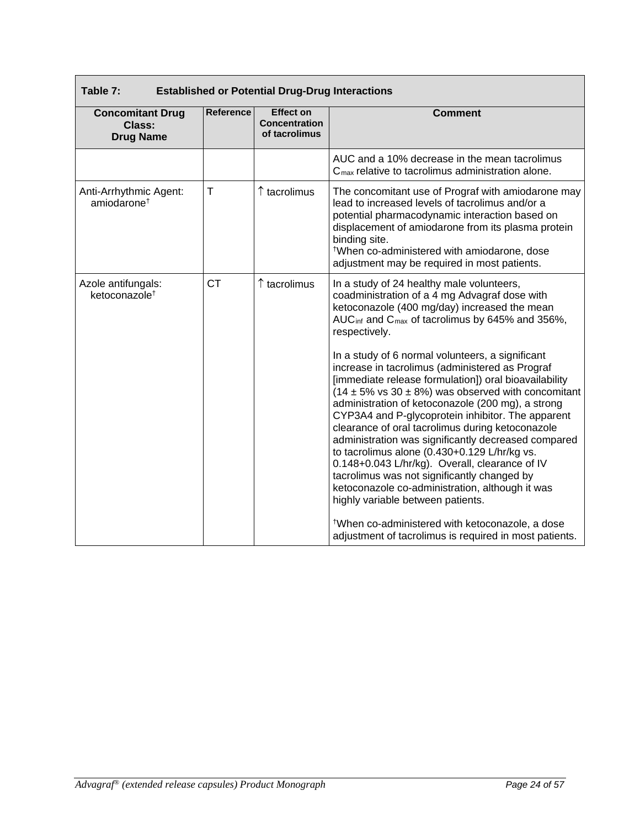| <b>Established or Potential Drug-Drug Interactions</b><br>Table 7: |                  |                                                           |                                                                                                                                                                                                                                                                                                                                                                                                                                                                                                                                                                                                                                                                                                   |  |
|--------------------------------------------------------------------|------------------|-----------------------------------------------------------|---------------------------------------------------------------------------------------------------------------------------------------------------------------------------------------------------------------------------------------------------------------------------------------------------------------------------------------------------------------------------------------------------------------------------------------------------------------------------------------------------------------------------------------------------------------------------------------------------------------------------------------------------------------------------------------------------|--|
| <b>Concomitant Drug</b><br><b>Class:</b><br><b>Drug Name</b>       | <b>Reference</b> | <b>Effect on</b><br><b>Concentration</b><br>of tacrolimus | <b>Comment</b>                                                                                                                                                                                                                                                                                                                                                                                                                                                                                                                                                                                                                                                                                    |  |
|                                                                    |                  |                                                           | AUC and a 10% decrease in the mean tacrolimus<br>$Cmax$ relative to tacrolimus administration alone.                                                                                                                                                                                                                                                                                                                                                                                                                                                                                                                                                                                              |  |
| Anti-Arrhythmic Agent:<br>amiodarone <sup>†</sup>                  | T                | $\uparrow$ tacrolimus                                     | The concomitant use of Prograf with amiodarone may<br>lead to increased levels of tacrolimus and/or a<br>potential pharmacodynamic interaction based on<br>displacement of amiodarone from its plasma protein<br>binding site.<br><sup>†</sup> When co-administered with amiodarone, dose<br>adjustment may be required in most patients.                                                                                                                                                                                                                                                                                                                                                         |  |
| Azole antifungals:<br>ketoconazole <sup>+</sup>                    | <b>CT</b>        | ↑ tacrolimus                                              | In a study of 24 healthy male volunteers,<br>coadministration of a 4 mg Advagraf dose with<br>ketoconazole (400 mg/day) increased the mean<br>AUC <sub>inf</sub> and C <sub>max</sub> of tacrolimus by 645% and 356%,<br>respectively.                                                                                                                                                                                                                                                                                                                                                                                                                                                            |  |
|                                                                    |                  |                                                           | In a study of 6 normal volunteers, a significant<br>increase in tacrolimus (administered as Prograf<br>[immediate release formulation]) oral bioavailability<br>$(14 \pm 5\% \text{ vs } 30 \pm 8\%)$ was observed with concomitant<br>administration of ketoconazole (200 mg), a strong<br>CYP3A4 and P-glycoprotein inhibitor. The apparent<br>clearance of oral tacrolimus during ketoconazole<br>administration was significantly decreased compared<br>to tacrolimus alone (0.430+0.129 L/hr/kg vs.<br>0.148+0.043 L/hr/kg). Overall, clearance of IV<br>tacrolimus was not significantly changed by<br>ketoconazole co-administration, although it was<br>highly variable between patients. |  |
|                                                                    |                  |                                                           | <sup>†</sup> When co-administered with ketoconazole, a dose<br>adjustment of tacrolimus is required in most patients.                                                                                                                                                                                                                                                                                                                                                                                                                                                                                                                                                                             |  |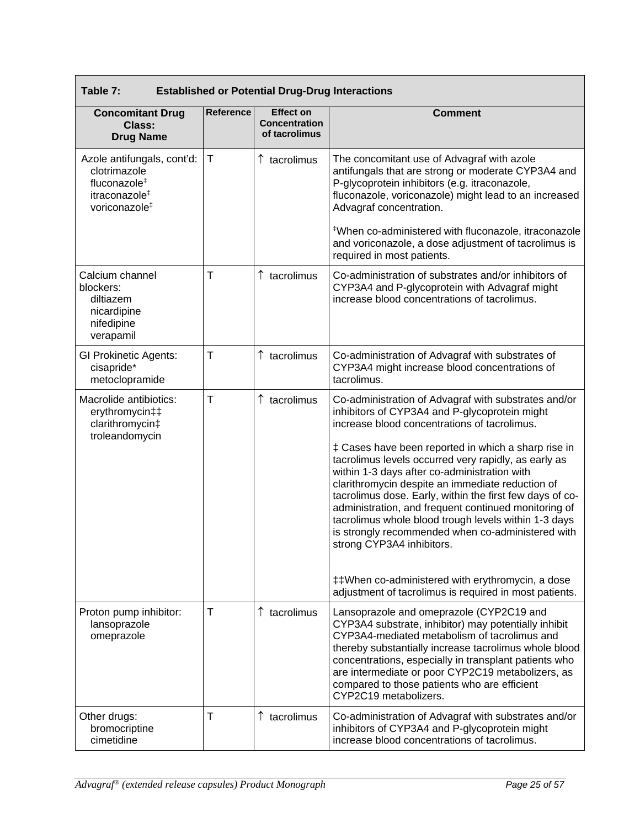| Table 7:<br><b>Established or Potential Drug-Drug Interactions</b>                                                               |              |                                                           |                                                                                                                                                                                                                                                                                                                                                                                                                                                                                                                                                                                                                                                                                                                                                      |  |
|----------------------------------------------------------------------------------------------------------------------------------|--------------|-----------------------------------------------------------|------------------------------------------------------------------------------------------------------------------------------------------------------------------------------------------------------------------------------------------------------------------------------------------------------------------------------------------------------------------------------------------------------------------------------------------------------------------------------------------------------------------------------------------------------------------------------------------------------------------------------------------------------------------------------------------------------------------------------------------------------|--|
| <b>Concomitant Drug</b><br><b>Class:</b><br><b>Drug Name</b>                                                                     | Reference    | <b>Effect on</b><br><b>Concentration</b><br>of tacrolimus | <b>Comment</b>                                                                                                                                                                                                                                                                                                                                                                                                                                                                                                                                                                                                                                                                                                                                       |  |
| Azole antifungals, cont'd:<br>clotrimazole<br>fluconazole <sup>#</sup><br>itraconazole <sup>#</sup><br>voriconazole <sup>#</sup> | Т            | $\uparrow$ tacrolimus                                     | The concomitant use of Advagraf with azole<br>antifungals that are strong or moderate CYP3A4 and<br>P-glycoprotein inhibitors (e.g. itraconazole,<br>fluconazole, voriconazole) might lead to an increased<br>Advagraf concentration.<br>*When co-administered with fluconazole, itraconazole<br>and voriconazole, a dose adjustment of tacrolimus is<br>required in most patients.                                                                                                                                                                                                                                                                                                                                                                  |  |
| Calcium channel<br>blockers:<br>diltiazem<br>nicardipine<br>nifedipine<br>verapamil                                              | $\mathsf{T}$ | $\uparrow$ tacrolimus                                     | Co-administration of substrates and/or inhibitors of<br>CYP3A4 and P-glycoprotein with Advagraf might<br>increase blood concentrations of tacrolimus.                                                                                                                                                                                                                                                                                                                                                                                                                                                                                                                                                                                                |  |
| <b>GI Prokinetic Agents:</b><br>cisapride*<br>metoclopramide                                                                     | $\mathsf{T}$ | $\uparrow$ tacrolimus                                     | Co-administration of Advagraf with substrates of<br>CYP3A4 might increase blood concentrations of<br>tacrolimus.                                                                                                                                                                                                                                                                                                                                                                                                                                                                                                                                                                                                                                     |  |
| Macrolide antibiotics:<br>erythromycin‡‡<br>clarithromycin‡<br>troleandomycin                                                    | $\mathsf T$  | $\uparrow$ tacrolimus                                     | Co-administration of Advagraf with substrates and/or<br>inhibitors of CYP3A4 and P-glycoprotein might<br>increase blood concentrations of tacrolimus.<br>‡ Cases have been reported in which a sharp rise in<br>tacrolimus levels occurred very rapidly, as early as<br>within 1-3 days after co-administration with<br>clarithromycin despite an immediate reduction of<br>tacrolimus dose. Early, within the first few days of co-<br>administration, and frequent continued monitoring of<br>tacrolimus whole blood trough levels within 1-3 days<br>is strongly recommended when co-administered with<br>strong CYP3A4 inhibitors.<br>##When co-administered with erythromycin, a dose<br>adjustment of tacrolimus is required in most patients. |  |
| Proton pump inhibitor:<br>lansoprazole<br>omeprazole                                                                             | $\mathsf{T}$ | $\uparrow$ tacrolimus                                     | Lansoprazole and omeprazole (CYP2C19 and<br>CYP3A4 substrate, inhibitor) may potentially inhibit<br>CYP3A4-mediated metabolism of tacrolimus and<br>thereby substantially increase tacrolimus whole blood<br>concentrations, especially in transplant patients who<br>are intermediate or poor CYP2C19 metabolizers, as<br>compared to those patients who are efficient<br>CYP2C19 metabolizers.                                                                                                                                                                                                                                                                                                                                                     |  |
| Other drugs:<br>bromocriptine<br>cimetidine                                                                                      | Т            | $\uparrow$ tacrolimus                                     | Co-administration of Advagraf with substrates and/or<br>inhibitors of CYP3A4 and P-glycoprotein might<br>increase blood concentrations of tacrolimus.                                                                                                                                                                                                                                                                                                                                                                                                                                                                                                                                                                                                |  |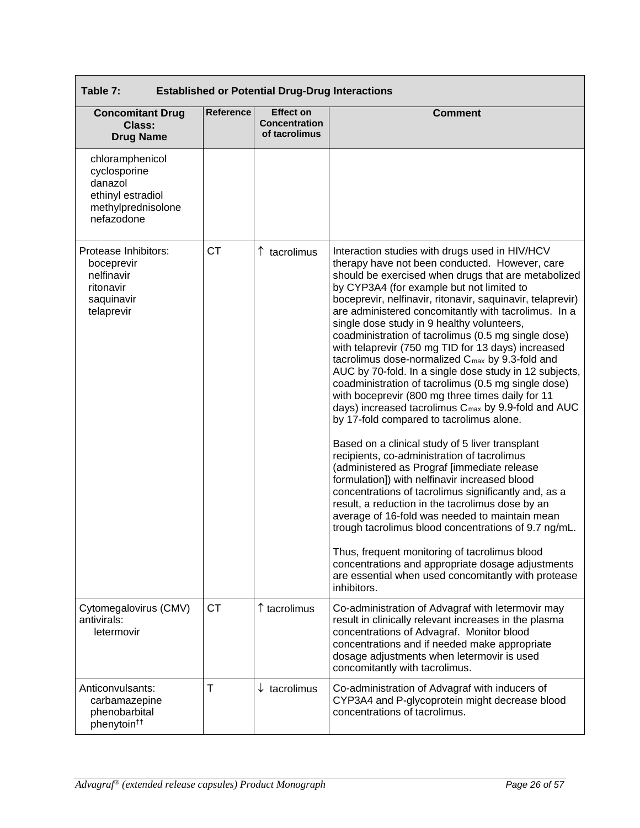| Table 7:<br><b>Established or Potential Drug-Drug Interactions</b>                                  |           |                                                           |                                                                                                                                                                                                                                                                                                                                                                                                                                                                                                                                                                                                                                                                                                                                                                                                                                                                                                                                                                                                                                                                                                                                                                                                                                                                                                                                                                                                                                              |  |  |
|-----------------------------------------------------------------------------------------------------|-----------|-----------------------------------------------------------|----------------------------------------------------------------------------------------------------------------------------------------------------------------------------------------------------------------------------------------------------------------------------------------------------------------------------------------------------------------------------------------------------------------------------------------------------------------------------------------------------------------------------------------------------------------------------------------------------------------------------------------------------------------------------------------------------------------------------------------------------------------------------------------------------------------------------------------------------------------------------------------------------------------------------------------------------------------------------------------------------------------------------------------------------------------------------------------------------------------------------------------------------------------------------------------------------------------------------------------------------------------------------------------------------------------------------------------------------------------------------------------------------------------------------------------------|--|--|
| <b>Concomitant Drug</b><br><b>Class:</b><br><b>Drug Name</b>                                        | Reference | <b>Effect on</b><br><b>Concentration</b><br>of tacrolimus | <b>Comment</b>                                                                                                                                                                                                                                                                                                                                                                                                                                                                                                                                                                                                                                                                                                                                                                                                                                                                                                                                                                                                                                                                                                                                                                                                                                                                                                                                                                                                                               |  |  |
| chloramphenicol<br>cyclosporine<br>danazol<br>ethinyl estradiol<br>methylprednisolone<br>nefazodone |           |                                                           |                                                                                                                                                                                                                                                                                                                                                                                                                                                                                                                                                                                                                                                                                                                                                                                                                                                                                                                                                                                                                                                                                                                                                                                                                                                                                                                                                                                                                                              |  |  |
| Protease Inhibitors:<br>boceprevir<br>nelfinavir<br>ritonavir<br>saquinavir<br>telaprevir           | <b>CT</b> | ↑ tacrolimus                                              | Interaction studies with drugs used in HIV/HCV<br>therapy have not been conducted. However, care<br>should be exercised when drugs that are metabolized<br>by CYP3A4 (for example but not limited to<br>boceprevir, nelfinavir, ritonavir, saquinavir, telaprevir)<br>are administered concomitantly with tacrolimus. In a<br>single dose study in 9 healthy volunteers,<br>coadministration of tacrolimus (0.5 mg single dose)<br>with telaprevir (750 mg TID for 13 days) increased<br>tacrolimus dose-normalized C <sub>max</sub> by 9.3-fold and<br>AUC by 70-fold. In a single dose study in 12 subjects,<br>coadministration of tacrolimus (0.5 mg single dose)<br>with boceprevir (800 mg three times daily for 11<br>days) increased tacrolimus C <sub>max</sub> by 9.9-fold and AUC<br>by 17-fold compared to tacrolimus alone.<br>Based on a clinical study of 5 liver transplant<br>recipients, co-administration of tacrolimus<br>(administered as Prograf [immediate release<br>formulation]) with nelfinavir increased blood<br>concentrations of tacrolimus significantly and, as a<br>result, a reduction in the tacrolimus dose by an<br>average of 16-fold was needed to maintain mean<br>trough tacrolimus blood concentrations of 9.7 ng/mL.<br>Thus, frequent monitoring of tacrolimus blood<br>concentrations and appropriate dosage adjustments<br>are essential when used concomitantly with protease<br>inhibitors. |  |  |
| Cytomegalovirus (CMV)<br>antivirals:<br>letermovir                                                  | СT        | $\uparrow$ tacrolimus                                     | Co-administration of Advagraf with letermovir may<br>result in clinically relevant increases in the plasma<br>concentrations of Advagraf. Monitor blood<br>concentrations and if needed make appropriate<br>dosage adjustments when letermovir is used<br>concomitantly with tacrolimus.                                                                                                                                                                                                                                                                                                                                                                                                                                                                                                                                                                                                                                                                                                                                                                                                                                                                                                                                                                                                                                                                                                                                                     |  |  |
| Anticonvulsants:<br>carbamazepine<br>phenobarbital<br>phenytoin <sup>††</sup>                       | T         | $\downarrow$ tacrolimus                                   | Co-administration of Advagraf with inducers of<br>CYP3A4 and P-glycoprotein might decrease blood<br>concentrations of tacrolimus.                                                                                                                                                                                                                                                                                                                                                                                                                                                                                                                                                                                                                                                                                                                                                                                                                                                                                                                                                                                                                                                                                                                                                                                                                                                                                                            |  |  |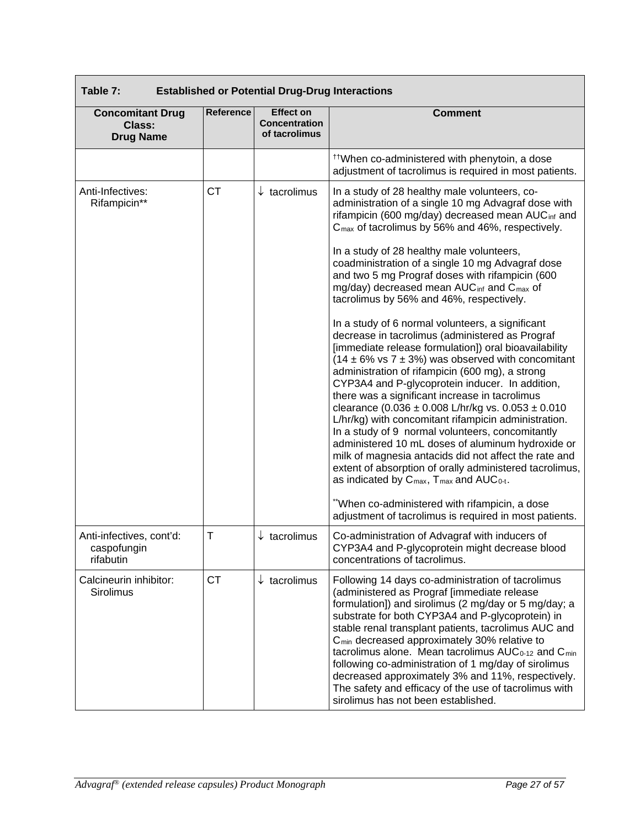| Table 7:<br><b>Established or Potential Drug-Drug Interactions</b> |                  |                                                           |                                                                                                                                                                                                                                                                                                                                                                                                                                                                                                                                                                                                                                                                                                                                                                                                                                                                                                                                                                                                                                                                                                                                                                                                                                                                                                                                                     |  |  |  |
|--------------------------------------------------------------------|------------------|-----------------------------------------------------------|-----------------------------------------------------------------------------------------------------------------------------------------------------------------------------------------------------------------------------------------------------------------------------------------------------------------------------------------------------------------------------------------------------------------------------------------------------------------------------------------------------------------------------------------------------------------------------------------------------------------------------------------------------------------------------------------------------------------------------------------------------------------------------------------------------------------------------------------------------------------------------------------------------------------------------------------------------------------------------------------------------------------------------------------------------------------------------------------------------------------------------------------------------------------------------------------------------------------------------------------------------------------------------------------------------------------------------------------------------|--|--|--|
| <b>Concomitant Drug</b><br><b>Class:</b><br><b>Drug Name</b>       | <b>Reference</b> | <b>Effect on</b><br><b>Concentration</b><br>of tacrolimus | <b>Comment</b>                                                                                                                                                                                                                                                                                                                                                                                                                                                                                                                                                                                                                                                                                                                                                                                                                                                                                                                                                                                                                                                                                                                                                                                                                                                                                                                                      |  |  |  |
|                                                                    |                  |                                                           | <sup>††</sup> When co-administered with phenytoin, a dose<br>adjustment of tacrolimus is required in most patients.                                                                                                                                                                                                                                                                                                                                                                                                                                                                                                                                                                                                                                                                                                                                                                                                                                                                                                                                                                                                                                                                                                                                                                                                                                 |  |  |  |
| Anti-Infectives:<br>Rifampicin**                                   | <b>CT</b>        | $\downarrow$ tacrolimus                                   | In a study of 28 healthy male volunteers, co-<br>administration of a single 10 mg Advagraf dose with<br>rifampicin (600 mg/day) decreased mean AUC <sub>inf</sub> and<br>C <sub>max</sub> of tacrolimus by 56% and 46%, respectively.<br>In a study of 28 healthy male volunteers,<br>coadministration of a single 10 mg Advagraf dose<br>and two 5 mg Prograf doses with rifampicin (600<br>mg/day) decreased mean AUC <sub>inf</sub> and C <sub>max</sub> of<br>tacrolimus by 56% and 46%, respectively.<br>In a study of 6 normal volunteers, a significant<br>decrease in tacrolimus (administered as Prograf<br>[immediate release formulation]) oral bioavailability<br>$(14 \pm 6\% \text{ vs } 7 \pm 3\%)$ was observed with concomitant<br>administration of rifampicin (600 mg), a strong<br>CYP3A4 and P-glycoprotein inducer. In addition,<br>there was a significant increase in tacrolimus<br>clearance $(0.036 \pm 0.008 \text{ L/hr/kg}$ vs. $0.053 \pm 0.010$<br>L/hr/kg) with concomitant rifampicin administration.<br>In a study of 9 normal volunteers, concomitantly<br>administered 10 mL doses of aluminum hydroxide or<br>milk of magnesia antacids did not affect the rate and<br>extent of absorption of orally administered tacrolimus,<br>as indicated by C <sub>max</sub> , T <sub>max</sub> and AUC <sub>0-t</sub> . |  |  |  |
|                                                                    |                  |                                                           | "When co-administered with rifampicin, a dose<br>adjustment of tacrolimus is required in most patients.                                                                                                                                                                                                                                                                                                                                                                                                                                                                                                                                                                                                                                                                                                                                                                                                                                                                                                                                                                                                                                                                                                                                                                                                                                             |  |  |  |
| Anti-infectives, cont'd:<br>caspofungin<br>rifabutin               | T                | $\downarrow$ tacrolimus                                   | Co-administration of Advagraf with inducers of<br>CYP3A4 and P-glycoprotein might decrease blood<br>concentrations of tacrolimus.                                                                                                                                                                                                                                                                                                                                                                                                                                                                                                                                                                                                                                                                                                                                                                                                                                                                                                                                                                                                                                                                                                                                                                                                                   |  |  |  |
| Calcineurin inhibitor:<br>Sirolimus                                | <b>CT</b>        | $\downarrow$ tacrolimus                                   | Following 14 days co-administration of tacrolimus<br>(administered as Prograf [immediate release<br>formulation]) and sirolimus (2 mg/day or 5 mg/day; a<br>substrate for both CYP3A4 and P-glycoprotein) in<br>stable renal transplant patients, tacrolimus AUC and<br>C <sub>min</sub> decreased approximately 30% relative to<br>tacrolimus alone. Mean tacrolimus AUC <sub>0-12</sub> and C <sub>min</sub><br>following co-administration of 1 mg/day of sirolimus<br>decreased approximately 3% and 11%, respectively.<br>The safety and efficacy of the use of tacrolimus with<br>sirolimus has not been established.                                                                                                                                                                                                                                                                                                                                                                                                                                                                                                                                                                                                                                                                                                                         |  |  |  |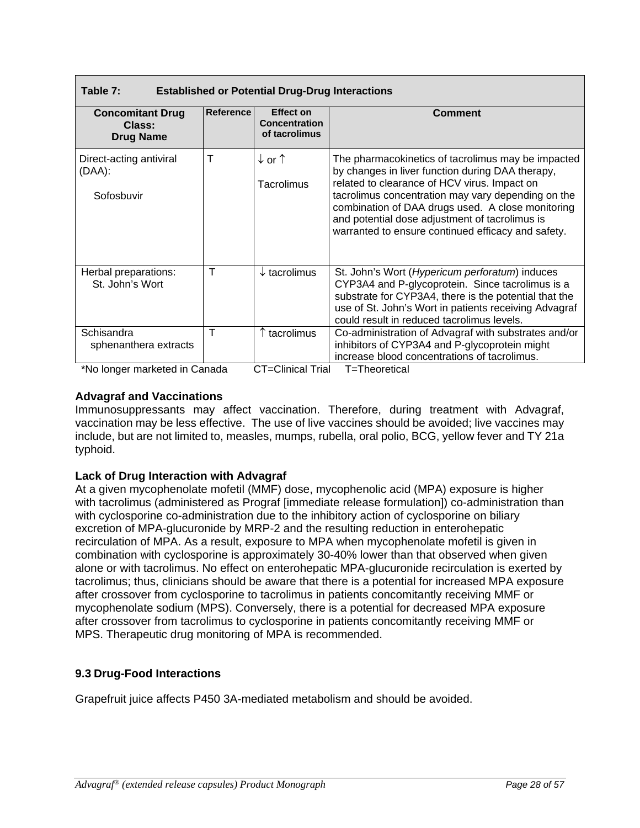| Table 7:<br><b>Established or Potential Drug-Drug Interactions</b>   |           |                                                    |                                                                                                                                                                                                                                                                                                                                                                           |  |  |  |  |
|----------------------------------------------------------------------|-----------|----------------------------------------------------|---------------------------------------------------------------------------------------------------------------------------------------------------------------------------------------------------------------------------------------------------------------------------------------------------------------------------------------------------------------------------|--|--|--|--|
| <b>Concomitant Drug</b><br>Class:<br><b>Drug Name</b>                | Reference | Effect on<br><b>Concentration</b><br>of tacrolimus | <b>Comment</b>                                                                                                                                                                                                                                                                                                                                                            |  |  |  |  |
| Direct-acting antiviral<br>$(DAA)$ :<br>Sofosbuvir                   | T         | ↓or↑<br>Tacrolimus                                 | The pharmacokinetics of tacrolimus may be impacted<br>by changes in liver function during DAA therapy,<br>related to clearance of HCV virus. Impact on<br>tacrolimus concentration may vary depending on the<br>combination of DAA drugs used. A close monitoring<br>and potential dose adjustment of tacrolimus is<br>warranted to ensure continued efficacy and safety. |  |  |  |  |
| Herbal preparations:<br>St. John's Wort                              | T         | $\downarrow$ tacrolimus                            | St. John's Wort (Hypericum perforatum) induces<br>CYP3A4 and P-glycoprotein. Since tacrolimus is a<br>substrate for CYP3A4, there is the potential that the<br>use of St. John's Wort in patients receiving Advagraf<br>could result in reduced tacrolimus levels.                                                                                                        |  |  |  |  |
| Schisandra<br>sphenanthera extracts<br>*No longer merkated in Canada | т         | tacrolimus                                         | Co-administration of Advagraf with substrates and/or<br>inhibitors of CYP3A4 and P-glycoprotein might<br>increase blood concentrations of tacrolimus.<br>$\Gamma$ - $\Gamma$ linical $\Gamma$ rial $\Gamma$ - $\Gamma$ boaratical                                                                                                                                         |  |  |  |  |

\*No longer marketed in Canada CT=Clinical Trial T=Theoretical

# **Advagraf and Vaccinations**

Immunosuppressants may affect vaccination. Therefore, during treatment with Advagraf, vaccination may be less effective. The use of live vaccines should be avoided; live vaccines may include, but are not limited to, measles, mumps, rubella, oral polio, BCG, yellow fever and TY 21a typhoid.

# **Lack of Drug Interaction with Advagraf**

At a given mycophenolate mofetil (MMF) dose, mycophenolic acid (MPA) exposure is higher with tacrolimus (administered as Prograf [immediate release formulation]) co-administration than with cyclosporine co-administration due to the inhibitory action of cyclosporine on biliary excretion of MPA-glucuronide by MRP-2 and the resulting reduction in enterohepatic recirculation of MPA. As a result, exposure to MPA when mycophenolate mofetil is given in combination with cyclosporine is approximately 30-40% lower than that observed when given alone or with tacrolimus. No effect on enterohepatic MPA-glucuronide recirculation is exerted by tacrolimus; thus, clinicians should be aware that there is a potential for increased MPA exposure after crossover from cyclosporine to tacrolimus in patients concomitantly receiving MMF or mycophenolate sodium (MPS). Conversely, there is a potential for decreased MPA exposure after crossover from tacrolimus to cyclosporine in patients concomitantly receiving MMF or MPS. Therapeutic drug monitoring of MPA is recommended.

# **9.3 Drug-Food Interactions**

Grapefruit juice affects P450 3A-mediated metabolism and should be avoided.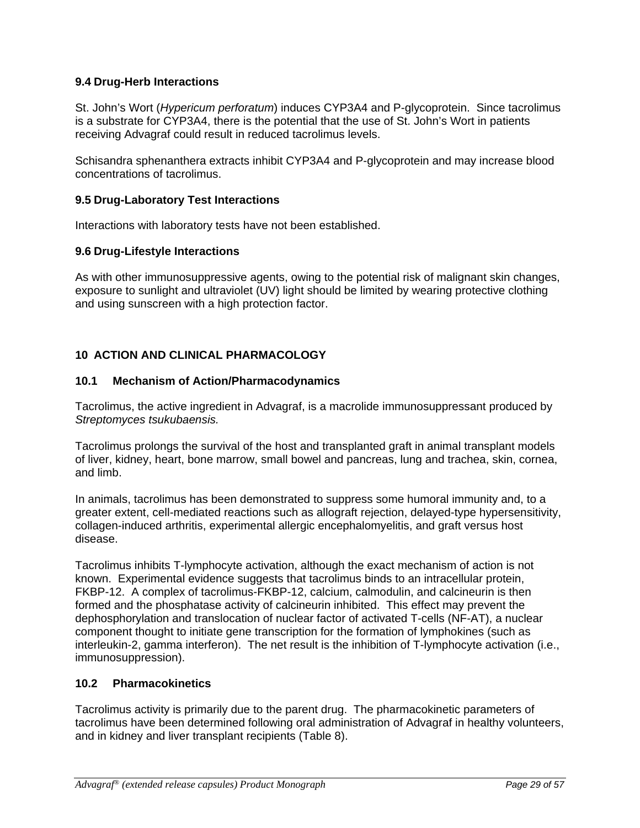# **9.4 Drug-Herb Interactions**

St. John's Wort (*Hypericum perforatum*) induces CYP3A4 and P-glycoprotein. Since tacrolimus is a substrate for CYP3A4, there is the potential that the use of St. John's Wort in patients receiving Advagraf could result in reduced tacrolimus levels.

Schisandra sphenanthera extracts inhibit CYP3A4 and P-glycoprotein and may increase blood concentrations of tacrolimus.

#### **9.5 Drug-Laboratory Test Interactions**

Interactions with laboratory tests have not been established.

#### **9.6 Drug-Lifestyle Interactions**

As with other immunosuppressive agents, owing to the potential risk of malignant skin changes, exposure to sunlight and ultraviolet (UV) light should be limited by wearing protective clothing and using sunscreen with a high protection factor.

# **10 ACTION AND CLINICAL PHARMACOLOGY**

#### **10.1 Mechanism of Action/Pharmacodynamics**

Tacrolimus, the active ingredient in Advagraf, is a macrolide immunosuppressant produced by *Streptomyces tsukubaensis.*

Tacrolimus prolongs the survival of the host and transplanted graft in animal transplant models of liver, kidney, heart, bone marrow, small bowel and pancreas, lung and trachea, skin, cornea, and limb.

In animals, tacrolimus has been demonstrated to suppress some humoral immunity and, to a greater extent, cell-mediated reactions such as allograft rejection, delayed-type hypersensitivity, collagen-induced arthritis, experimental allergic encephalomyelitis, and graft versus host disease.

Tacrolimus inhibits T-lymphocyte activation, although the exact mechanism of action is not known. Experimental evidence suggests that tacrolimus binds to an intracellular protein, FKBP-12. A complex of tacrolimus-FKBP-12, calcium, calmodulin, and calcineurin is then formed and the phosphatase activity of calcineurin inhibited. This effect may prevent the dephosphorylation and translocation of nuclear factor of activated T-cells (NF-AT), a nuclear component thought to initiate gene transcription for the formation of lymphokines (such as interleukin-2, gamma interferon). The net result is the inhibition of T-lymphocyte activation (i.e., immunosuppression).

## **10.2 Pharmacokinetics**

Tacrolimus activity is primarily due to the parent drug. The pharmacokinetic parameters of tacrolimus have been determined following oral administration of Advagraf in healthy volunteers, and in kidney and liver transplant recipients (Table 8).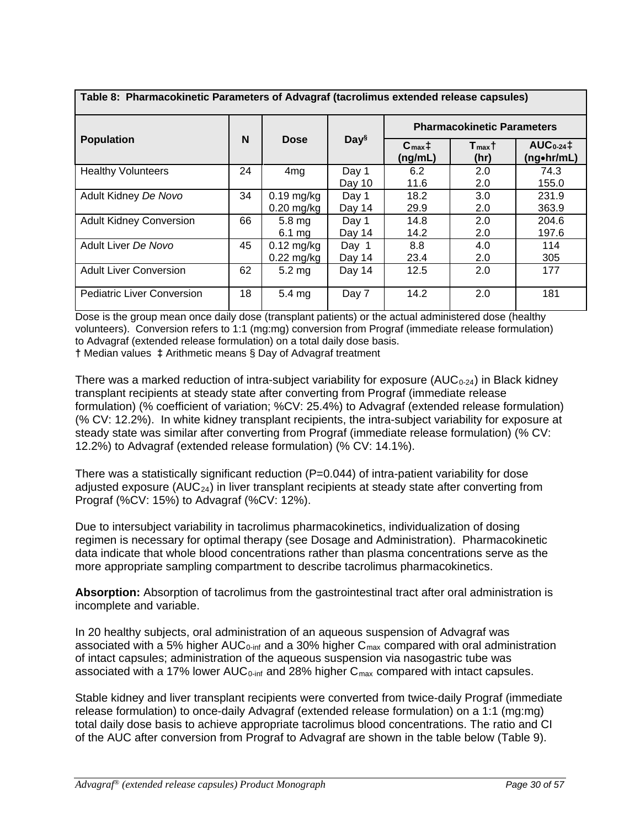| Table 8: Pharmacokinetic Parameters of Advagraf (tacrolimus extended release capsules) |    |                                      |                  |                                                             |            |                              |
|----------------------------------------------------------------------------------------|----|--------------------------------------|------------------|-------------------------------------------------------------|------------|------------------------------|
|                                                                                        |    |                                      |                  | <b>Pharmacokinetic Parameters</b>                           |            |                              |
| <b>Population</b>                                                                      | N  | <b>Dose</b>                          | Day <sup>§</sup> | $C_{\text{max}}$ ‡<br>$T_{\text{max}}$ †<br>(ng/mL)<br>(hr) |            | $AUC_{0-24}$ ‡<br>(ng•hr/mL) |
| <b>Healthy Volunteers</b>                                                              | 24 | 4 <sub>mg</sub>                      | Day 1<br>Day 10  | 6.2<br>11.6                                                 | 2.0<br>2.0 | 74.3<br>155.0                |
| Adult Kidney De Novo                                                                   | 34 | $0.19$ mg/kg<br>$0.20$ mg/kg         | Day 1<br>Day 14  | 18.2<br>29.9                                                | 3.0<br>2.0 | 231.9<br>363.9               |
| <b>Adult Kidney Conversion</b>                                                         | 66 | $5.8 \text{ mg}$<br>$6.1 \text{ ma}$ | Day 1<br>Day 14  | 14.8<br>14.2                                                | 2.0<br>2.0 | 204.6<br>197.6               |
| Adult Liver De Novo                                                                    | 45 | $0.12$ mg/kg<br>$0.22$ mg/kg         | Day 1<br>Day 14  | 8.8<br>23.4                                                 | 4.0<br>2.0 | 114<br>305                   |
| <b>Adult Liver Conversion</b>                                                          | 62 | $5.2 \text{ mg}$                     | Day 14           | 12.5                                                        | 2.0        | 177                          |
| <b>Pediatric Liver Conversion</b>                                                      | 18 | $5.4 \text{ mg}$                     | Day 7            | 14.2                                                        | 2.0        | 181                          |

Dose is the group mean once daily dose (transplant patients) or the actual administered dose (healthy volunteers). Conversion refers to 1:1 (mg:mg) conversion from Prograf (immediate release formulation) to Advagraf (extended release formulation) on a total daily dose basis. **†** Median values **‡** Arithmetic means § Day of Advagraf treatment

There was a marked reduction of intra-subject variability for exposure ( $AUC_{0-24}$ ) in Black kidney transplant recipients at steady state after converting from Prograf (immediate release formulation) (% coefficient of variation; %CV: 25.4%) to Advagraf (extended release formulation) (% CV: 12.2%). In white kidney transplant recipients, the intra-subject variability for exposure at steady state was similar after converting from Prograf (immediate release formulation) (% CV: 12.2%) to Advagraf (extended release formulation) (% CV: 14.1%).

There was a statistically significant reduction (P=0.044) of intra-patient variability for dose adjusted exposure ( $AUC_{24}$ ) in liver transplant recipients at steady state after converting from Prograf (%CV: 15%) to Advagraf (%CV: 12%).

Due to intersubject variability in tacrolimus pharmacokinetics, individualization of dosing regimen is necessary for optimal therapy (see Dosage and Administration). Pharmacokinetic data indicate that whole blood concentrations rather than plasma concentrations serve as the more appropriate sampling compartment to describe tacrolimus pharmacokinetics.

**Absorption:** Absorption of tacrolimus from the gastrointestinal tract after oral administration is incomplete and variable.

In 20 healthy subjects, oral administration of an aqueous suspension of Advagraf was associated with a 5% higher AUC<sub>0-inf</sub> and a 30% higher  $C_{\text{max}}$  compared with oral administration of intact capsules; administration of the aqueous suspension via nasogastric tube was associated with a 17% lower  $AUC_{0\text{-inf}}$  and 28% higher  $C_{\text{max}}$  compared with intact capsules.

Stable kidney and liver transplant recipients were converted from twice-daily Prograf (immediate release formulation) to once-daily Advagraf (extended release formulation) on a 1:1 (mg:mg) total daily dose basis to achieve appropriate tacrolimus blood concentrations. The ratio and CI of the AUC after conversion from Prograf to Advagraf are shown in the table below (Table 9).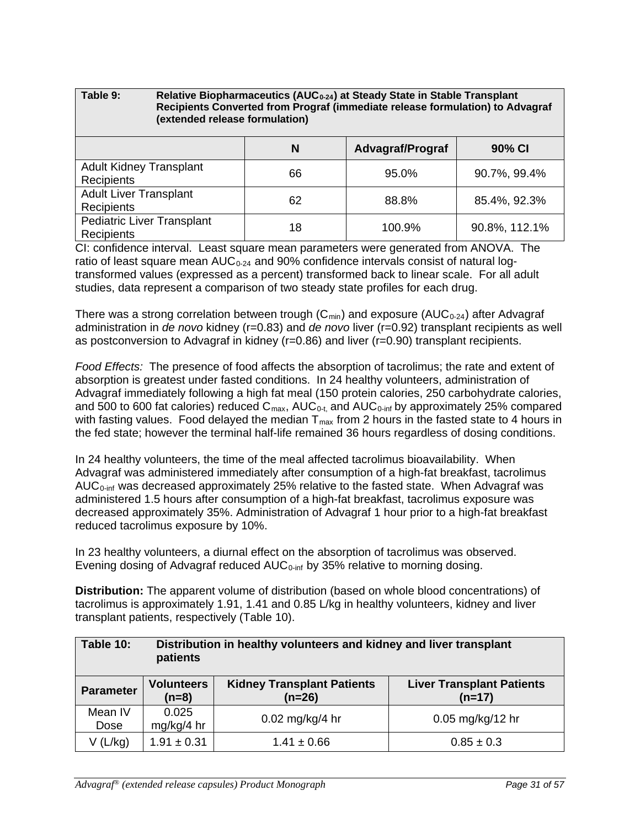# Table 9: Relative Biopharmaceutics (AUC<sub>0-24</sub>) at Steady State in Stable Transplant **Recipients Converted from Prograf (immediate release formulation) to Advagraf (extended release formulation) N Advagraf/Prograf 90% CI** Adult Kidney Transplant Recipients <sup>66</sup> 95.0% 90.7%, 99.4% Adult Liver Transplant Recipients  $\begin{vmatrix} 62 & 62 \end{vmatrix}$  88.8% 85.4%, 92.3% Pediatric Liver Transplant Productive Hanspiant 18 100.9% 90.8%, 112.1%<br>Recipients

CI: confidence interval. Least square mean parameters were generated from ANOVA. The ratio of least square mean  $AUC_{0.24}$  and 90% confidence intervals consist of natural logtransformed values (expressed as a percent) transformed back to linear scale. For all adult studies, data represent a comparison of two steady state profiles for each drug.

There was a strong correlation between trough  $(C_{min})$  and exposure (AUC<sub>0-24</sub>) after Advagraf administration in *de novo* kidney (r=0.83) and *de novo* liver (r=0.92) transplant recipients as well as postconversion to Advagraf in kidney (r=0.86) and liver (r=0.90) transplant recipients.

*Food Effects:* The presence of food affects the absorption of tacrolimus; the rate and extent of absorption is greatest under fasted conditions. In 24 healthy volunteers, administration of Advagraf immediately following a high fat meal (150 protein calories, 250 carbohydrate calories, and 500 to 600 fat calories) reduced  $C_{\text{max}}$ , AUC<sub>0-t,</sub> and AUC<sub>0-inf</sub> by approximately 25% compared with fasting values. Food delayed the median  $T_{max}$  from 2 hours in the fasted state to 4 hours in the fed state; however the terminal half-life remained 36 hours regardless of dosing conditions.

In 24 healthy volunteers, the time of the meal affected tacrolimus bioavailability. When Advagraf was administered immediately after consumption of a high-fat breakfast, tacrolimus AUC<sub>0-inf</sub> was decreased approximately 25% relative to the fasted state. When Advagraf was administered 1.5 hours after consumption of a high-fat breakfast, tacrolimus exposure was decreased approximately 35%. Administration of Advagraf 1 hour prior to a high-fat breakfast reduced tacrolimus exposure by 10%.

In 23 healthy volunteers, a diurnal effect on the absorption of tacrolimus was observed. Evening dosing of Advagraf reduced AUC<sub>0-inf</sub> by 35% relative to morning dosing.

**Distribution:** The apparent volume of distribution (based on whole blood concentrations) of tacrolimus is approximately 1.91, 1.41 and 0.85 L/kg in healthy volunteers, kidney and liver transplant patients, respectively (Table 10).

| Table 10:        | Distribution in healthy volunteers and kidney and liver transplant<br>patients |                                               |                                              |  |  |  |  |
|------------------|--------------------------------------------------------------------------------|-----------------------------------------------|----------------------------------------------|--|--|--|--|
| <b>Parameter</b> | <b>Volunteers</b><br>$(n=8)$                                                   | <b>Kidney Transplant Patients</b><br>$(n=26)$ | <b>Liver Transplant Patients</b><br>$(n=17)$ |  |  |  |  |
| Mean IV<br>Dose  | 0.025<br>mg/kg/4 hr                                                            | $0.02$ mg/kg/4 hr                             | $0.05$ mg/kg/12 hr                           |  |  |  |  |
| V(L/kg)          | $1.91 \pm 0.31$                                                                | $1.41 \pm 0.66$                               | $0.85 \pm 0.3$                               |  |  |  |  |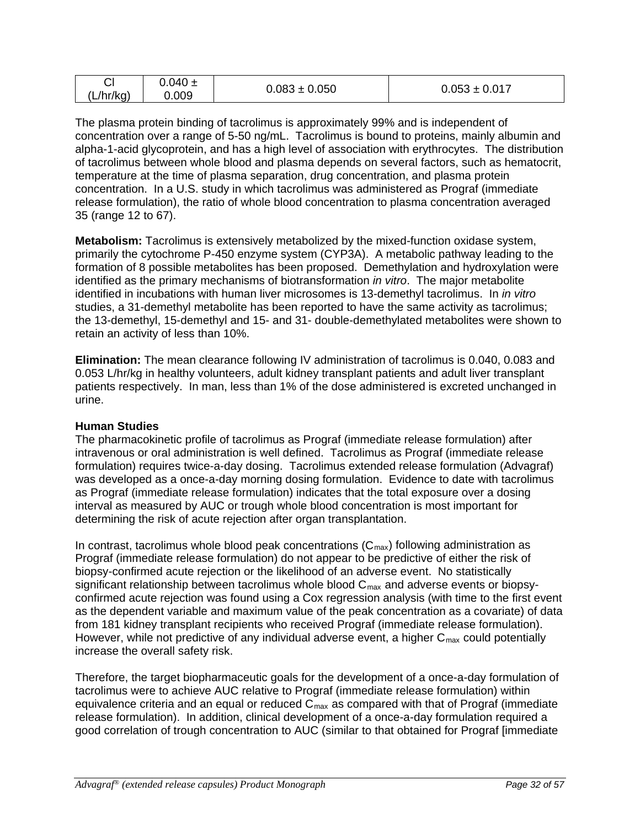| r1<br>◡        | $0.040 \pm$ |                   |                   |
|----------------|-------------|-------------------|-------------------|
| (L/hr/kg)<br>. | 0.009       | $0.083 \pm 0.050$ | $0.053 \pm 0.017$ |

The plasma protein binding of tacrolimus is approximately 99% and is independent of concentration over a range of 5-50 ng/mL. Tacrolimus is bound to proteins, mainly albumin and alpha-1-acid glycoprotein, and has a high level of association with erythrocytes. The distribution of tacrolimus between whole blood and plasma depends on several factors, such as hematocrit, temperature at the time of plasma separation, drug concentration, and plasma protein concentration. In a U.S. study in which tacrolimus was administered as Prograf (immediate release formulation), the ratio of whole blood concentration to plasma concentration averaged 35 (range 12 to 67).

**Metabolism:** Tacrolimus is extensively metabolized by the mixed-function oxidase system, primarily the cytochrome P-450 enzyme system (CYP3A). A metabolic pathway leading to the formation of 8 possible metabolites has been proposed. Demethylation and hydroxylation were identified as the primary mechanisms of biotransformation *in vitro*. The major metabolite identified in incubations with human liver microsomes is 13-demethyl tacrolimus. In *in vitro* studies, a 31-demethyl metabolite has been reported to have the same activity as tacrolimus; the 13-demethyl, 15-demethyl and 15- and 31- double-demethylated metabolites were shown to retain an activity of less than 10%.

**Elimination:** The mean clearance following IV administration of tacrolimus is 0.040, 0.083 and 0.053 L/hr/kg in healthy volunteers, adult kidney transplant patients and adult liver transplant patients respectively. In man, less than 1% of the dose administered is excreted unchanged in urine.

# **Human Studies**

The pharmacokinetic profile of tacrolimus as Prograf (immediate release formulation) after intravenous or oral administration is well defined. Tacrolimus as Prograf (immediate release formulation) requires twice-a-day dosing. Tacrolimus extended release formulation (Advagraf) was developed as a once-a-day morning dosing formulation. Evidence to date with tacrolimus as Prograf (immediate release formulation) indicates that the total exposure over a dosing interval as measured by AUC or trough whole blood concentration is most important for determining the risk of acute rejection after organ transplantation.

In contrast, tacrolimus whole blood peak concentrations  $(C_{\text{max}})$  following administration as Prograf (immediate release formulation) do not appear to be predictive of either the risk of biopsy-confirmed acute rejection or the likelihood of an adverse event. No statistically significant relationship between tacrolimus whole blood  $C_{\text{max}}$  and adverse events or biopsyconfirmed acute rejection was found using a Cox regression analysis (with time to the first event as the dependent variable and maximum value of the peak concentration as a covariate) of data from 181 kidney transplant recipients who received Prograf (immediate release formulation). However, while not predictive of any individual adverse event, a higher  $C_{\text{max}}$  could potentially increase the overall safety risk.

Therefore, the target biopharmaceutic goals for the development of a once-a-day formulation of tacrolimus were to achieve AUC relative to Prograf (immediate release formulation) within equivalence criteria and an equal or reduced  $C<sub>max</sub>$  as compared with that of Prograf (immediate release formulation). In addition, clinical development of a once-a-day formulation required a good correlation of trough concentration to AUC (similar to that obtained for Prograf [immediate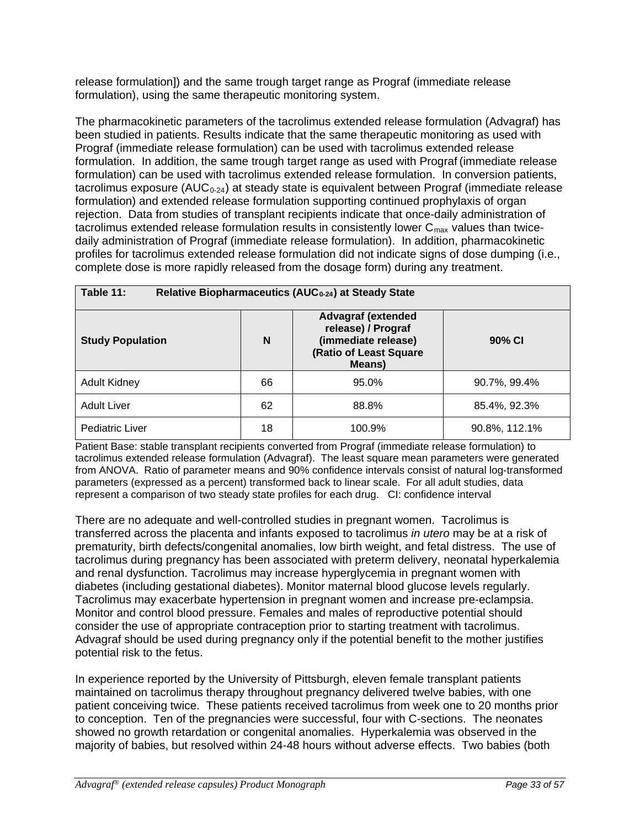release formulation]) and the same trough target range as Prograf (immediate release formulation), using the same therapeutic monitoring system.

The pharmacokinetic parameters of the tacrolimus extended release formulation (Advagraf) has been studied in patients. Results indicate that the same therapeutic monitoring as used with Prograf (immediate release formulation) can be used with tacrolimus extended release formulation. In addition, the same trough target range as used with Prograf (immediate release formulation) can be used with tacrolimus extended release formulation. In conversion patients, tacrolimus exposure ( $AUC_{0-24}$ ) at steady state is equivalent between Prograf (immediate release formulation) and extended release formulation supporting continued prophylaxis of organ rejection. Data from studies of transplant recipients indicate that once-daily administration of tacrolimus extended release formulation results in consistently lower  $C_{\text{max}}$  values than twicedaily administration of Prograf (immediate release formulation). In addition, pharmacokinetic profiles for tacrolimus extended release formulation did not indicate signs of dose dumping (i.e., complete dose is more rapidly released from the dosage form) during any treatment.

| Table 11:<br>Relative Biopharmaceutics (AUC <sub>0-24</sub> ) at Steady State |    |                                                                                                            |               |  |  |  |  |
|-------------------------------------------------------------------------------|----|------------------------------------------------------------------------------------------------------------|---------------|--|--|--|--|
| <b>Study Population</b>                                                       | N  | <b>Advagraf (extended</b><br>release) / Prograf<br>(immediate release)<br>(Ratio of Least Square<br>Means) | 90% CI        |  |  |  |  |
| <b>Adult Kidney</b>                                                           | 66 | 95.0%                                                                                                      | 90.7%, 99.4%  |  |  |  |  |
| <b>Adult Liver</b>                                                            | 62 | 88.8%                                                                                                      | 85.4%, 92.3%  |  |  |  |  |
| Pediatric Liver                                                               | 18 | 100.9%                                                                                                     | 90.8%, 112.1% |  |  |  |  |

Patient Base: stable transplant recipients converted from Prograf (immediate release formulation) to tacrolimus extended release formulation (Advagraf). The least square mean parameters were generated from ANOVA. Ratio of parameter means and 90% confidence intervals consist of natural log-transformed parameters (expressed as a percent) transformed back to linear scale. For all adult studies, data represent a comparison of two steady state profiles for each drug. CI: confidence interval

There are no adequate and well-controlled studies in pregnant women. Tacrolimus is transferred across the placenta and infants exposed to tacrolimus *in utero* may be at a risk of prematurity, birth defects/congenital anomalies, low birth weight, and fetal distress. The use of tacrolimus during pregnancy has been associated with preterm delivery, neonatal hyperkalemia and renal dysfunction. Tacrolimus may increase hyperglycemia in pregnant women with diabetes (including gestational diabetes). Monitor maternal blood glucose levels regularly. Tacrolimus may exacerbate hypertension in pregnant women and increase pre-eclampsia. Monitor and control blood pressure. Females and males of reproductive potential should consider the use of appropriate contraception prior to starting treatment with tacrolimus. Advagraf should be used during pregnancy only if the potential benefit to the mother justifies potential risk to the fetus.

In experience reported by the University of Pittsburgh, eleven female transplant patients maintained on tacrolimus therapy throughout pregnancy delivered twelve babies, with one patient conceiving twice. These patients received tacrolimus from week one to 20 months prior to conception. Ten of the pregnancies were successful, four with C-sections. The neonates showed no growth retardation or congenital anomalies. Hyperkalemia was observed in the majority of babies, but resolved within 24-48 hours without adverse effects. Two babies (both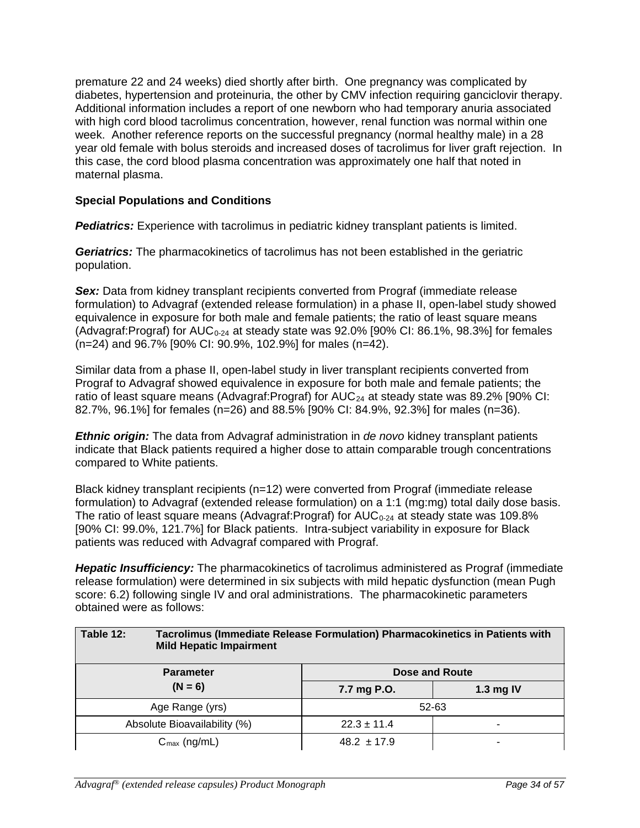premature 22 and 24 weeks) died shortly after birth. One pregnancy was complicated by diabetes, hypertension and proteinuria, the other by CMV infection requiring ganciclovir therapy. Additional information includes a report of one newborn who had temporary anuria associated with high cord blood tacrolimus concentration, however, renal function was normal within one week. Another reference reports on the successful pregnancy (normal healthy male) in a 28 year old female with bolus steroids and increased doses of tacrolimus for liver graft rejection. In this case, the cord blood plasma concentration was approximately one half that noted in maternal plasma.

## **Special Populations and Conditions**

**Pediatrics:** Experience with tacrolimus in pediatric kidney transplant patients is limited.

*Geriatrics:* The pharmacokinetics of tacrolimus has not been established in the geriatric population.

**Sex:** Data from kidney transplant recipients converted from Prograf (immediate release formulation) to Advagraf (extended release formulation) in a phase II, open-label study showed equivalence in exposure for both male and female patients; the ratio of least square means (Advagraf: Prograf) for  $AUC_{0-24}$  at steady state was 92.0% [90% CI: 86.1%, 98.3%] for females (n=24) and 96.7% [90% CI: 90.9%, 102.9%] for males (n=42).

Similar data from a phase II, open-label study in liver transplant recipients converted from Prograf to Advagraf showed equivalence in exposure for both male and female patients; the ratio of least square means (Advagraf: Prograf) for  $AUC_{24}$  at steady state was 89.2% [90% CI: 82.7%, 96.1%] for females (n=26) and 88.5% [90% CI: 84.9%, 92.3%] for males (n=36).

*Ethnic origin:* The data from Advagraf administration in *de novo* kidney transplant patients indicate that Black patients required a higher dose to attain comparable trough concentrations compared to White patients.

Black kidney transplant recipients (n=12) were converted from Prograf (immediate release formulation) to Advagraf (extended release formulation) on a 1:1 (mg:mg) total daily dose basis. The ratio of least square means (Advagraf: Prograf) for  $AUC_{0.24}$  at steady state was 109.8% [90% CI: 99.0%, 121.7%] for Black patients. Intra-subject variability in exposure for Black patients was reduced with Advagraf compared with Prograf.

*Hepatic Insufficiency:* The pharmacokinetics of tacrolimus administered as Prograf (immediate release formulation) were determined in six subjects with mild hepatic dysfunction (mean Pugh score: 6.2) following single IV and oral administrations. The pharmacokinetic parameters obtained were as follows:

| Table 12:<br>Tacrolimus (Immediate Release Formulation) Pharmacokinetics in Patients with<br><b>Mild Hepatic Impairment</b> |                 |   |  |  |  |                 |
|-----------------------------------------------------------------------------------------------------------------------------|-----------------|---|--|--|--|-----------------|
| Dose and Route<br><b>Parameter</b><br>$(N = 6)$<br>1.3 mg IV<br>7.7 mg P.O.                                                 |                 |   |  |  |  |                 |
|                                                                                                                             |                 |   |  |  |  | Age Range (yrs) |
| Absolute Bioavailability (%)                                                                                                | $22.3 \pm 11.4$ |   |  |  |  |                 |
| $C_{\text{max}}$ (ng/mL)                                                                                                    | $48.2 \pm 17.9$ | ۰ |  |  |  |                 |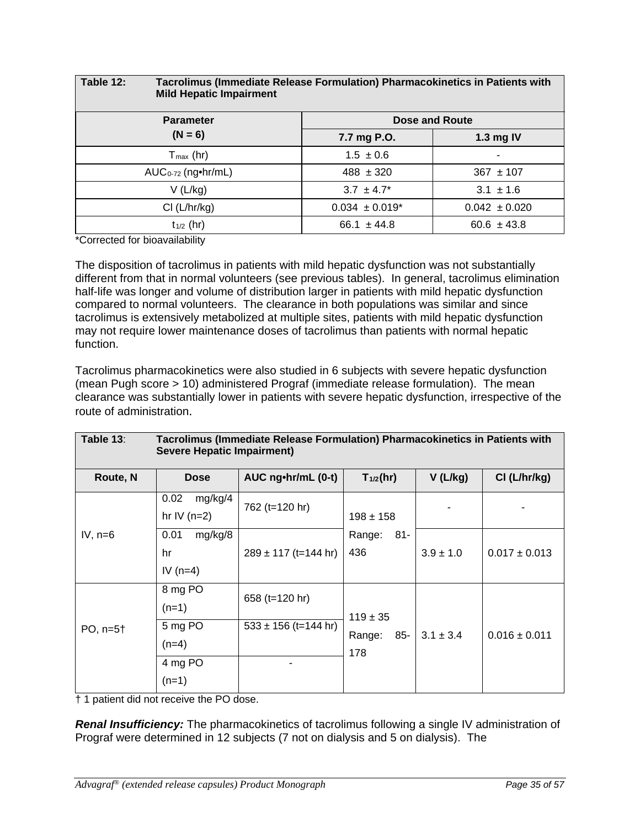| Table 12:               | Tacrolimus (Immediate Release Formulation) Pharmacokinetics in Patients with<br><b>Mild Hepatic Impairment</b> |                                |                   |  |  |  |
|-------------------------|----------------------------------------------------------------------------------------------------------------|--------------------------------|-------------------|--|--|--|
| <b>Parameter</b>        |                                                                                                                |                                | Dose and Route    |  |  |  |
| $(N = 6)$               |                                                                                                                | 7.7 mg P.O.                    | 1.3 mg IV         |  |  |  |
| $T_{\text{max}}$ (hr)   |                                                                                                                | $1.5 \pm 0.6$                  |                   |  |  |  |
| $AUC_{0-72}$ (ng•hr/mL) |                                                                                                                | $488 \pm 320$                  | $367 \pm 107$     |  |  |  |
| V(L/kg)                 |                                                                                                                | $3.7 \pm 4.7^*$                | $3.1 \pm 1.6$     |  |  |  |
| Cl (L/hr/kg)            |                                                                                                                | $0.034 \pm 0.019$ <sup>*</sup> | $0.042 \pm 0.020$ |  |  |  |
| $t_{1/2}$ (hr)          |                                                                                                                | 66.1 $\pm$ 44.8                | $60.6 \pm 43.8$   |  |  |  |

\*Corrected for bioavailability

The disposition of tacrolimus in patients with mild hepatic dysfunction was not substantially different from that in normal volunteers (see previous tables). In general, tacrolimus elimination half-life was longer and volume of distribution larger in patients with mild hepatic dysfunction compared to normal volunteers. The clearance in both populations was similar and since tacrolimus is extensively metabolized at multiple sites, patients with mild hepatic dysfunction may not require lower maintenance doses of tacrolimus than patients with normal hepatic function.

Tacrolimus pharmacokinetics were also studied in 6 subjects with severe hepatic dysfunction (mean Pugh score > 10) administered Prograf (immediate release formulation). The mean clearance was substantially lower in patients with severe hepatic dysfunction, irrespective of the route of administration.

| Table 13:<br>Tacrolimus (Immediate Release Formulation) Pharmacokinetics in Patients with<br><b>Severe Hepatic Impairment)</b> |                                     |                                            |                               |               |                   |  |  |  |
|--------------------------------------------------------------------------------------------------------------------------------|-------------------------------------|--------------------------------------------|-------------------------------|---------------|-------------------|--|--|--|
| Route, N                                                                                                                       | <b>Dose</b>                         | AUC ng•hr/mL (0-t)                         | $T_{1/2}$ (hr)                | $V$ (L/kg)    | $Cl$ (L/hr/kg)    |  |  |  |
|                                                                                                                                | mg/kg/4<br>0.02<br>hr IV $(n=2)$    | 762 (t=120 hr)                             | $198 \pm 158$                 |               |                   |  |  |  |
| IV, $n=6$                                                                                                                      | mg/kg/8<br>0.01<br>hr<br>IV $(n=4)$ | $289 \pm 117$ (t=144 hr)                   | 81-<br>Range:<br>436          | $3.9 \pm 1.0$ | $0.017 \pm 0.013$ |  |  |  |
| $PO, n=5+$                                                                                                                     | 8 mg PO<br>$(n=1)$<br>5 mg PO       | 658 (t=120 hr)<br>$533 \pm 156$ (t=144 hr) | $119 \pm 35$<br>85-<br>Range: | $3.1 \pm 3.4$ | $0.016 \pm 0.011$ |  |  |  |
|                                                                                                                                | $(n=4)$<br>4 mg PO<br>$(n=1)$       |                                            | 178                           |               |                   |  |  |  |

† 1 patient did not receive the PO dose.

*Renal Insufficiency:* The pharmacokinetics of tacrolimus following a single IV administration of Prograf were determined in 12 subjects (7 not on dialysis and 5 on dialysis). The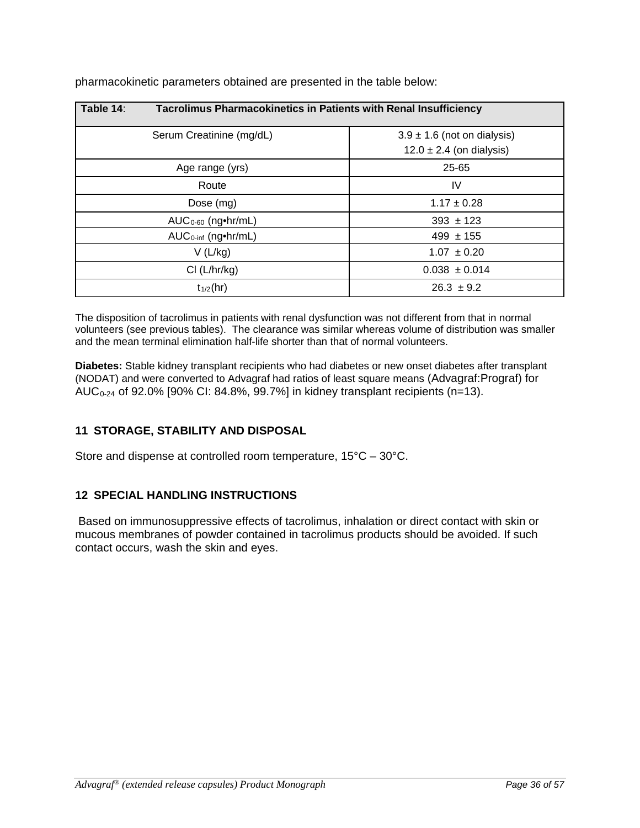| Table 14:                       | <b>Tacrolimus Pharmacokinetics in Patients with Renal Insufficiency</b> |  |  |  |  |  |
|---------------------------------|-------------------------------------------------------------------------|--|--|--|--|--|
| Serum Creatinine (mg/dL)        | $3.9 \pm 1.6$ (not on dialysis)                                         |  |  |  |  |  |
|                                 | $12.0 \pm 2.4$ (on dialysis)                                            |  |  |  |  |  |
| Age range (yrs)                 | 25-65                                                                   |  |  |  |  |  |
| Route                           | IV                                                                      |  |  |  |  |  |
| Dose (mg)                       | $1.17 \pm 0.28$                                                         |  |  |  |  |  |
| $AUC0-60$ (ng•hr/mL)            | $393 \pm 123$                                                           |  |  |  |  |  |
| $AUC_{0\text{-inf}}$ (ng•hr/mL) | $499 \pm 155$                                                           |  |  |  |  |  |
| V(L/kg)                         | $1.07 \pm 0.20$                                                         |  |  |  |  |  |
| Cl (L/hr/kg)                    | $0.038 \pm 0.014$                                                       |  |  |  |  |  |
| $t_{1/2}$ (hr)                  | $26.3 \pm 9.2$                                                          |  |  |  |  |  |

pharmacokinetic parameters obtained are presented in the table below:

The disposition of tacrolimus in patients with renal dysfunction was not different from that in normal volunteers (see previous tables). The clearance was similar whereas volume of distribution was smaller and the mean terminal elimination half-life shorter than that of normal volunteers.

**Diabetes:** Stable kidney transplant recipients who had diabetes or new onset diabetes after transplant (NODAT) and were converted to Advagraf had ratios of least square means (Advagraf:Prograf) for AUC<sub>0-24</sub> of 92.0% [90% CI: 84.8%, 99.7%] in kidney transplant recipients (n=13).

## **11 STORAGE, STABILITY AND DISPOSAL**

Store and dispense at controlled room temperature, 15°C – 30°C.

## **12 SPECIAL HANDLING INSTRUCTIONS**

Based on immunosuppressive effects of tacrolimus, inhalation or direct contact with skin or mucous membranes of powder contained in tacrolimus products should be avoided. If such contact occurs, wash the skin and eyes.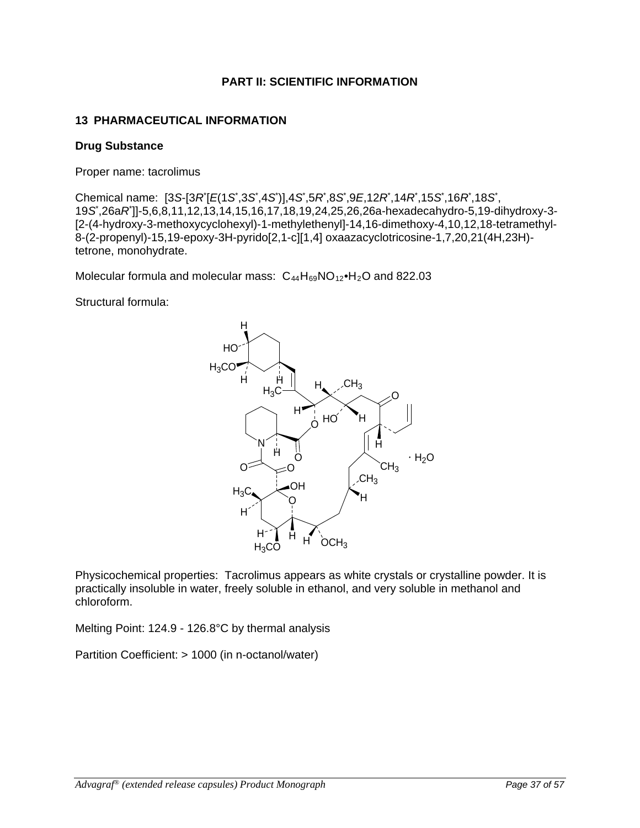## **PART II: SCIENTIFIC INFORMATION**

## **13 PHARMACEUTICAL INFORMATION**

#### **Drug Substance**

Proper name: tacrolimus

Chemical name: [3*S*-[3*R*\* [*E*(1*S*\* ,3*S*\* ,4*S*\* )],4*S*\* ,5*R*\* ,8*S*\* ,9*E*,12*R*\* ,14*R*\* ,15*S*\* ,16*R*\* ,18*S*\* , 19*S*\* ,26a*R*\* ]]-5,6,8,11,12,13,14,15,16,17,18,19,24,25,26,26a-hexadecahydro-5,19-dihydroxy-3- [2-(4-hydroxy-3-methoxycyclohexyl)-1-methylethenyl]-14,16-dimethoxy-4,10,12,18-tetramethyl-8-(2-propenyl)-15,19-epoxy-3H-pyrido[2,1-c][1,4] oxaazacyclotricosine-1,7,20,21(4H,23H) tetrone, monohydrate.

Molecular formula and molecular mass:  $C_{44}H_{69}NO_{12}$ •H<sub>2</sub>O and 822.03

Structural formula:



Physicochemical properties: Tacrolimus appears as white crystals or crystalline powder. It is practically insoluble in water, freely soluble in ethanol, and very soluble in methanol and chloroform.

Melting Point: 124.9 - 126.8°C by thermal analysis

Partition Coefficient: > 1000 (in n-octanol/water)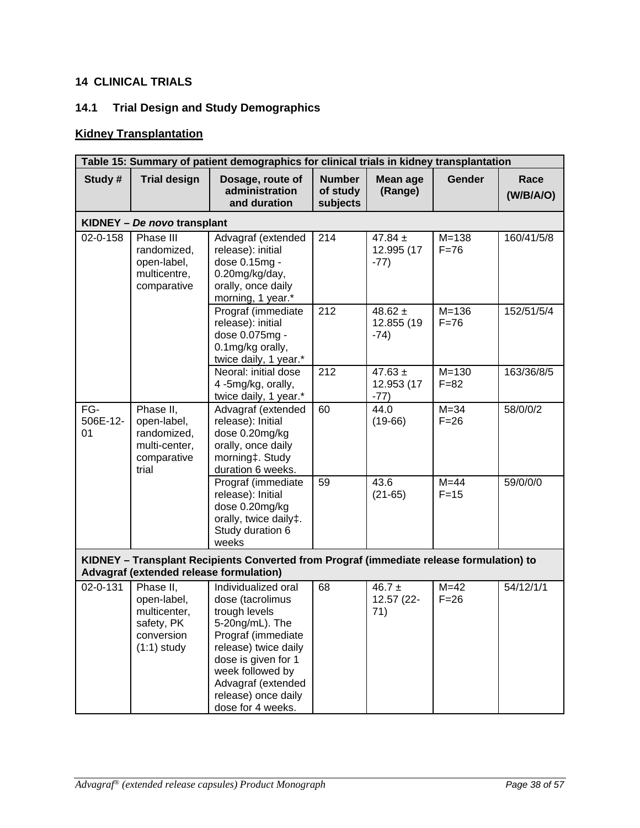# **14 CLINICAL TRIALS**

# **14.1 Trial Design and Study Demographics**

# **Kidney Transplantation**

|                       | Table 15: Summary of patient demographics for clinical trials in kidney transplantation                                             |                                                                                                                                                                                                                                        |                                       |                                     |                       |                   |  |
|-----------------------|-------------------------------------------------------------------------------------------------------------------------------------|----------------------------------------------------------------------------------------------------------------------------------------------------------------------------------------------------------------------------------------|---------------------------------------|-------------------------------------|-----------------------|-------------------|--|
| Study #               | <b>Trial design</b>                                                                                                                 | Dosage, route of<br>administration<br>and duration                                                                                                                                                                                     | <b>Number</b><br>of study<br>subjects | Mean age<br>(Range)                 | <b>Gender</b>         | Race<br>(W/B/A/O) |  |
|                       | KIDNEY - De novo transplant                                                                                                         |                                                                                                                                                                                                                                        |                                       |                                     |                       |                   |  |
| 02-0-158              | Phase III<br>randomized,<br>open-label,<br>multicentre,<br>comparative                                                              | Advagraf (extended<br>release): initial<br>dose 0.15mg -<br>0.20mg/kg/day,<br>orally, once daily<br>morning, 1 year.*                                                                                                                  | 214                                   | 47.84 $\pm$<br>12.995 (17<br>$-77)$ | $M = 138$<br>$F = 76$ | 160/41/5/8        |  |
|                       |                                                                                                                                     | Prograf (immediate<br>release): initial<br>dose 0.075mg -<br>0.1mg/kg orally,<br>twice daily, 1 year.*                                                                                                                                 | 212                                   | 48.62 $\pm$<br>12.855 (19<br>$-74)$ | $M = 136$<br>$F = 76$ | 152/51/5/4        |  |
|                       |                                                                                                                                     | Neoral: initial dose<br>4-5mg/kg, orally,<br>twice daily, 1 year.*                                                                                                                                                                     | 212                                   | 47.63 $\pm$<br>12.953 (17<br>$-77)$ | $M = 130$<br>$F = 82$ | 163/36/8/5        |  |
| FG-<br>506E-12-<br>01 | Phase II,<br>open-label,<br>randomized,<br>multi-center,<br>comparative<br>trial                                                    | Advagraf (extended<br>release): Initial<br>dose 0.20mg/kg<br>orally, once daily<br>morning‡. Study<br>duration 6 weeks.                                                                                                                | 60                                    | 44.0<br>$(19-66)$                   | $M = 34$<br>$F = 26$  | 58/0/0/2          |  |
|                       |                                                                                                                                     | Prograf (immediate<br>release): Initial<br>dose 0.20mg/kg<br>orally, twice daily‡.<br>Study duration 6<br>weeks                                                                                                                        | 59                                    | 43.6<br>$(21-65)$                   | $M = 44$<br>$F = 15$  | 59/0/0/0          |  |
|                       | KIDNEY - Transplant Recipients Converted from Prograf (immediate release formulation) to<br>Advagraf (extended release formulation) |                                                                                                                                                                                                                                        |                                       |                                     |                       |                   |  |
| 02-0-131              | Phase II,<br>open-label,<br>multicenter,<br>safety, PK<br>conversion<br>$(1:1)$ study                                               | Individualized oral<br>dose (tacrolimus<br>trough levels<br>5-20ng/mL). The<br>Prograf (immediate<br>release) twice daily<br>dose is given for 1<br>week followed by<br>Advagraf (extended<br>release) once daily<br>dose for 4 weeks. | 68                                    | 46.7 $\pm$<br>12.57 (22-<br>71)     | $M=42$<br>$F = 26$    | 54/12/1/1         |  |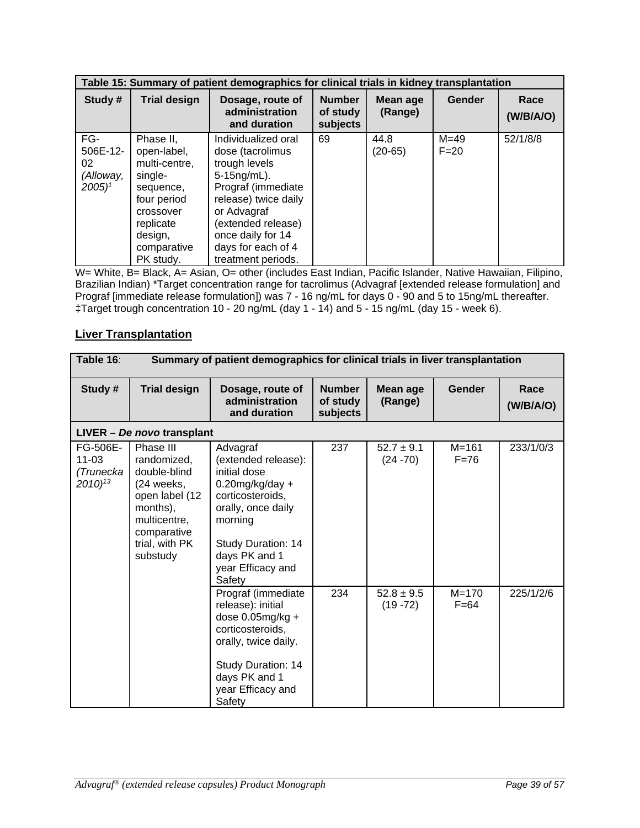|                                                           | Table 15: Summary of patient demographics for clinical trials in kidney transplantation                                                           |                                                                                                                                                                                                                                |                                       |                     |                      |                   |
|-----------------------------------------------------------|---------------------------------------------------------------------------------------------------------------------------------------------------|--------------------------------------------------------------------------------------------------------------------------------------------------------------------------------------------------------------------------------|---------------------------------------|---------------------|----------------------|-------------------|
| Study #                                                   | <b>Trial design</b>                                                                                                                               | Dosage, route of<br>administration<br>and duration                                                                                                                                                                             | <b>Number</b><br>of study<br>subjects | Mean age<br>(Range) | <b>Gender</b>        | Race<br>(W/B/A/O) |
| FG-<br>506E-12-<br>02<br>(Alloway,<br>$2005$ <sup>1</sup> | Phase II,<br>open-label,<br>multi-centre,<br>single-<br>sequence,<br>four period<br>crossover<br>replicate<br>design,<br>comparative<br>PK study. | Individualized oral<br>dose (tacrolimus<br>trough levels<br>$5-15$ ng/mL).<br>Prograf (immediate<br>release) twice daily<br>or Advagraf<br>(extended release)<br>once daily for 14<br>days for each of 4<br>treatment periods. | 69                                    | 44.8<br>$(20-65)$   | $M = 49$<br>$F = 20$ | 52/1/8/8          |

W= White, B= Black, A= Asian, O= other (includes East Indian, Pacific Islander, Native Hawaiian, Filipino, Brazilian Indian) \*Target concentration range for tacrolimus (Advagraf [extended release formulation] and Prograf [immediate release formulation]) was 7 - 16 ng/mL for days 0 - 90 and 5 to 15ng/mL thereafter. ‡Target trough concentration 10 - 20 ng/mL (day 1 - 14) and 5 - 15 ng/mL (day 15 - week 6).

## **Liver Transplantation**

| Table 16:                                                  | Summary of patient demographics for clinical trials in liver transplantation                                                                        |                                                                                                                                                                                                  |                                       |                               |                       |                   |
|------------------------------------------------------------|-----------------------------------------------------------------------------------------------------------------------------------------------------|--------------------------------------------------------------------------------------------------------------------------------------------------------------------------------------------------|---------------------------------------|-------------------------------|-----------------------|-------------------|
| Study #                                                    | <b>Trial design</b>                                                                                                                                 | Dosage, route of<br>administration<br>and duration                                                                                                                                               | <b>Number</b><br>of study<br>subjects | Mean age<br>(Range)           | Gender                | Race<br>(W/B/A/O) |
|                                                            | LIVER - De novo transplant                                                                                                                          |                                                                                                                                                                                                  |                                       |                               |                       |                   |
| FG-506E-<br>$11 - 03$<br>(Trunecka<br>$2010$ <sup>13</sup> | Phase III<br>randomized,<br>double-blind<br>$(24$ weeks,<br>open label (12<br>months),<br>multicentre,<br>comparative<br>trial, with PK<br>substudy | Advagraf<br>(extended release):<br>initial dose<br>$0.20$ mg/kg/day +<br>corticosteroids,<br>orally, once daily<br>morning<br>Study Duration: 14<br>days PK and 1<br>year Efficacy and<br>Safety | 237                                   | $52.7 \pm 9.1$<br>$(24 - 70)$ | $M = 161$<br>$F = 76$ | 233/1/0/3         |
|                                                            |                                                                                                                                                     | Prograf (immediate<br>release): initial<br>dose $0.05$ mg/kg +<br>corticosteroids,<br>orally, twice daily.<br>Study Duration: 14<br>days PK and 1<br>year Efficacy and<br>Safety                 | 234                                   | $52.8 \pm 9.5$<br>$(19 - 72)$ | $M = 170$<br>$F=64$   | 225/1/2/6         |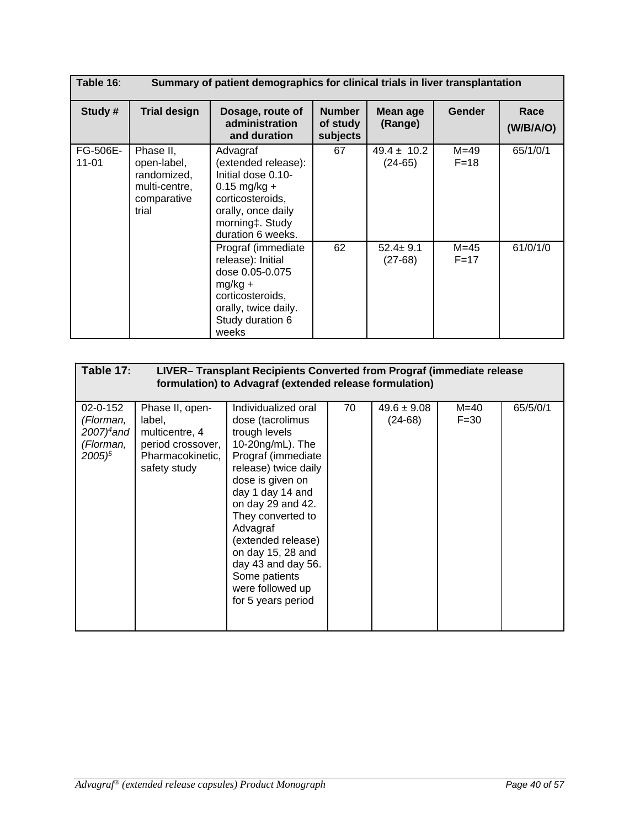| Table 16:             | Summary of patient demographics for clinical trials in liver transplantation     |                                                                                                                                                           |                                       |                              |                      |                   |
|-----------------------|----------------------------------------------------------------------------------|-----------------------------------------------------------------------------------------------------------------------------------------------------------|---------------------------------------|------------------------------|----------------------|-------------------|
| Study #               | <b>Trial design</b>                                                              | Dosage, route of<br>administration<br>and duration                                                                                                        | <b>Number</b><br>of study<br>subjects | Mean age<br>(Range)          | <b>Gender</b>        | Race<br>(W/B/A/O) |
| FG-506E-<br>$11 - 01$ | Phase II,<br>open-label,<br>randomized,<br>multi-centre,<br>comparative<br>trial | Advagraf<br>(extended release):<br>Initial dose 0.10-<br>$0.15$ mg/kg +<br>corticosteroids,<br>orally, once daily<br>morning‡. Study<br>duration 6 weeks. | 67                                    | $49.4 \pm 10.2$<br>$(24-65)$ | $M = 49$<br>$F=18$   | 65/1/0/1          |
|                       |                                                                                  | Prograf (immediate)<br>release): Initial<br>dose 0.05-0.075<br>$mg/kg +$<br>corticosteroids,<br>orally, twice daily.<br>Study duration 6<br>weeks         | 62                                    | $52.4 \pm 9.1$<br>$(27-68)$  | $M = 45$<br>$F = 17$ | 61/0/1/0          |

| Table 17:                                                                            |                                                                                                      | LIVER-Transplant Recipients Converted from Prograf (immediate release<br>formulation) to Advagraf (extended release formulation)                                                                                                                                                                                                                     |    |                              |                    |          |
|--------------------------------------------------------------------------------------|------------------------------------------------------------------------------------------------------|------------------------------------------------------------------------------------------------------------------------------------------------------------------------------------------------------------------------------------------------------------------------------------------------------------------------------------------------------|----|------------------------------|--------------------|----------|
| 02-0-152<br>(Florman,<br>$2007$ <sup>4</sup> and<br>(Florman,<br>$2005$ <sup>5</sup> | Phase II, open-<br>label,<br>multicentre, 4<br>period crossover,<br>Pharmacokinetic,<br>safety study | Individualized oral<br>dose (tacrolimus<br>trough levels<br>10-20ng/mL). The<br>Prograf (immediate<br>release) twice daily<br>dose is given on<br>day 1 day 14 and<br>on day 29 and 42.<br>They converted to<br>Advagraf<br>(extended release)<br>on day 15, 28 and<br>day 43 and day 56.<br>Some patients<br>were followed up<br>for 5 years period | 70 | $49.6 \pm 9.08$<br>$(24-68)$ | $M=40$<br>$F = 30$ | 65/5/0/1 |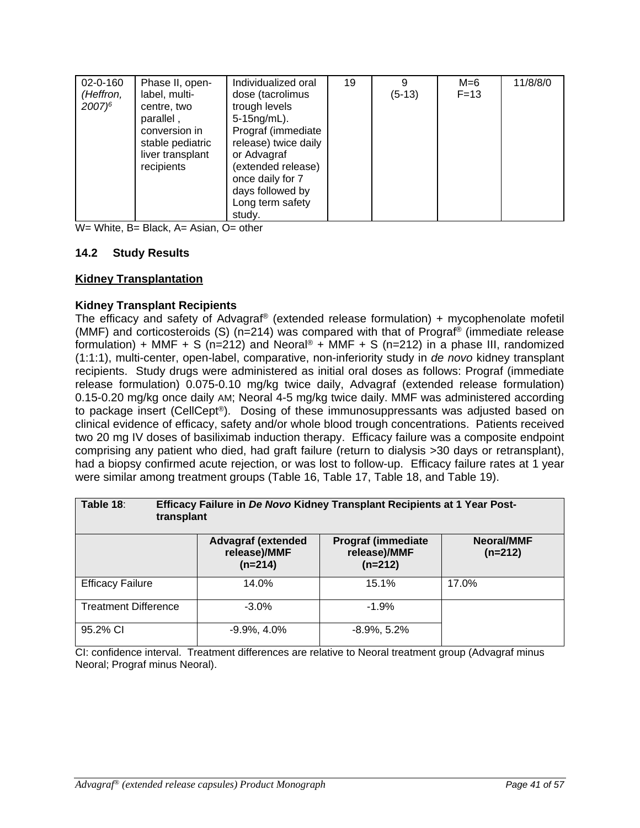| $02 - 0 - 160$ | Phase II, open-  | Individualized oral  | 19 | 9        | M=6      | 11/8/8/0 |
|----------------|------------------|----------------------|----|----------|----------|----------|
|                |                  |                      |    |          |          |          |
| (Heffron,      | label, multi-    | dose (tacrolimus     |    | $(5-13)$ | $F = 13$ |          |
| $2007)^6$      | centre, two      | trough levels        |    |          |          |          |
|                |                  |                      |    |          |          |          |
|                | parallel,        | $5-15$ ng/mL).       |    |          |          |          |
|                | conversion in    | Prograf (immediate   |    |          |          |          |
|                | stable pediatric | release) twice daily |    |          |          |          |
|                |                  |                      |    |          |          |          |
|                | liver transplant | or Advagraf          |    |          |          |          |
|                | recipients       | (extended release)   |    |          |          |          |
|                |                  | once daily for 7     |    |          |          |          |
|                |                  |                      |    |          |          |          |
|                |                  | days followed by     |    |          |          |          |
|                |                  | Long term safety     |    |          |          |          |
|                |                  | study.               |    |          |          |          |
|                |                  |                      |    |          |          |          |

W= White, B= Black, A= Asian, O= other

## **14.2 Study Results**

#### **Kidney Transplantation**

#### **Kidney Transplant Recipients**

The efficacy and safety of Advagraf® (extended release formulation) + mycophenolate mofetil (MMF) and corticosteroids (S) (n=214) was compared with that of Prograf® (immediate release formulation) + MMF + S (n=212) and Neoral<sup>®</sup> + MMF + S (n=212) in a phase III, randomized (1:1:1), multi-center, open-label, comparative, non-inferiority study in *de novo* kidney transplant recipients. Study drugs were administered as initial oral doses as follows: Prograf (immediate release formulation) 0.075-0.10 mg/kg twice daily, Advagraf (extended release formulation) 0.15-0.20 mg/kg once daily AM; Neoral 4-5 mg/kg twice daily. MMF was administered according to package insert (CellCept®). Dosing of these immunosuppressants was adjusted based on clinical evidence of efficacy, safety and/or whole blood trough concentrations. Patients received two 20 mg IV doses of basiliximab induction therapy. Efficacy failure was a composite endpoint comprising any patient who died, had graft failure (return to dialysis >30 days or retransplant), had a biopsy confirmed acute rejection, or was lost to follow-up. Efficacy failure rates at 1 year were similar among treatment groups (Table 16, Table 17, Table 18, and Table 19).

| Table 18:                   | Efficacy Failure in De Novo Kidney Transplant Recipients at 1 Year Post-<br>transplant |                                                         |                         |  |  |  |  |
|-----------------------------|----------------------------------------------------------------------------------------|---------------------------------------------------------|-------------------------|--|--|--|--|
|                             | <b>Advagraf (extended</b><br>release)/MMF<br>$(n=214)$                                 | <b>Prograf (immediate)</b><br>release)/MMF<br>$(n=212)$ | Neoral/MMF<br>$(n=212)$ |  |  |  |  |
| <b>Efficacy Failure</b>     | 14.0%                                                                                  | 15.1%                                                   | 17.0%                   |  |  |  |  |
| <b>Treatment Difference</b> | $-3.0%$                                                                                | $-1.9%$                                                 |                         |  |  |  |  |
| 95.2% CI                    | $-9.9\%$ , 4.0%                                                                        | $-8.9\%$ , 5.2%                                         |                         |  |  |  |  |

CI: confidence interval. Treatment differences are relative to Neoral treatment group (Advagraf minus Neoral; Prograf minus Neoral).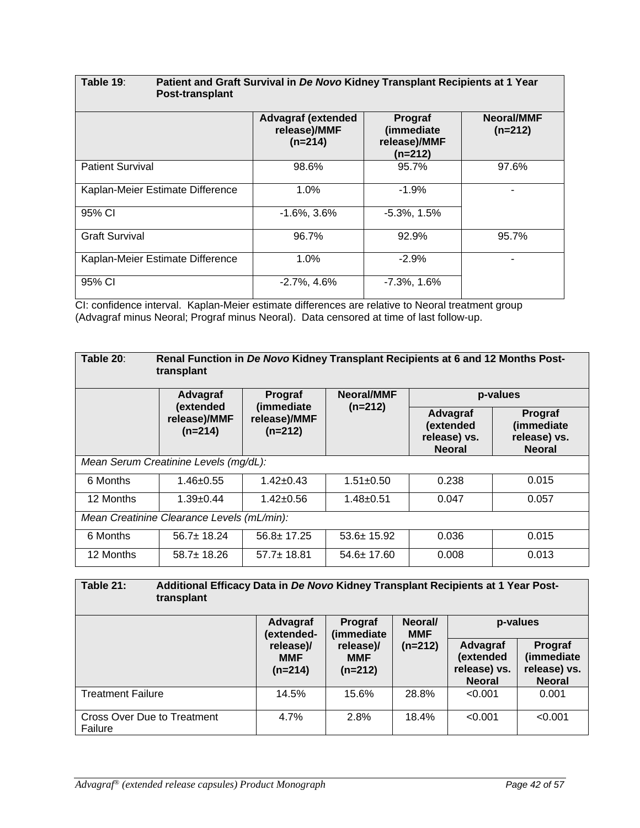| Table 19:<br><b>Post-transplant</b> | Patient and Graft Survival in De Novo Kidney Transplant Recipients at 1 Year |                                                    |                                |  |  |  |  |
|-------------------------------------|------------------------------------------------------------------------------|----------------------------------------------------|--------------------------------|--|--|--|--|
|                                     | <b>Advagraf (extended</b><br>release)/MMF<br>$(n=214)$                       | Prograf<br>(immediate<br>release)/MMF<br>$(n=212)$ | <b>Neoral/MMF</b><br>$(n=212)$ |  |  |  |  |
| <b>Patient Survival</b>             | 98.6%                                                                        | 95.7%                                              | 97.6%                          |  |  |  |  |
| Kaplan-Meier Estimate Difference    | 1.0%                                                                         | $-1.9%$                                            |                                |  |  |  |  |
| 95% CI                              | $-1.6\%$ , $3.6\%$                                                           | $-5.3\%$ , 1.5%                                    |                                |  |  |  |  |
| <b>Graft Survival</b>               | 96.7%                                                                        | 92.9%                                              | 95.7%                          |  |  |  |  |
| Kaplan-Meier Estimate Difference    | 1.0%                                                                         | $-2.9%$                                            |                                |  |  |  |  |
| 95% CI                              | $-2.7\%$ , 4.6%                                                              | $-7.3\%$ , 1.6%                                    |                                |  |  |  |  |

CI: confidence interval. Kaplan-Meier estimate differences are relative to Neoral treatment group (Advagraf minus Neoral; Prograf minus Neoral). Data censored at time of last follow-up.

| Table 20:                                  | Renal Function in De Novo Kidney Transplant Recipients at 6 and 12 Months Post-<br>transplant |                                         |                  |                                                        |                                                        |  |  |
|--------------------------------------------|-----------------------------------------------------------------------------------------------|-----------------------------------------|------------------|--------------------------------------------------------|--------------------------------------------------------|--|--|
|                                            | Advagraf                                                                                      | Prograf                                 | Neoral/MMF       | p-values                                               |                                                        |  |  |
|                                            | (extended<br>release)/MMF<br>$(n=214)$                                                        | (immediate<br>release)/MMF<br>$(n=212)$ | $(n=212)$        | Advagraf<br>(extended<br>release) vs.<br><b>Neoral</b> | Prograf<br>(immediate<br>release) vs.<br><b>Neoral</b> |  |  |
|                                            | Mean Serum Creatinine Levels (mg/dL):                                                         |                                         |                  |                                                        |                                                        |  |  |
| 6 Months                                   | $1.46 \pm 0.55$                                                                               | $1.42 \pm 0.43$                         | $1.51 \pm 0.50$  | 0.238                                                  | 0.015                                                  |  |  |
| 12 Months                                  | $1.39+0.44$                                                                                   | $1.42 \pm 0.56$                         | $1.48 + 0.51$    | 0.047                                                  | 0.057                                                  |  |  |
| Mean Creatinine Clearance Levels (mL/min): |                                                                                               |                                         |                  |                                                        |                                                        |  |  |
| 6 Months                                   | $56.7 \pm 18.24$                                                                              | $56.8 \pm 17.25$                        | $53.6 \pm 15.92$ | 0.036                                                  | 0.015                                                  |  |  |
| 12 Months                                  | $58.7 \pm 18.26$                                                                              | $57.7 \pm 18.81$                        | $54.6 \pm 17.60$ | 0.008                                                  | 0.013                                                  |  |  |

| Table 21:                                     | Additional Efficacy Data in De Novo Kidney Transplant Recipients at 1 Year Post-<br>transplant |                                      |                                      |                       |                                                        |                                                        |
|-----------------------------------------------|------------------------------------------------------------------------------------------------|--------------------------------------|--------------------------------------|-----------------------|--------------------------------------------------------|--------------------------------------------------------|
|                                               |                                                                                                | Advagraf<br>Prograf<br>(extended-    | (immediate                           | Neoral/<br><b>MMF</b> | p-values                                               |                                                        |
|                                               |                                                                                                | release)/<br><b>MMF</b><br>$(n=214)$ | release)/<br><b>MMF</b><br>$(n=212)$ | $(n=212)$             | Advagraf<br>(extended<br>release) vs.<br><b>Neoral</b> | Prograf<br>(immediate<br>release) vs.<br><b>Neoral</b> |
| <b>Treatment Failure</b>                      |                                                                                                | 14.5%                                | 15.6%                                | 28.8%                 | < 0.001                                                | 0.001                                                  |
| <b>Cross Over Due to Treatment</b><br>Failure |                                                                                                | 4.7%                                 | 2.8%                                 | 18.4%                 | < 0.001                                                | < 0.001                                                |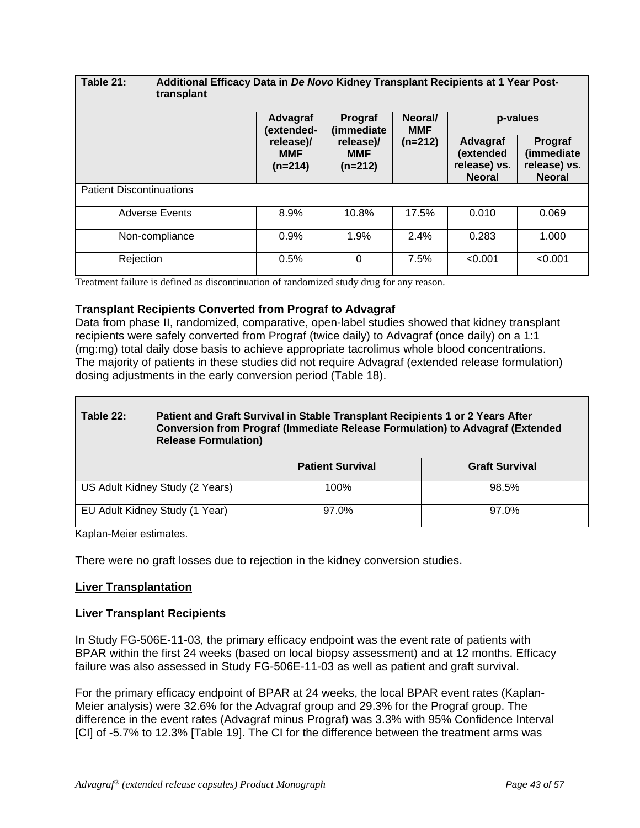| Table 21:                       | Additional Efficacy Data in De Novo Kidney Transplant Recipients at 1 Year Post-<br>transplant |                                                                          |                                      |           |                                                        |                                                        |
|---------------------------------|------------------------------------------------------------------------------------------------|--------------------------------------------------------------------------|--------------------------------------|-----------|--------------------------------------------------------|--------------------------------------------------------|
|                                 |                                                                                                | Neoral/<br>Advagraf<br>Prograf<br>(immediate<br>(extended-<br><b>MMF</b> |                                      | p-values  |                                                        |                                                        |
|                                 |                                                                                                | release)/<br><b>MMF</b><br>$(n=214)$                                     | release)/<br><b>MMF</b><br>$(n=212)$ | $(n=212)$ | Advagraf<br>(extended<br>release) vs.<br><b>Neoral</b> | Prograf<br>(immediate<br>release) vs.<br><b>Neoral</b> |
| <b>Patient Discontinuations</b> |                                                                                                |                                                                          |                                      |           |                                                        |                                                        |
| <b>Adverse Events</b>           |                                                                                                | 8.9%                                                                     | 10.8%                                | 17.5%     | 0.010                                                  | 0.069                                                  |
| Non-compliance                  |                                                                                                | 0.9%                                                                     | 1.9%                                 | 2.4%      | 0.283                                                  | 1.000                                                  |
| Rejection                       |                                                                                                | 0.5%                                                                     | $\Omega$                             | 7.5%      | < 0.001                                                | < 0.001                                                |

Treatment failure is defined as discontinuation of randomized study drug for any reason.

## **Transplant Recipients Converted from Prograf to Advagraf**

Data from phase II, randomized, comparative, open-label studies showed that kidney transplant recipients were safely converted from Prograf (twice daily) to Advagraf (once daily) on a 1:1 (mg:mg) total daily dose basis to achieve appropriate tacrolimus whole blood concentrations. The majority of patients in these studies did not require Advagraf (extended release formulation) dosing adjustments in the early conversion period (Table 18).

| Table 22:                                                                                                                                                                              | Patient and Graft Survival in Stable Transplant Recipients 1 or 2 Years After<br>Conversion from Prograf (Immediate Release Formulation) to Advagraf (Extended<br><b>Release Formulation)</b> |                       |  |  |  |  |  |
|----------------------------------------------------------------------------------------------------------------------------------------------------------------------------------------|-----------------------------------------------------------------------------------------------------------------------------------------------------------------------------------------------|-----------------------|--|--|--|--|--|
|                                                                                                                                                                                        | <b>Patient Survival</b>                                                                                                                                                                       | <b>Graft Survival</b> |  |  |  |  |  |
| US Adult Kidney Study (2 Years)                                                                                                                                                        | 100%                                                                                                                                                                                          | 98.5%                 |  |  |  |  |  |
| EU Adult Kidney Study (1 Year)<br>97.0%<br>97.0%<br>$\mathbf{1} \mathbf{Z}$ and $\mathbf{I}$ are a $\mathbf{A} \mathbf{A}$ and $\mathbf{I} \mathbf{A}$ are a set of the set of the set |                                                                                                                                                                                               |                       |  |  |  |  |  |

Kaplan-Meier estimates.

There were no graft losses due to rejection in the kidney conversion studies.

#### **Liver Transplantation**

#### **Liver Transplant Recipients**

In Study FG-506E-11-03, the primary efficacy endpoint was the event rate of patients with BPAR within the first 24 weeks (based on local biopsy assessment) and at 12 months. Efficacy failure was also assessed in Study FG-506E-11-03 as well as patient and graft survival.

For the primary efficacy endpoint of BPAR at 24 weeks, the local BPAR event rates (Kaplan-Meier analysis) were 32.6% for the Advagraf group and 29.3% for the Prograf group. The difference in the event rates (Advagraf minus Prograf) was 3.3% with 95% Confidence Interval [CI] of -5.7% to 12.3% [Table 19]. The CI for the difference between the treatment arms was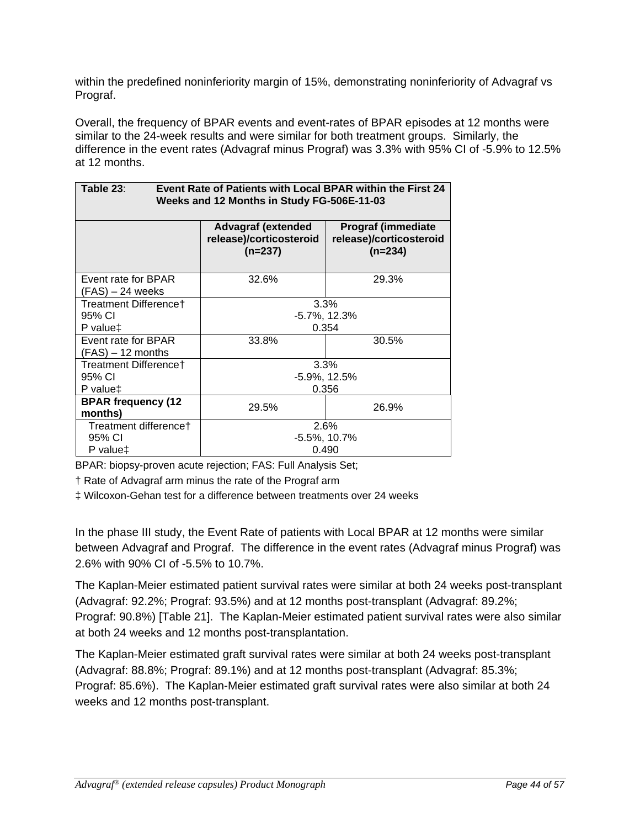within the predefined noninferiority margin of 15%, demonstrating noninferiority of Advagraf vs Prograf.

Overall, the frequency of BPAR events and event-rates of BPAR episodes at 12 months were similar to the 24-week results and were similar for both treatment groups. Similarly, the difference in the event rates (Advagraf minus Prograf) was 3.3% with 95% CI of -5.9% to 12.5% at 12 months.

| TADIE ZJ.<br>EVENI RAJE OFFAIJENIS WILLI LOCAL DFAR WILLIIII LIJE FIISL 24<br>Weeks and 12 Months in Study FG-506E-11-03 |                                                                   |                                                                    |  |  |  |  |  |
|--------------------------------------------------------------------------------------------------------------------------|-------------------------------------------------------------------|--------------------------------------------------------------------|--|--|--|--|--|
|                                                                                                                          | <b>Advagraf (extended</b><br>release)/corticosteroid<br>$(n=237)$ | <b>Prograf (immediate)</b><br>release)/corticosteroid<br>$(n=234)$ |  |  |  |  |  |
| Event rate for BPAR<br>(FAS) – 24 weeks                                                                                  | 32.6%                                                             | 29.3%                                                              |  |  |  |  |  |
| Treatment Difference†<br>95% CI                                                                                          | 3.3%<br>$-5.7\%$ , 12.3%                                          |                                                                    |  |  |  |  |  |
| P value‡                                                                                                                 |                                                                   | 0.354                                                              |  |  |  |  |  |
| Event rate for BPAR<br>$(FAS) - 12$ months                                                                               | 33.8%                                                             | 30.5%                                                              |  |  |  |  |  |
| Treatment Differencet                                                                                                    |                                                                   | 3.3%                                                               |  |  |  |  |  |
| 95% CI                                                                                                                   |                                                                   | $-5.9\%$ , 12.5%                                                   |  |  |  |  |  |
| P value <sup>+</sup>                                                                                                     | 0.356                                                             |                                                                    |  |  |  |  |  |
| <b>BPAR frequency (12</b><br>months)                                                                                     | 29.5%                                                             | 26.9%                                                              |  |  |  |  |  |
| Treatment difference†<br>95% CI                                                                                          | 2.6%<br>$-5.5\%$ , 10.7%                                          |                                                                    |  |  |  |  |  |
| P value‡                                                                                                                 | 0.490                                                             |                                                                    |  |  |  |  |  |

**Table 23**: **Event Rate of Patients with Local BPAR within the First 24** 

BPAR: biopsy-proven acute rejection; FAS: Full Analysis Set;

† Rate of Advagraf arm minus the rate of the Prograf arm

‡ Wilcoxon-Gehan test for a difference between treatments over 24 weeks

In the phase III study, the Event Rate of patients with Local BPAR at 12 months were similar between Advagraf and Prograf. The difference in the event rates (Advagraf minus Prograf) was 2.6% with 90% CI of -5.5% to 10.7%.

The Kaplan-Meier estimated patient survival rates were similar at both 24 weeks post-transplant (Advagraf: 92.2%; Prograf: 93.5%) and at 12 months post-transplant (Advagraf: 89.2%; Prograf: 90.8%) [Table 21]. The Kaplan-Meier estimated patient survival rates were also similar at both 24 weeks and 12 months post-transplantation.

The Kaplan-Meier estimated graft survival rates were similar at both 24 weeks post-transplant (Advagraf: 88.8%; Prograf: 89.1%) and at 12 months post-transplant (Advagraf: 85.3%; Prograf: 85.6%). The Kaplan-Meier estimated graft survival rates were also similar at both 24 weeks and 12 months post-transplant.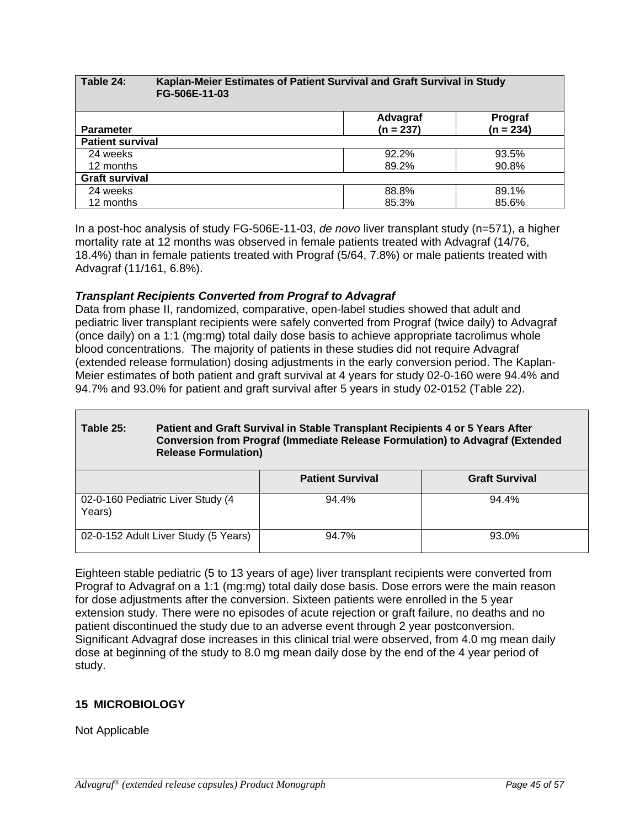#### **Table 24: Kaplan-Meier Estimates of Patient Survival and Graft Survival in Study FG-506E-11-03 Parameter Advagraf (n = 237) Prograf (n = 234) Patient survival**<br>24 weeks 24 weeks 92.2% 93.5% 12 months 89.2% 90.8% **Graft survival** 24 weeks 88.8% 89.1% 12 months 85.3% 85.6%

In a post-hoc analysis of study FG-506E-11-03, *de novo* liver transplant study (n=571), a higher mortality rate at 12 months was observed in female patients treated with Advagraf (14/76, 18.4%) than in female patients treated with Prograf (5/64, 7.8%) or male patients treated with Advagraf (11/161, 6.8%).

# *Transplant Recipients Converted from Prograf to Advagraf*

Data from phase II, randomized, comparative, open-label studies showed that adult and pediatric liver transplant recipients were safely converted from Prograf (twice daily) to Advagraf (once daily) on a 1:1 (mg:mg) total daily dose basis to achieve appropriate tacrolimus whole blood concentrations. The majority of patients in these studies did not require Advagraf (extended release formulation) dosing adjustments in the early conversion period. The Kaplan-Meier estimates of both patient and graft survival at 4 years for study 02-0-160 were 94.4% and 94.7% and 93.0% for patient and graft survival after 5 years in study 02-0152 (Table 22).

# **Table 25: Patient and Graft Survival in Stable Transplant Recipients 4 or 5 Years After Conversion from Prograf (Immediate Release Formulation) to Advagraf (Extended Release Formulation)**

|                                             | <b>Patient Survival</b> | <b>Graft Survival</b> |
|---------------------------------------------|-------------------------|-----------------------|
| 02-0-160 Pediatric Liver Study (4<br>Years) | 94.4%                   | 94.4%                 |
| 02-0-152 Adult Liver Study (5 Years)        | 94.7%                   | 93.0%                 |

Eighteen stable pediatric (5 to 13 years of age) liver transplant recipients were converted from Prograf to Advagraf on a 1:1 (mg:mg) total daily dose basis. Dose errors were the main reason for dose adjustments after the conversion. Sixteen patients were enrolled in the 5 year extension study. There were no episodes of acute rejection or graft failure, no deaths and no patient discontinued the study due to an adverse event through 2 year postconversion. Significant Advagraf dose increases in this clinical trial were observed, from 4.0 mg mean daily dose at beginning of the study to 8.0 mg mean daily dose by the end of the 4 year period of study.

# **15 MICROBIOLOGY**

Not Applicable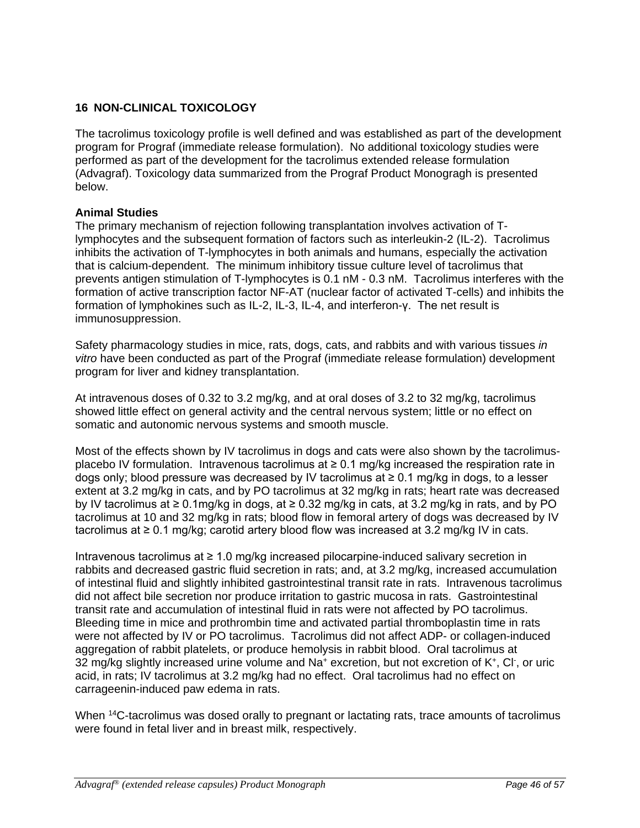# **16 NON-CLINICAL TOXICOLOGY**

The tacrolimus toxicology profile is well defined and was established as part of the development program for Prograf (immediate release formulation). No additional toxicology studies were performed as part of the development for the tacrolimus extended release formulation (Advagraf). Toxicology data summarized from the Prograf Product Monogragh is presented below.

# **Animal Studies**

The primary mechanism of rejection following transplantation involves activation of Tlymphocytes and the subsequent formation of factors such as interleukin-2 (IL-2). Tacrolimus inhibits the activation of T-lymphocytes in both animals and humans, especially the activation that is calcium-dependent. The minimum inhibitory tissue culture level of tacrolimus that prevents antigen stimulation of T-lymphocytes is 0.1 nM - 0.3 nM. Tacrolimus interferes with the formation of active transcription factor NF-AT (nuclear factor of activated T-cells) and inhibits the formation of lymphokines such as IL-2, IL-3, IL-4, and interferon-γ. The net result is immunosuppression.

Safety pharmacology studies in mice, rats, dogs, cats, and rabbits and with various tissues *in vitro* have been conducted as part of the Prograf (immediate release formulation) development program for liver and kidney transplantation.

At intravenous doses of 0.32 to 3.2 mg/kg, and at oral doses of 3.2 to 32 mg/kg, tacrolimus showed little effect on general activity and the central nervous system; little or no effect on somatic and autonomic nervous systems and smooth muscle.

Most of the effects shown by IV tacrolimus in dogs and cats were also shown by the tacrolimusplacebo IV formulation. Intravenous tacrolimus at  $\geq 0.1$  mg/kg increased the respiration rate in dogs only; blood pressure was decreased by IV tacrolimus at  $\geq 0.1$  mg/kg in dogs, to a lesser extent at 3.2 mg/kg in cats, and by PO tacrolimus at 32 mg/kg in rats; heart rate was decreased by IV tacrolimus at ≥ 0.1mg/kg in dogs, at ≥ 0.32 mg/kg in cats, at 3.2 mg/kg in rats, and by PO tacrolimus at 10 and 32 mg/kg in rats; blood flow in femoral artery of dogs was decreased by IV tacrolimus at ≥ 0.1 mg/kg; carotid artery blood flow was increased at 3.2 mg/kg IV in cats.

Intravenous tacrolimus at ≥ 1.0 mg/kg increased pilocarpine-induced salivary secretion in rabbits and decreased gastric fluid secretion in rats; and, at 3.2 mg/kg, increased accumulation of intestinal fluid and slightly inhibited gastrointestinal transit rate in rats. Intravenous tacrolimus did not affect bile secretion nor produce irritation to gastric mucosa in rats. Gastrointestinal transit rate and accumulation of intestinal fluid in rats were not affected by PO tacrolimus. Bleeding time in mice and prothrombin time and activated partial thromboplastin time in rats were not affected by IV or PO tacrolimus. Tacrolimus did not affect ADP- or collagen-induced aggregation of rabbit platelets, or produce hemolysis in rabbit blood. Oral tacrolimus at 32 mg/kg slightly increased urine volume and Na+ excretion, but not excretion of K+, Cl- , or uric acid, in rats; IV tacrolimus at 3.2 mg/kg had no effect. Oral tacrolimus had no effect on carrageenin-induced paw edema in rats.

When <sup>14</sup>C-tacrolimus was dosed orally to pregnant or lactating rats, trace amounts of tacrolimus were found in fetal liver and in breast milk, respectively.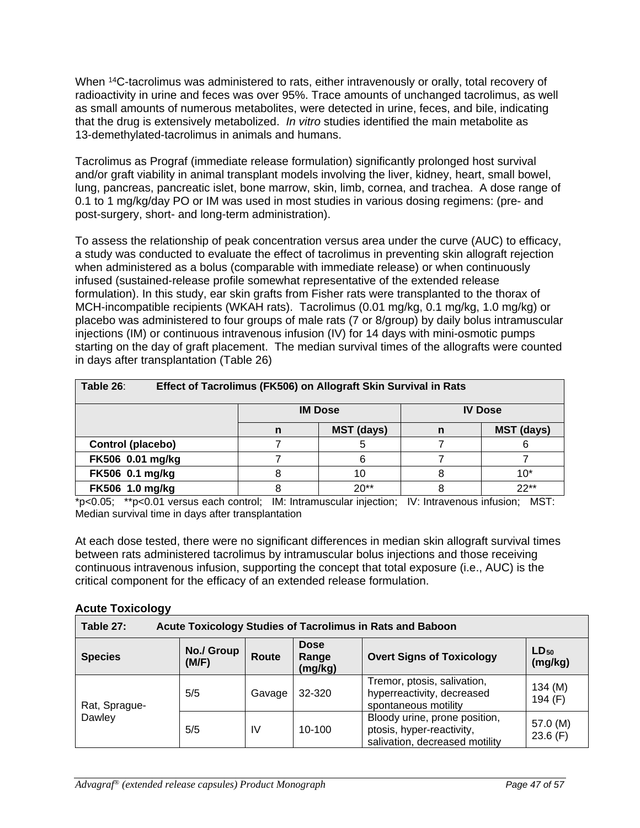When <sup>14</sup>C-tacrolimus was administered to rats, either intravenously or orally, total recovery of radioactivity in urine and feces was over 95%. Trace amounts of unchanged tacrolimus, as well as small amounts of numerous metabolites, were detected in urine, feces, and bile, indicating that the drug is extensively metabolized. *In vitro* studies identified the main metabolite as 13-demethylated-tacrolimus in animals and humans.

Tacrolimus as Prograf (immediate release formulation) significantly prolonged host survival and/or graft viability in animal transplant models involving the liver, kidney, heart, small bowel, lung, pancreas, pancreatic islet, bone marrow, skin, limb, cornea, and trachea. A dose range of 0.1 to 1 mg/kg/day PO or IM was used in most studies in various dosing regimens: (pre- and post-surgery, short- and long-term administration).

To assess the relationship of peak concentration versus area under the curve (AUC) to efficacy, a study was conducted to evaluate the effect of tacrolimus in preventing skin allograft rejection when administered as a bolus (comparable with immediate release) or when continuously infused (sustained-release profile somewhat representative of the extended release formulation). In this study, ear skin grafts from Fisher rats were transplanted to the thorax of MCH-incompatible recipients (WKAH rats). Tacrolimus (0.01 mg/kg, 0.1 mg/kg, 1.0 mg/kg) or placebo was administered to four groups of male rats (7 or 8/group) by daily bolus intramuscular injections (IM) or continuous intravenous infusion (IV) for 14 days with mini-osmotic pumps starting on the day of graft placement. The median survival times of the allografts were counted in days after transplantation (Table 26)

| Table 26:<br>Effect of Tacrolimus (FK506) on Allograft Skin Survival in Rats |                                                  |        |  |        |  |  |  |
|------------------------------------------------------------------------------|--------------------------------------------------|--------|--|--------|--|--|--|
|                                                                              | <b>IM Dose</b><br><b>IV Dose</b>                 |        |  |        |  |  |  |
|                                                                              | <b>MST (days)</b><br><b>MST (days)</b><br>n<br>n |        |  |        |  |  |  |
| Control (placebo)                                                            |                                                  |        |  |        |  |  |  |
| FK506 0.01 mg/kg                                                             |                                                  |        |  |        |  |  |  |
| FK506 0.1 mg/kg                                                              |                                                  | 10     |  | 10*    |  |  |  |
| FK506 1.0 mg/kg                                                              |                                                  | $20**$ |  | $22**$ |  |  |  |

\*p<0.05; \*\*p<0.01 versus each control; IM: Intramuscular injection; IV: Intravenous infusion; MST: Median survival time in days after transplantation

At each dose tested, there were no significant differences in median skin allograft survival times between rats administered tacrolimus by intramuscular bolus injections and those receiving continuous intravenous infusion, supporting the concept that total exposure (i.e., AUC) is the critical component for the efficacy of an extended release formulation.

## **Acute Toxicology**

| Table 27:<br>Acute Toxicology Studies of Tacrolimus in Rats and Baboon |                     |        |                                 |                                                                                              |                      |  |
|------------------------------------------------------------------------|---------------------|--------|---------------------------------|----------------------------------------------------------------------------------------------|----------------------|--|
| <b>Species</b>                                                         | No./ Group<br>(M/F) | Route  | <b>Dose</b><br>Range<br>(mg/kg) | <b>Overt Signs of Toxicology</b>                                                             | $LD_{50}$<br>(mg/kg) |  |
| Rat, Sprague-                                                          | 5/5                 | Gavage | 32-320                          | Tremor, ptosis, salivation,<br>hyperreactivity, decreased<br>spontaneous motility            | 134 (M)<br>194 (F)   |  |
| Dawley                                                                 | 5/5                 | IV     | $10-100$                        | Bloody urine, prone position,<br>ptosis, hyper-reactivity,<br>salivation, decreased motility | 57.0 (M)<br>23.6(F)  |  |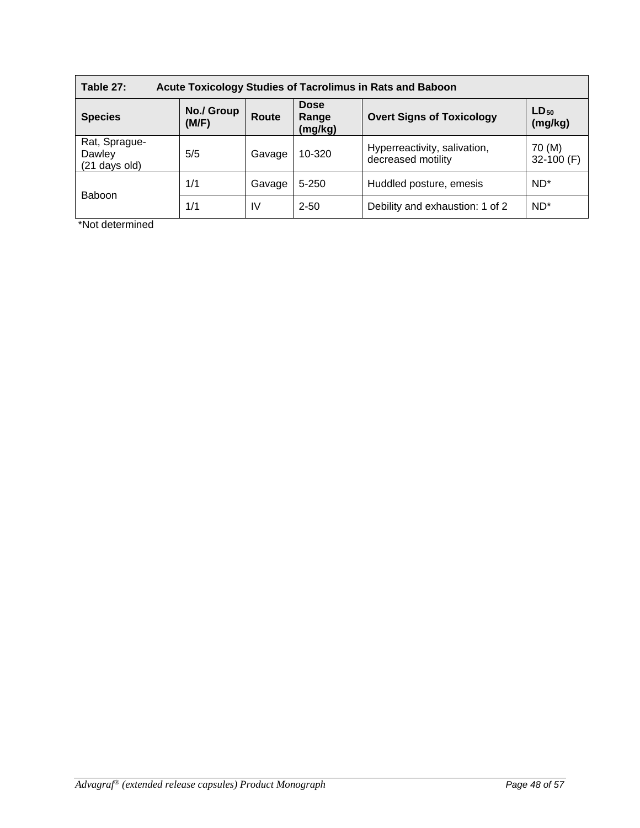| Table 27:<br><b>Acute Toxicology Studies of Tacrolimus in Rats and Baboon</b>                                                      |     |        |           |                                                    |                        |  |
|------------------------------------------------------------------------------------------------------------------------------------|-----|--------|-----------|----------------------------------------------------|------------------------|--|
| <b>Dose</b><br>No./ Group<br>$LD_{50}$<br><b>Overt Signs of Toxicology</b><br><b>Species</b><br>Route<br>Range<br>(M/F)<br>(mg/kg) |     |        |           |                                                    | (mg/kg)                |  |
| Rat, Sprague-<br>Dawley<br>(21 days old)                                                                                           | 5/5 | Gavage | 10-320    | Hyperreactivity, salivation,<br>decreased motility | 70 (M)<br>32-100 $(F)$ |  |
|                                                                                                                                    | 1/1 | Gavage | $5 - 250$ | Huddled posture, emesis                            | $ND^*$                 |  |
| <b>Baboon</b>                                                                                                                      | 1/1 | IV     | $2 - 50$  | Debility and exhaustion: 1 of 2                    | $ND^*$                 |  |

\*Not determined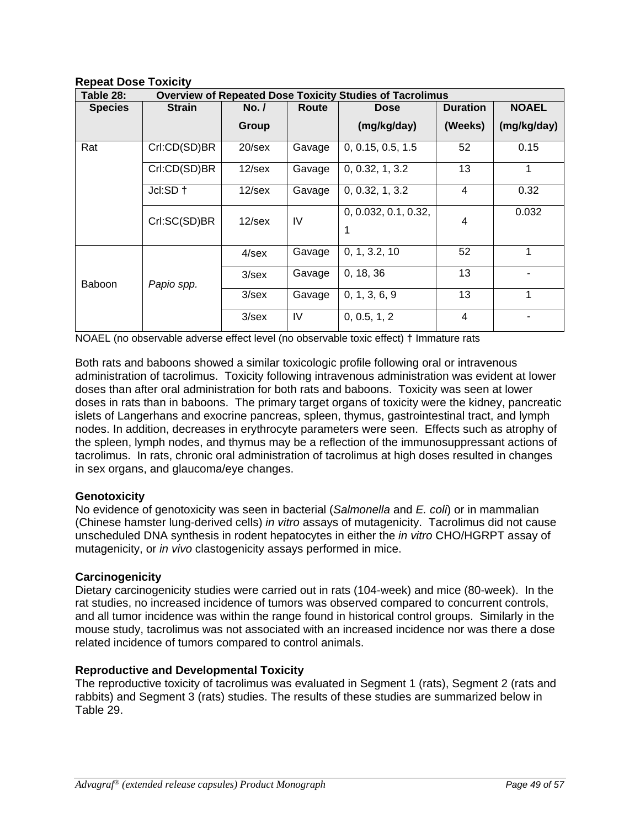**Repeat Dose Toxicity** 

| Table 28:<br><b>Overview of Repeated Dose Toxicity Studies of Tacrolimus</b> |               |           |        |                           |                 |              |
|------------------------------------------------------------------------------|---------------|-----------|--------|---------------------------|-----------------|--------------|
| <b>Species</b>                                                               | <b>Strain</b> | No. /     | Route  | <b>Dose</b>               | <b>Duration</b> | <b>NOAEL</b> |
|                                                                              |               | Group     |        | (mg/kg/day)               | (Weeks)         | (mg/kg/day)  |
| Rat                                                                          | Crl:CD(SD)BR  | $20$ /sex | Gavage | 0, 0.15, 0.5, 1.5         | 52              | 0.15         |
|                                                                              | Crl:CD(SD)BR  | $12$ /sex | Gavage | 0, 0.32, 1, 3.2           | 13              |              |
|                                                                              | $Jcl:SD +$    | $12$ /sex | Gavage | 0, 0.32, 1, 3.2           | 4               | 0.32         |
|                                                                              | Crl:SC(SD)BR  | $12$ /sex | IV     | 0, 0.032, 0.1, 0.32,<br>1 | 4               | 0.032        |
|                                                                              |               | $4$ /sex  | Gavage | 0, 1, 3.2, 10             | 52              | 1            |
| Baboon                                                                       | Papio spp.    | $3$ /sex  | Gavage | 0, 18, 36                 | 13              |              |
|                                                                              |               | $3$ /sex  | Gavage | 0, 1, 3, 6, 9             | 13              | 1            |
|                                                                              |               | $3$ /sex  | IV     | 0, 0.5, 1, 2              | 4               |              |

NOAEL (no observable adverse effect level (no observable toxic effect) † Immature rats

Both rats and baboons showed a similar toxicologic profile following oral or intravenous administration of tacrolimus. Toxicity following intravenous administration was evident at lower doses than after oral administration for both rats and baboons. Toxicity was seen at lower doses in rats than in baboons. The primary target organs of toxicity were the kidney, pancreatic islets of Langerhans and exocrine pancreas, spleen, thymus, gastrointestinal tract, and lymph nodes. In addition, decreases in erythrocyte parameters were seen. Effects such as atrophy of the spleen, lymph nodes, and thymus may be a reflection of the immunosuppressant actions of tacrolimus. In rats, chronic oral administration of tacrolimus at high doses resulted in changes in sex organs, and glaucoma/eye changes.

# **Genotoxicity**

No evidence of genotoxicity was seen in bacterial (*Salmonella* and *E. coli*) or in mammalian (Chinese hamster lung-derived cells) *in vitro* assays of mutagenicity. Tacrolimus did not cause unscheduled DNA synthesis in rodent hepatocytes in either the *in vitro* CHO/HGRPT assay of mutagenicity, or *in vivo* clastogenicity assays performed in mice.

# **Carcinogenicity**

Dietary carcinogenicity studies were carried out in rats (104-week) and mice (80-week). In the rat studies, no increased incidence of tumors was observed compared to concurrent controls, and all tumor incidence was within the range found in historical control groups. Similarly in the mouse study, tacrolimus was not associated with an increased incidence nor was there a dose related incidence of tumors compared to control animals.

# **Reproductive and Developmental Toxicity**

The reproductive toxicity of tacrolimus was evaluated in Segment 1 (rats), Segment 2 (rats and rabbits) and Segment 3 (rats) studies. The results of these studies are summarized below in Table 29.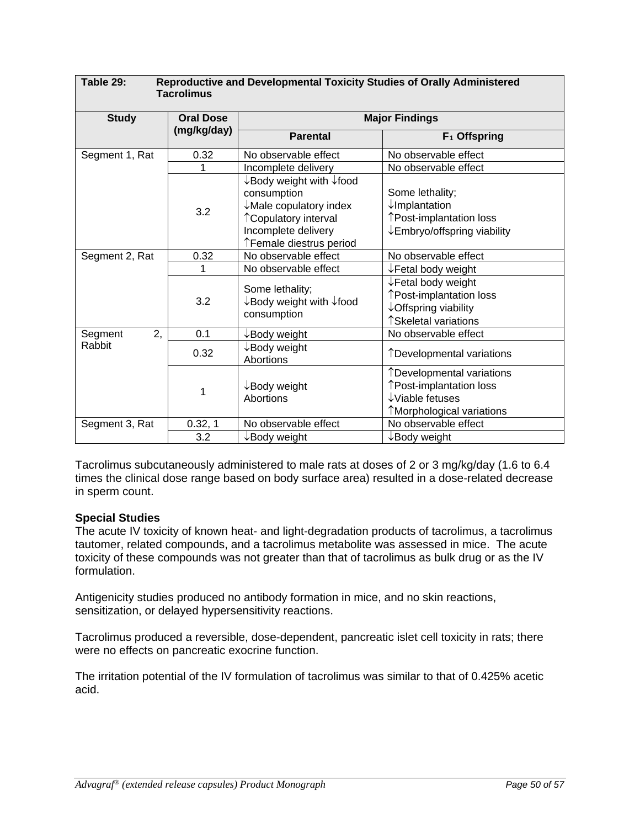| Table 29:<br>Reproductive and Developmental Toxicity Studies of Orally Administered<br><b>Tacrolimus</b> |                  |                                                                                                                                                         |                                                                                                                        |  |  |  |
|----------------------------------------------------------------------------------------------------------|------------------|---------------------------------------------------------------------------------------------------------------------------------------------------------|------------------------------------------------------------------------------------------------------------------------|--|--|--|
| <b>Study</b>                                                                                             | <b>Oral Dose</b> | <b>Major Findings</b>                                                                                                                                   |                                                                                                                        |  |  |  |
|                                                                                                          | (mg/kg/day)      | <b>Parental</b>                                                                                                                                         | F <sub>1</sub> Offspring                                                                                               |  |  |  |
| Segment 1, Rat                                                                                           | 0.32             | No observable effect                                                                                                                                    | No observable effect                                                                                                   |  |  |  |
|                                                                                                          |                  | Incomplete delivery                                                                                                                                     | No observable effect                                                                                                   |  |  |  |
|                                                                                                          | 3.2              | ↓Body weight with ↓food<br>consumption<br>$\downarrow$ Male copulatory index<br>↑ Copulatory interval<br>Incomplete delivery<br>↑Female diestrus period | Some lethality;<br>$\downarrow$ Implantation<br>↑Post-implantation loss<br>$\downarrow$ Embryo/offspring viability     |  |  |  |
| Segment 2, Rat                                                                                           | 0.32             | No observable effect                                                                                                                                    | No observable effect                                                                                                   |  |  |  |
|                                                                                                          | 1                | No observable effect                                                                                                                                    | $\downarrow$ Fetal body weight                                                                                         |  |  |  |
|                                                                                                          | 3.2              | Some lethality;<br>$\downarrow$ Body weight with $\downarrow$ food<br>consumption                                                                       | ↓Fetal body weight<br>↑Post-implantation loss<br>↓ Offspring viability<br>↑Skeletal variations                         |  |  |  |
| 2,<br>Segment                                                                                            | 0.1              | $\downarrow$ Body weight                                                                                                                                | No observable effect                                                                                                   |  |  |  |
| Rabbit                                                                                                   | 0.32             | $\downarrow$ Body weight<br>Abortions                                                                                                                   | ↑Developmental variations                                                                                              |  |  |  |
|                                                                                                          | 1                | $\downarrow$ Body weight<br>Abortions                                                                                                                   | ↑Developmental variations<br>↑Post-implantation loss<br>$\downarrow$ Viable fetuses<br><b>Morphological variations</b> |  |  |  |
| Segment 3, Rat                                                                                           | 0.32, 1          | No observable effect                                                                                                                                    | No observable effect                                                                                                   |  |  |  |
|                                                                                                          | 3.2              | ↓Body weight                                                                                                                                            | $\downarrow$ Body weight                                                                                               |  |  |  |

Tacrolimus subcutaneously administered to male rats at doses of 2 or 3 mg/kg/day (1.6 to 6.4 times the clinical dose range based on body surface area) resulted in a dose-related decrease in sperm count.

## **Special Studies**

The acute IV toxicity of known heat- and light-degradation products of tacrolimus, a tacrolimus tautomer, related compounds, and a tacrolimus metabolite was assessed in mice. The acute toxicity of these compounds was not greater than that of tacrolimus as bulk drug or as the IV formulation.

Antigenicity studies produced no antibody formation in mice, and no skin reactions, sensitization, or delayed hypersensitivity reactions.

Tacrolimus produced a reversible, dose-dependent, pancreatic islet cell toxicity in rats; there were no effects on pancreatic exocrine function.

The irritation potential of the IV formulation of tacrolimus was similar to that of 0.425% acetic acid.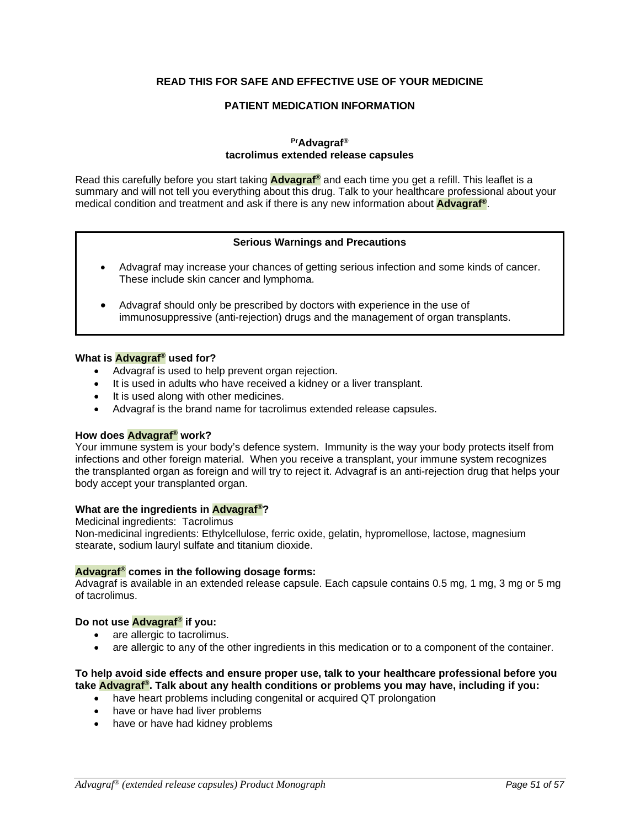#### **READ THIS FOR SAFE AND EFFECTIVE USE OF YOUR MEDICINE**

#### **PATIENT MEDICATION INFORMATION**

#### **PrAdvagraf® tacrolimus extended release capsules**

Read this carefully before you start taking **Advagraf®** and each time you get a refill. This leaflet is a summary and will not tell you everything about this drug. Talk to your healthcare professional about your medical condition and treatment and ask if there is any new information about **Advagraf®**.

#### **Serious Warnings and Precautions**

- Advagraf may increase your chances of getting serious infection and some kinds of cancer. These include skin cancer and lymphoma.
- Advagraf should only be prescribed by doctors with experience in the use of immunosuppressive (anti-rejection) drugs and the management of organ transplants.

#### **What is Advagraf® used for?**

- Advagraf is used to help prevent organ rejection.
- It is used in adults who have received a kidney or a liver transplant.
- It is used along with other medicines.
- Advagraf is the brand name for tacrolimus extended release capsules.

#### **How does Advagraf® work?**

Your immune system is your body's defence system. Immunity is the way your body protects itself from infections and other foreign material. When you receive a transplant, your immune system recognizes the transplanted organ as foreign and will try to reject it. Advagraf is an anti-rejection drug that helps your body accept your transplanted organ.

#### **What are the ingredients in Advagraf®?**

Medicinal ingredients:Tacrolimus

Non-medicinal ingredients: Ethylcellulose, ferric oxide, gelatin, hypromellose, lactose, magnesium stearate, sodium lauryl sulfate and titanium dioxide.

#### **Advagraf® comes in the following dosage forms:**

Advagraf is available in an extended release capsule. Each capsule contains 0.5 mg, 1 mg, 3 mg or 5 mg of tacrolimus.

#### **Do not use Advagraf® if you:**

- are allergic to tacrolimus.
- are allergic to any of the other ingredients in this medication or to a component of the container.

#### **To help avoid side effects and ensure proper use, talk to your healthcare professional before you take Advagraf®. Talk about any health conditions or problems you may have, including if you:**

- have heart problems including congenital or acquired QT prolongation
- have or have had liver problems
- have or have had kidney problems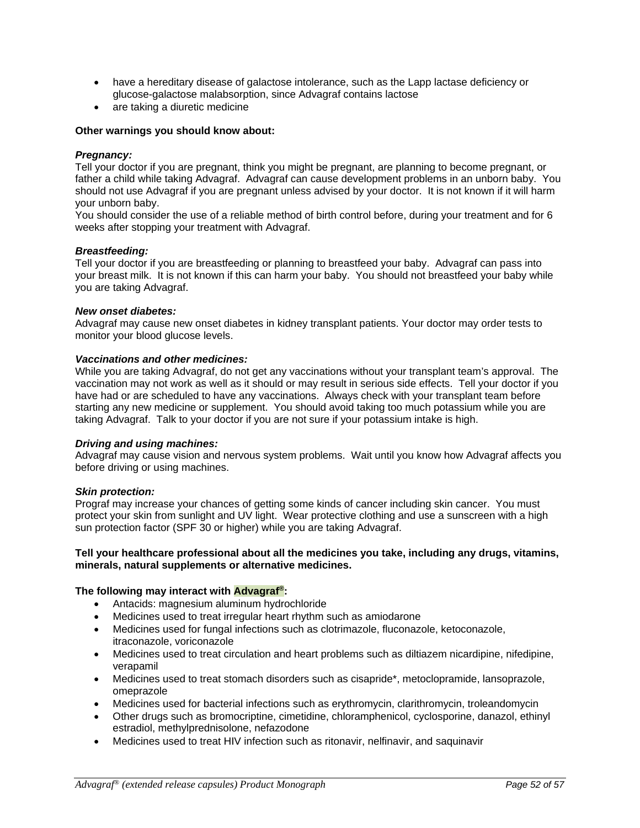- have a hereditary disease of galactose intolerance, such as the Lapp lactase deficiency or glucose-galactose malabsorption, since Advagraf contains lactose
- are taking a diuretic medicine

#### **Other warnings you should know about:**

#### *Pregnancy:*

Tell your doctor if you are pregnant, think you might be pregnant, are planning to become pregnant, or father a child while taking Advagraf. Advagraf can cause development problems in an unborn baby. You should not use Advagraf if you are pregnant unless advised by your doctor. It is not known if it will harm your unborn baby.

You should consider the use of a reliable method of birth control before, during your treatment and for 6 weeks after stopping your treatment with Advagraf.

#### *Breastfeeding:*

Tell your doctor if you are breastfeeding or planning to breastfeed your baby. Advagraf can pass into your breast milk. It is not known if this can harm your baby. You should not breastfeed your baby while you are taking Advagraf.

#### *New onset diabetes:*

Advagraf may cause new onset diabetes in kidney transplant patients. Your doctor may order tests to monitor your blood glucose levels.

#### *Vaccinations and other medicines:*

While you are taking Advagraf, do not get any vaccinations without your transplant team's approval. The vaccination may not work as well as it should or may result in serious side effects. Tell your doctor if you have had or are scheduled to have any vaccinations. Always check with your transplant team before starting any new medicine or supplement. You should avoid taking too much potassium while you are taking Advagraf. Talk to your doctor if you are not sure if your potassium intake is high.

#### *Driving and using machines:*

Advagraf may cause vision and nervous system problems. Wait until you know how Advagraf affects you before driving or using machines.

#### *Skin protection:*

Prograf may increase your chances of getting some kinds of cancer including skin cancer. You must protect your skin from sunlight and UV light. Wear protective clothing and use a sunscreen with a high sun protection factor (SPF 30 or higher) while you are taking Advagraf.

#### **Tell your healthcare professional about all the medicines you take, including any drugs, vitamins, minerals, natural supplements or alternative medicines.**

#### **The following may interact with Advagraf®:**

- Antacids: magnesium aluminum hydrochloride
- Medicines used to treat irregular heart rhythm such as amiodarone
- Medicines used for fungal infections such as clotrimazole, fluconazole, ketoconazole, itraconazole, voriconazole
- Medicines used to treat circulation and heart problems such as diltiazem nicardipine, nifedipine, verapamil
- Medicines used to treat stomach disorders such as cisapride\*, metoclopramide, lansoprazole, omeprazole
- Medicines used for bacterial infections such as erythromycin, clarithromycin, troleandomycin
- Other drugs such as bromocriptine, cimetidine, chloramphenicol, cyclosporine, danazol, ethinyl estradiol, methylprednisolone, nefazodone
- Medicines used to treat HIV infection such as ritonavir, nelfinavir, and saquinavir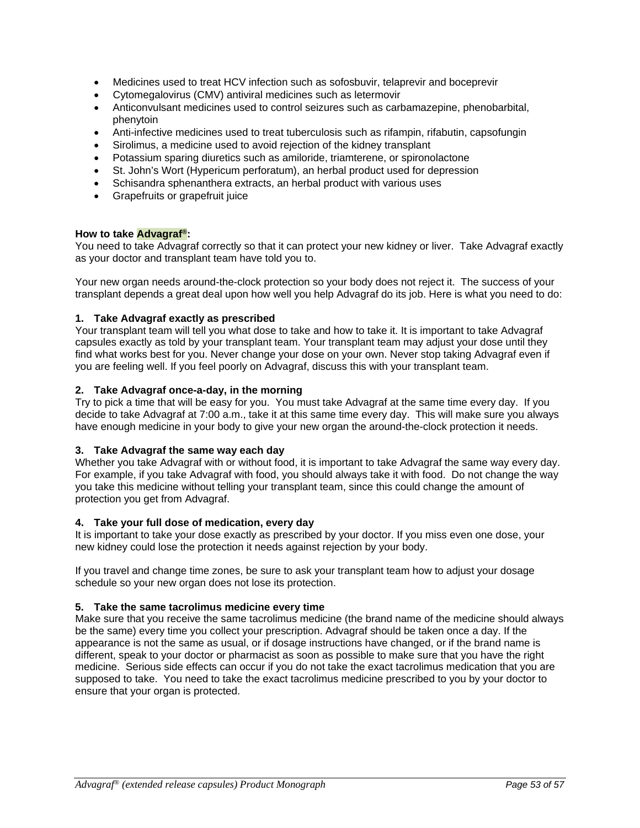- Medicines used to treat HCV infection such as sofosbuvir, telaprevir and boceprevir
- Cytomegalovirus (CMV) antiviral medicines such as letermovir
- Anticonvulsant medicines used to control seizures such as carbamazepine, phenobarbital, phenytoin
- Anti-infective medicines used to treat tuberculosis such as rifampin, rifabutin, capsofungin
- Sirolimus, a medicine used to avoid rejection of the kidney transplant
- Potassium sparing diuretics such as amiloride, triamterene, or spironolactone
- St. John's Wort (Hypericum perforatum), an herbal product used for depression
- Schisandra sphenanthera extracts, an herbal product with various uses
- Grapefruits or grapefruit juice

#### **How to take Advagraf®:**

You need to take Advagraf correctly so that it can protect your new kidney or liver. Take Advagraf exactly as your doctor and transplant team have told you to.

Your new organ needs around-the-clock protection so your body does not reject it. The success of your transplant depends a great deal upon how well you help Advagraf do its job. Here is what you need to do:

#### **1. Take Advagraf exactly as prescribed**

Your transplant team will tell you what dose to take and how to take it. It is important to take Advagraf capsules exactly as told by your transplant team. Your transplant team may adjust your dose until they find what works best for you. Never change your dose on your own. Never stop taking Advagraf even if you are feeling well. If you feel poorly on Advagraf, discuss this with your transplant team.

#### **2. Take Advagraf once-a-day, in the morning**

Try to pick a time that will be easy for you. You must take Advagraf at the same time every day. If you decide to take Advagraf at 7:00 a.m., take it at this same time every day. This will make sure you always have enough medicine in your body to give your new organ the around-the-clock protection it needs.

#### **3. Take Advagraf the same way each day**

Whether you take Advagraf with or without food, it is important to take Advagraf the same way every day. For example, if you take Advagraf with food, you should always take it with food. Do not change the way you take this medicine without telling your transplant team, since this could change the amount of protection you get from Advagraf.

#### **4. Take your full dose of medication, every day**

It is important to take your dose exactly as prescribed by your doctor. If you miss even one dose, your new kidney could lose the protection it needs against rejection by your body.

If you travel and change time zones, be sure to ask your transplant team how to adjust your dosage schedule so your new organ does not lose its protection.

#### **5. Take the same tacrolimus medicine every time**

Make sure that you receive the same tacrolimus medicine (the brand name of the medicine should always be the same) every time you collect your prescription. Advagraf should be taken once a day. If the appearance is not the same as usual, or if dosage instructions have changed, or if the brand name is different, speak to your doctor or pharmacist as soon as possible to make sure that you have the right medicine. Serious side effects can occur if you do not take the exact tacrolimus medication that you are supposed to take. You need to take the exact tacrolimus medicine prescribed to you by your doctor to ensure that your organ is protected.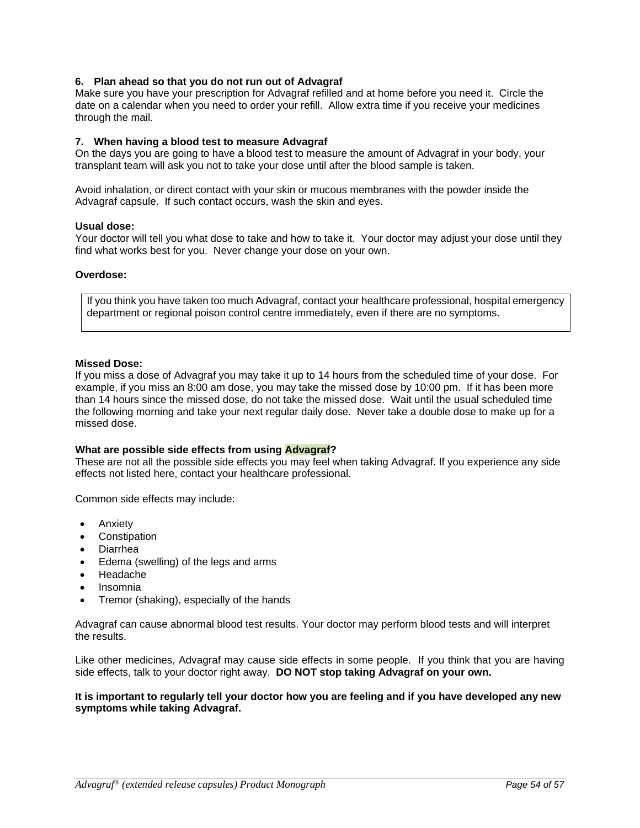#### **6. Plan ahead so that you do not run out of Advagraf**

Make sure you have your prescription for Advagraf refilled and at home before you need it. Circle the date on a calendar when you need to order your refill. Allow extra time if you receive your medicines through the mail.

#### **7. When having a blood test to measure Advagraf**

On the days you are going to have a blood test to measure the amount of Advagraf in your body, your transplant team will ask you not to take your dose until after the blood sample is taken.

Avoid inhalation, or direct contact with your skin or mucous membranes with the powder inside the Advagraf capsule. If such contact occurs, wash the skin and eyes.

#### **Usual dose:**

Your doctor will tell you what dose to take and how to take it. Your doctor may adjust your dose until they find what works best for you. Never change your dose on your own.

#### **Overdose:**

If you think you have taken too much Advagraf, contact your healthcare professional, hospital emergency department or regional poison control centre immediately, even if there are no symptoms.

#### **Missed Dose:**

If you miss a dose of Advagraf you may take it up to 14 hours from the scheduled time of your dose. For example, if you miss an 8:00 am dose, you may take the missed dose by 10:00 pm. If it has been more than 14 hours since the missed dose, do not take the missed dose. Wait until the usual scheduled time the following morning and take your next regular daily dose. Never take a double dose to make up for a missed dose.

#### **What are possible side effects from using Advagraf?**

These are not all the possible side effects you may feel when taking Advagraf. If you experience any side effects not listed here, contact your healthcare professional.

Common side effects may include:

- Anxiety
- Constipation
- Diarrhea
- Edema (swelling) of the legs and arms
- Headache
- Insomnia
- Tremor (shaking), especially of the hands

Advagraf can cause abnormal blood test results. Your doctor may perform blood tests and will interpret the results.

Like other medicines, Advagraf may cause side effects in some people. If you think that you are having side effects, talk to your doctor right away. **DO NOT stop taking Advagraf on your own.**

#### **It is important to regularly tell your doctor how you are feeling and if you have developed any new symptoms while taking Advagraf.**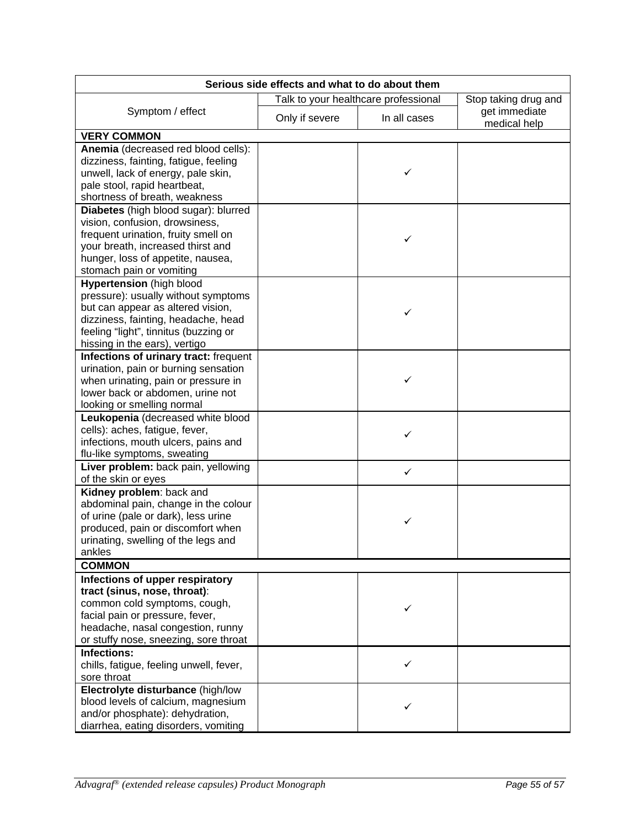| Serious side effects and what to do about them                           |                |                                      |                               |  |  |  |
|--------------------------------------------------------------------------|----------------|--------------------------------------|-------------------------------|--|--|--|
|                                                                          |                | Talk to your healthcare professional | Stop taking drug and          |  |  |  |
| Symptom / effect                                                         | Only if severe | In all cases                         | get immediate<br>medical help |  |  |  |
| <b>VERY COMMON</b>                                                       |                |                                      |                               |  |  |  |
| Anemia (decreased red blood cells):                                      |                |                                      |                               |  |  |  |
| dizziness, fainting, fatigue, feeling                                    |                |                                      |                               |  |  |  |
| unwell, lack of energy, pale skin,                                       |                | ✓                                    |                               |  |  |  |
| pale stool, rapid heartbeat,                                             |                |                                      |                               |  |  |  |
| shortness of breath, weakness                                            |                |                                      |                               |  |  |  |
| Diabetes (high blood sugar): blurred                                     |                |                                      |                               |  |  |  |
| vision, confusion, drowsiness,                                           |                |                                      |                               |  |  |  |
| frequent urination, fruity smell on                                      |                | ✓                                    |                               |  |  |  |
| your breath, increased thirst and                                        |                |                                      |                               |  |  |  |
| hunger, loss of appetite, nausea,                                        |                |                                      |                               |  |  |  |
| stomach pain or vomiting                                                 |                |                                      |                               |  |  |  |
| <b>Hypertension</b> (high blood                                          |                |                                      |                               |  |  |  |
| pressure): usually without symptoms                                      |                |                                      |                               |  |  |  |
| but can appear as altered vision,<br>dizziness, fainting, headache, head |                | ✓                                    |                               |  |  |  |
| feeling "light", tinnitus (buzzing or                                    |                |                                      |                               |  |  |  |
| hissing in the ears), vertigo                                            |                |                                      |                               |  |  |  |
| Infections of urinary tract: frequent                                    |                |                                      |                               |  |  |  |
| urination, pain or burning sensation                                     |                |                                      |                               |  |  |  |
| when urinating, pain or pressure in                                      |                | ✓                                    |                               |  |  |  |
| lower back or abdomen, urine not                                         |                |                                      |                               |  |  |  |
| looking or smelling normal                                               |                |                                      |                               |  |  |  |
| Leukopenia (decreased white blood                                        |                |                                      |                               |  |  |  |
| cells): aches, fatigue, fever,                                           |                | ✓                                    |                               |  |  |  |
| infections, mouth ulcers, pains and                                      |                |                                      |                               |  |  |  |
| flu-like symptoms, sweating                                              |                |                                      |                               |  |  |  |
| Liver problem: back pain, yellowing                                      |                | ✓                                    |                               |  |  |  |
| of the skin or eyes                                                      |                |                                      |                               |  |  |  |
| Kidney problem: back and                                                 |                |                                      |                               |  |  |  |
| abdominal pain, change in the colour                                     |                |                                      |                               |  |  |  |
| of urine (pale or dark), less urine                                      |                | ✓                                    |                               |  |  |  |
| produced, pain or discomfort when                                        |                |                                      |                               |  |  |  |
| urinating, swelling of the legs and<br>ankles                            |                |                                      |                               |  |  |  |
| <b>COMMON</b>                                                            |                |                                      |                               |  |  |  |
| Infections of upper respiratory                                          |                |                                      |                               |  |  |  |
| tract (sinus, nose, throat):                                             |                |                                      |                               |  |  |  |
| common cold symptoms, cough,                                             |                |                                      |                               |  |  |  |
| facial pain or pressure, fever,                                          |                |                                      |                               |  |  |  |
| headache, nasal congestion, runny                                        |                |                                      |                               |  |  |  |
| or stuffy nose, sneezing, sore throat                                    |                |                                      |                               |  |  |  |
| <b>Infections:</b>                                                       |                |                                      |                               |  |  |  |
| chills, fatigue, feeling unwell, fever,                                  |                | ✓                                    |                               |  |  |  |
| sore throat                                                              |                |                                      |                               |  |  |  |
| Electrolyte disturbance (high/low                                        |                |                                      |                               |  |  |  |
| blood levels of calcium, magnesium                                       |                |                                      |                               |  |  |  |
| and/or phosphate): dehydration,                                          |                |                                      |                               |  |  |  |
| diarrhea, eating disorders, vomiting                                     |                |                                      |                               |  |  |  |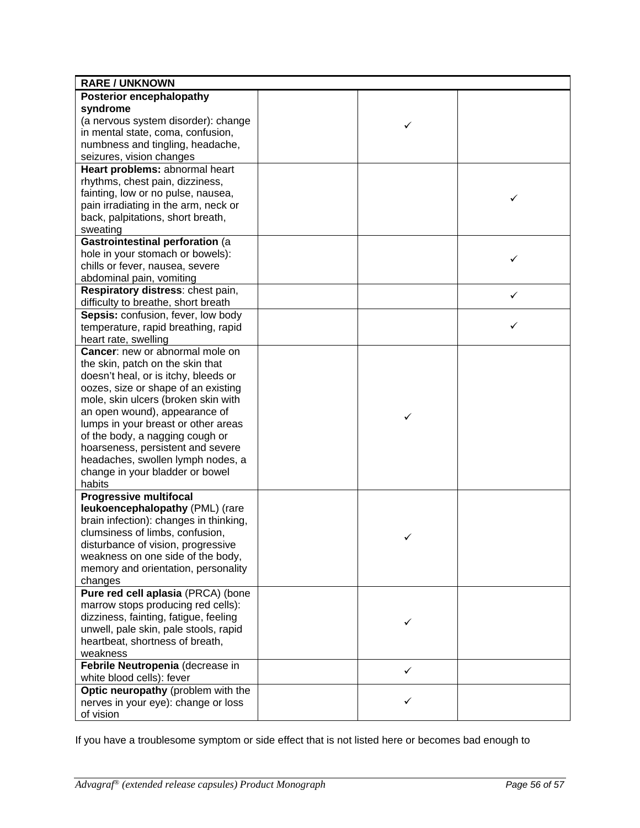| Posterior encephalopathy<br>syndrome<br>(a nervous system disorder): change<br>✓<br>in mental state, coma, confusion,<br>numbness and tingling, headache,<br>seizures, vision changes<br>Heart problems: abnormal heart<br>rhythms, chest pain, dizziness,<br>fainting, low or no pulse, nausea,<br>✓<br>pain irradiating in the arm, neck or<br>back, palpitations, short breath,<br>sweating<br>Gastrointestinal perforation (a<br>hole in your stomach or bowels):<br>✓<br>chills or fever, nausea, severe<br>abdominal pain, vomiting<br>Respiratory distress: chest pain,<br>✓<br>difficulty to breathe, short breath<br>Sepsis: confusion, fever, low body<br>✓<br>temperature, rapid breathing, rapid<br>heart rate, swelling<br>Cancer: new or abnormal mole on<br>the skin, patch on the skin that<br>doesn't heal, or is itchy, bleeds or<br>oozes, size or shape of an existing<br>mole, skin ulcers (broken skin with<br>an open wound), appearance of<br>✓<br>lumps in your breast or other areas<br>of the body, a nagging cough or<br>hoarseness, persistent and severe<br>headaches, swollen lymph nodes, a<br>change in your bladder or bowel<br>habits<br><b>Progressive multifocal</b><br>leukoencephalopathy (PML) (rare<br>brain infection): changes in thinking,<br>clumsiness of limbs, confusion,<br>✓<br>disturbance of vision, progressive<br>weakness on one side of the body,<br>memory and orientation, personality<br>changes<br>Pure red cell aplasia (PRCA) (bone<br>marrow stops producing red cells):<br>dizziness, fainting, fatigue, feeling<br>✓<br>unwell, pale skin, pale stools, rapid<br>heartbeat, shortness of breath,<br>weakness<br>Febrile Neutropenia (decrease in<br>$\checkmark$<br>white blood cells): fever<br>Optic neuropathy (problem with the | <b>RARE / UNKNOWN</b>               |  |  |
|------------------------------------------------------------------------------------------------------------------------------------------------------------------------------------------------------------------------------------------------------------------------------------------------------------------------------------------------------------------------------------------------------------------------------------------------------------------------------------------------------------------------------------------------------------------------------------------------------------------------------------------------------------------------------------------------------------------------------------------------------------------------------------------------------------------------------------------------------------------------------------------------------------------------------------------------------------------------------------------------------------------------------------------------------------------------------------------------------------------------------------------------------------------------------------------------------------------------------------------------------------------------------------------------------------------------------------------------------------------------------------------------------------------------------------------------------------------------------------------------------------------------------------------------------------------------------------------------------------------------------------------------------------------------------------------------------------------------------------------------------------------------------------------------------|-------------------------------------|--|--|
|                                                                                                                                                                                                                                                                                                                                                                                                                                                                                                                                                                                                                                                                                                                                                                                                                                                                                                                                                                                                                                                                                                                                                                                                                                                                                                                                                                                                                                                                                                                                                                                                                                                                                                                                                                                                      |                                     |  |  |
|                                                                                                                                                                                                                                                                                                                                                                                                                                                                                                                                                                                                                                                                                                                                                                                                                                                                                                                                                                                                                                                                                                                                                                                                                                                                                                                                                                                                                                                                                                                                                                                                                                                                                                                                                                                                      |                                     |  |  |
|                                                                                                                                                                                                                                                                                                                                                                                                                                                                                                                                                                                                                                                                                                                                                                                                                                                                                                                                                                                                                                                                                                                                                                                                                                                                                                                                                                                                                                                                                                                                                                                                                                                                                                                                                                                                      |                                     |  |  |
|                                                                                                                                                                                                                                                                                                                                                                                                                                                                                                                                                                                                                                                                                                                                                                                                                                                                                                                                                                                                                                                                                                                                                                                                                                                                                                                                                                                                                                                                                                                                                                                                                                                                                                                                                                                                      |                                     |  |  |
|                                                                                                                                                                                                                                                                                                                                                                                                                                                                                                                                                                                                                                                                                                                                                                                                                                                                                                                                                                                                                                                                                                                                                                                                                                                                                                                                                                                                                                                                                                                                                                                                                                                                                                                                                                                                      |                                     |  |  |
|                                                                                                                                                                                                                                                                                                                                                                                                                                                                                                                                                                                                                                                                                                                                                                                                                                                                                                                                                                                                                                                                                                                                                                                                                                                                                                                                                                                                                                                                                                                                                                                                                                                                                                                                                                                                      |                                     |  |  |
|                                                                                                                                                                                                                                                                                                                                                                                                                                                                                                                                                                                                                                                                                                                                                                                                                                                                                                                                                                                                                                                                                                                                                                                                                                                                                                                                                                                                                                                                                                                                                                                                                                                                                                                                                                                                      |                                     |  |  |
|                                                                                                                                                                                                                                                                                                                                                                                                                                                                                                                                                                                                                                                                                                                                                                                                                                                                                                                                                                                                                                                                                                                                                                                                                                                                                                                                                                                                                                                                                                                                                                                                                                                                                                                                                                                                      |                                     |  |  |
|                                                                                                                                                                                                                                                                                                                                                                                                                                                                                                                                                                                                                                                                                                                                                                                                                                                                                                                                                                                                                                                                                                                                                                                                                                                                                                                                                                                                                                                                                                                                                                                                                                                                                                                                                                                                      |                                     |  |  |
|                                                                                                                                                                                                                                                                                                                                                                                                                                                                                                                                                                                                                                                                                                                                                                                                                                                                                                                                                                                                                                                                                                                                                                                                                                                                                                                                                                                                                                                                                                                                                                                                                                                                                                                                                                                                      |                                     |  |  |
|                                                                                                                                                                                                                                                                                                                                                                                                                                                                                                                                                                                                                                                                                                                                                                                                                                                                                                                                                                                                                                                                                                                                                                                                                                                                                                                                                                                                                                                                                                                                                                                                                                                                                                                                                                                                      |                                     |  |  |
|                                                                                                                                                                                                                                                                                                                                                                                                                                                                                                                                                                                                                                                                                                                                                                                                                                                                                                                                                                                                                                                                                                                                                                                                                                                                                                                                                                                                                                                                                                                                                                                                                                                                                                                                                                                                      |                                     |  |  |
|                                                                                                                                                                                                                                                                                                                                                                                                                                                                                                                                                                                                                                                                                                                                                                                                                                                                                                                                                                                                                                                                                                                                                                                                                                                                                                                                                                                                                                                                                                                                                                                                                                                                                                                                                                                                      |                                     |  |  |
|                                                                                                                                                                                                                                                                                                                                                                                                                                                                                                                                                                                                                                                                                                                                                                                                                                                                                                                                                                                                                                                                                                                                                                                                                                                                                                                                                                                                                                                                                                                                                                                                                                                                                                                                                                                                      |                                     |  |  |
|                                                                                                                                                                                                                                                                                                                                                                                                                                                                                                                                                                                                                                                                                                                                                                                                                                                                                                                                                                                                                                                                                                                                                                                                                                                                                                                                                                                                                                                                                                                                                                                                                                                                                                                                                                                                      |                                     |  |  |
|                                                                                                                                                                                                                                                                                                                                                                                                                                                                                                                                                                                                                                                                                                                                                                                                                                                                                                                                                                                                                                                                                                                                                                                                                                                                                                                                                                                                                                                                                                                                                                                                                                                                                                                                                                                                      |                                     |  |  |
|                                                                                                                                                                                                                                                                                                                                                                                                                                                                                                                                                                                                                                                                                                                                                                                                                                                                                                                                                                                                                                                                                                                                                                                                                                                                                                                                                                                                                                                                                                                                                                                                                                                                                                                                                                                                      |                                     |  |  |
|                                                                                                                                                                                                                                                                                                                                                                                                                                                                                                                                                                                                                                                                                                                                                                                                                                                                                                                                                                                                                                                                                                                                                                                                                                                                                                                                                                                                                                                                                                                                                                                                                                                                                                                                                                                                      |                                     |  |  |
|                                                                                                                                                                                                                                                                                                                                                                                                                                                                                                                                                                                                                                                                                                                                                                                                                                                                                                                                                                                                                                                                                                                                                                                                                                                                                                                                                                                                                                                                                                                                                                                                                                                                                                                                                                                                      |                                     |  |  |
|                                                                                                                                                                                                                                                                                                                                                                                                                                                                                                                                                                                                                                                                                                                                                                                                                                                                                                                                                                                                                                                                                                                                                                                                                                                                                                                                                                                                                                                                                                                                                                                                                                                                                                                                                                                                      |                                     |  |  |
|                                                                                                                                                                                                                                                                                                                                                                                                                                                                                                                                                                                                                                                                                                                                                                                                                                                                                                                                                                                                                                                                                                                                                                                                                                                                                                                                                                                                                                                                                                                                                                                                                                                                                                                                                                                                      |                                     |  |  |
|                                                                                                                                                                                                                                                                                                                                                                                                                                                                                                                                                                                                                                                                                                                                                                                                                                                                                                                                                                                                                                                                                                                                                                                                                                                                                                                                                                                                                                                                                                                                                                                                                                                                                                                                                                                                      |                                     |  |  |
|                                                                                                                                                                                                                                                                                                                                                                                                                                                                                                                                                                                                                                                                                                                                                                                                                                                                                                                                                                                                                                                                                                                                                                                                                                                                                                                                                                                                                                                                                                                                                                                                                                                                                                                                                                                                      |                                     |  |  |
|                                                                                                                                                                                                                                                                                                                                                                                                                                                                                                                                                                                                                                                                                                                                                                                                                                                                                                                                                                                                                                                                                                                                                                                                                                                                                                                                                                                                                                                                                                                                                                                                                                                                                                                                                                                                      |                                     |  |  |
|                                                                                                                                                                                                                                                                                                                                                                                                                                                                                                                                                                                                                                                                                                                                                                                                                                                                                                                                                                                                                                                                                                                                                                                                                                                                                                                                                                                                                                                                                                                                                                                                                                                                                                                                                                                                      |                                     |  |  |
|                                                                                                                                                                                                                                                                                                                                                                                                                                                                                                                                                                                                                                                                                                                                                                                                                                                                                                                                                                                                                                                                                                                                                                                                                                                                                                                                                                                                                                                                                                                                                                                                                                                                                                                                                                                                      |                                     |  |  |
|                                                                                                                                                                                                                                                                                                                                                                                                                                                                                                                                                                                                                                                                                                                                                                                                                                                                                                                                                                                                                                                                                                                                                                                                                                                                                                                                                                                                                                                                                                                                                                                                                                                                                                                                                                                                      |                                     |  |  |
|                                                                                                                                                                                                                                                                                                                                                                                                                                                                                                                                                                                                                                                                                                                                                                                                                                                                                                                                                                                                                                                                                                                                                                                                                                                                                                                                                                                                                                                                                                                                                                                                                                                                                                                                                                                                      |                                     |  |  |
|                                                                                                                                                                                                                                                                                                                                                                                                                                                                                                                                                                                                                                                                                                                                                                                                                                                                                                                                                                                                                                                                                                                                                                                                                                                                                                                                                                                                                                                                                                                                                                                                                                                                                                                                                                                                      |                                     |  |  |
|                                                                                                                                                                                                                                                                                                                                                                                                                                                                                                                                                                                                                                                                                                                                                                                                                                                                                                                                                                                                                                                                                                                                                                                                                                                                                                                                                                                                                                                                                                                                                                                                                                                                                                                                                                                                      |                                     |  |  |
|                                                                                                                                                                                                                                                                                                                                                                                                                                                                                                                                                                                                                                                                                                                                                                                                                                                                                                                                                                                                                                                                                                                                                                                                                                                                                                                                                                                                                                                                                                                                                                                                                                                                                                                                                                                                      |                                     |  |  |
|                                                                                                                                                                                                                                                                                                                                                                                                                                                                                                                                                                                                                                                                                                                                                                                                                                                                                                                                                                                                                                                                                                                                                                                                                                                                                                                                                                                                                                                                                                                                                                                                                                                                                                                                                                                                      |                                     |  |  |
|                                                                                                                                                                                                                                                                                                                                                                                                                                                                                                                                                                                                                                                                                                                                                                                                                                                                                                                                                                                                                                                                                                                                                                                                                                                                                                                                                                                                                                                                                                                                                                                                                                                                                                                                                                                                      |                                     |  |  |
|                                                                                                                                                                                                                                                                                                                                                                                                                                                                                                                                                                                                                                                                                                                                                                                                                                                                                                                                                                                                                                                                                                                                                                                                                                                                                                                                                                                                                                                                                                                                                                                                                                                                                                                                                                                                      |                                     |  |  |
|                                                                                                                                                                                                                                                                                                                                                                                                                                                                                                                                                                                                                                                                                                                                                                                                                                                                                                                                                                                                                                                                                                                                                                                                                                                                                                                                                                                                                                                                                                                                                                                                                                                                                                                                                                                                      |                                     |  |  |
|                                                                                                                                                                                                                                                                                                                                                                                                                                                                                                                                                                                                                                                                                                                                                                                                                                                                                                                                                                                                                                                                                                                                                                                                                                                                                                                                                                                                                                                                                                                                                                                                                                                                                                                                                                                                      |                                     |  |  |
|                                                                                                                                                                                                                                                                                                                                                                                                                                                                                                                                                                                                                                                                                                                                                                                                                                                                                                                                                                                                                                                                                                                                                                                                                                                                                                                                                                                                                                                                                                                                                                                                                                                                                                                                                                                                      |                                     |  |  |
|                                                                                                                                                                                                                                                                                                                                                                                                                                                                                                                                                                                                                                                                                                                                                                                                                                                                                                                                                                                                                                                                                                                                                                                                                                                                                                                                                                                                                                                                                                                                                                                                                                                                                                                                                                                                      |                                     |  |  |
|                                                                                                                                                                                                                                                                                                                                                                                                                                                                                                                                                                                                                                                                                                                                                                                                                                                                                                                                                                                                                                                                                                                                                                                                                                                                                                                                                                                                                                                                                                                                                                                                                                                                                                                                                                                                      |                                     |  |  |
|                                                                                                                                                                                                                                                                                                                                                                                                                                                                                                                                                                                                                                                                                                                                                                                                                                                                                                                                                                                                                                                                                                                                                                                                                                                                                                                                                                                                                                                                                                                                                                                                                                                                                                                                                                                                      |                                     |  |  |
|                                                                                                                                                                                                                                                                                                                                                                                                                                                                                                                                                                                                                                                                                                                                                                                                                                                                                                                                                                                                                                                                                                                                                                                                                                                                                                                                                                                                                                                                                                                                                                                                                                                                                                                                                                                                      |                                     |  |  |
|                                                                                                                                                                                                                                                                                                                                                                                                                                                                                                                                                                                                                                                                                                                                                                                                                                                                                                                                                                                                                                                                                                                                                                                                                                                                                                                                                                                                                                                                                                                                                                                                                                                                                                                                                                                                      |                                     |  |  |
|                                                                                                                                                                                                                                                                                                                                                                                                                                                                                                                                                                                                                                                                                                                                                                                                                                                                                                                                                                                                                                                                                                                                                                                                                                                                                                                                                                                                                                                                                                                                                                                                                                                                                                                                                                                                      |                                     |  |  |
|                                                                                                                                                                                                                                                                                                                                                                                                                                                                                                                                                                                                                                                                                                                                                                                                                                                                                                                                                                                                                                                                                                                                                                                                                                                                                                                                                                                                                                                                                                                                                                                                                                                                                                                                                                                                      |                                     |  |  |
|                                                                                                                                                                                                                                                                                                                                                                                                                                                                                                                                                                                                                                                                                                                                                                                                                                                                                                                                                                                                                                                                                                                                                                                                                                                                                                                                                                                                                                                                                                                                                                                                                                                                                                                                                                                                      |                                     |  |  |
|                                                                                                                                                                                                                                                                                                                                                                                                                                                                                                                                                                                                                                                                                                                                                                                                                                                                                                                                                                                                                                                                                                                                                                                                                                                                                                                                                                                                                                                                                                                                                                                                                                                                                                                                                                                                      |                                     |  |  |
|                                                                                                                                                                                                                                                                                                                                                                                                                                                                                                                                                                                                                                                                                                                                                                                                                                                                                                                                                                                                                                                                                                                                                                                                                                                                                                                                                                                                                                                                                                                                                                                                                                                                                                                                                                                                      |                                     |  |  |
|                                                                                                                                                                                                                                                                                                                                                                                                                                                                                                                                                                                                                                                                                                                                                                                                                                                                                                                                                                                                                                                                                                                                                                                                                                                                                                                                                                                                                                                                                                                                                                                                                                                                                                                                                                                                      |                                     |  |  |
|                                                                                                                                                                                                                                                                                                                                                                                                                                                                                                                                                                                                                                                                                                                                                                                                                                                                                                                                                                                                                                                                                                                                                                                                                                                                                                                                                                                                                                                                                                                                                                                                                                                                                                                                                                                                      |                                     |  |  |
|                                                                                                                                                                                                                                                                                                                                                                                                                                                                                                                                                                                                                                                                                                                                                                                                                                                                                                                                                                                                                                                                                                                                                                                                                                                                                                                                                                                                                                                                                                                                                                                                                                                                                                                                                                                                      |                                     |  |  |
| ✓                                                                                                                                                                                                                                                                                                                                                                                                                                                                                                                                                                                                                                                                                                                                                                                                                                                                                                                                                                                                                                                                                                                                                                                                                                                                                                                                                                                                                                                                                                                                                                                                                                                                                                                                                                                                    | nerves in your eye): change or loss |  |  |
| of vision                                                                                                                                                                                                                                                                                                                                                                                                                                                                                                                                                                                                                                                                                                                                                                                                                                                                                                                                                                                                                                                                                                                                                                                                                                                                                                                                                                                                                                                                                                                                                                                                                                                                                                                                                                                            |                                     |  |  |

If you have a troublesome symptom or side effect that is not listed here or becomes bad enough to